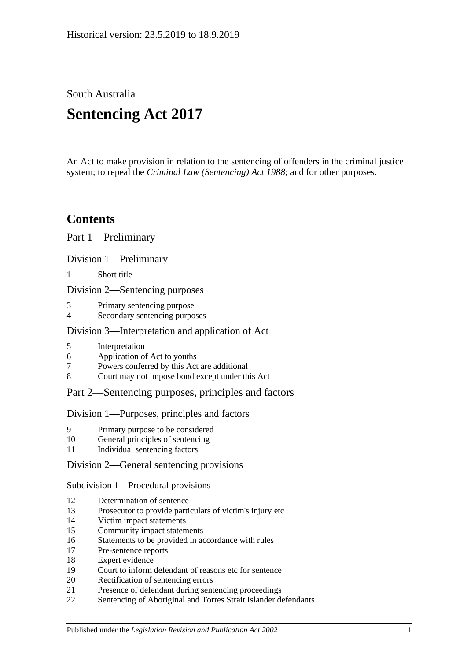South Australia

# **Sentencing Act 2017**

An Act to make provision in relation to the sentencing of offenders in the criminal justice system; to repeal the *[Criminal Law \(Sentencing\) Act](http://www.legislation.sa.gov.au/index.aspx?action=legref&type=act&legtitle=Criminal%20Law%20(Sentencing)%20Act%201988) 1988*; and for other purposes.

# **Contents**

Part [1—Preliminary](#page-4-0)

Division [1—Preliminary](#page-4-1)

1 [Short title](#page-4-2)

Division [2—Sentencing purposes](#page-4-3)

- 3 [Primary sentencing purpose](#page-4-4)
- 4 [Secondary sentencing purposes](#page-4-5)

# Division [3—Interpretation and application of Act](#page-5-0)

- 5 [Interpretation](#page-5-1)
- 6 [Application of Act to youths](#page-9-0)
- 7 [Powers conferred by this Act are additional](#page-9-1)
- 8 [Court may not impose bond except under this Act](#page-9-2)

# Part [2—Sentencing purposes, principles and factors](#page-10-0)

# Division [1—Purposes, principles and factors](#page-10-1)

- 9 [Primary purpose to be considered](#page-10-2)
- 10 [General principles of sentencing](#page-10-3)
- 11 [Individual sentencing factors](#page-10-4)

# Division [2—General sentencing provisions](#page-12-0)

Subdivision [1—Procedural provisions](#page-12-1)

- 12 [Determination of sentence](#page-12-2)
- 13 [Prosecutor to provide particulars of victim's injury etc](#page-12-3)
- 14 [Victim impact statements](#page-12-4)
- 15 [Community impact statements](#page-14-0)
- 16 [Statements to be provided in accordance with rules](#page-14-1)
- 17 [Pre-sentence reports](#page-14-2)
- 18 [Expert evidence](#page-15-0)
- 19 [Court to inform defendant of reasons etc for sentence](#page-16-0)
- 20 [Rectification of sentencing errors](#page-16-1)
- 21 [Presence of defendant during sentencing proceedings](#page-16-2)
- 22 [Sentencing of Aboriginal and Torres Strait Islander defendants](#page-17-0)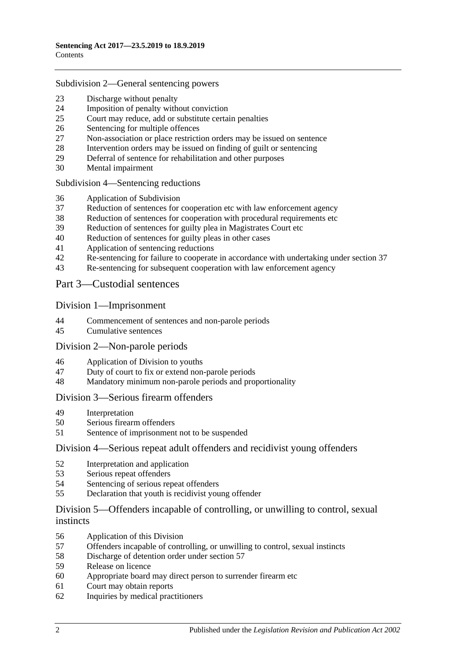#### Subdivision [2—General sentencing powers](#page-18-0)

- [Discharge without penalty](#page-18-1)
- [Imposition of penalty without conviction](#page-18-2)<br>25 Court may reduce add or substitute certain
- [Court may reduce, add or substitute certain penalties](#page-19-0)
- [Sentencing for multiple offences](#page-20-0)
- [Non-association or place restriction orders may be issued on sentence](#page-20-1)
- [Intervention orders may be issued on finding of guilt or sentencing](#page-21-0)
- [Deferral of sentence for rehabilitation and other purposes](#page-22-0)
- [Mental impairment](#page-23-0)

Subdivision [4—Sentencing reductions](#page-24-0)

- [Application of Subdivision](#page-24-1)
- [Reduction of sentences for cooperation etc with law enforcement agency](#page-25-0)
- [Reduction of sentences for cooperation with procedural requirements etc](#page-26-0)
- [Reduction of sentences for guilty plea in Magistrates Court etc](#page-26-1)
- [Reduction of sentences for guilty pleas in other cases](#page-28-0)
- [Application of sentencing reductions](#page-30-0)
- [Re-sentencing for failure to cooperate in accordance with undertaking under section](#page-30-1) 37
- [Re-sentencing for subsequent cooperation with law enforcement agency](#page-31-0)

Part [3—Custodial sentences](#page-32-0)

#### Division [1—Imprisonment](#page-32-1)

- [Commencement of sentences and non-parole periods](#page-32-2)
- [Cumulative sentences](#page-33-0)

#### Division [2—Non-parole periods](#page-33-1)

- [Application of Division to youths](#page-33-2)
- [Duty of court to fix or extend non-parole periods](#page-34-0)
- [Mandatory minimum non-parole periods and proportionality](#page-37-0)

#### Division [3—Serious firearm offenders](#page-37-1)

- [Interpretation](#page-37-2)<br>50 Serious firears
- [Serious firearm offenders](#page-39-0)
- [Sentence of imprisonment not to be suspended](#page-40-0)

#### Division [4—Serious repeat adult offenders and recidivist young offenders](#page-40-1)

- [Interpretation and application](#page-40-2)
- [Serious repeat offenders](#page-42-0)
- [Sentencing of serious repeat offenders](#page-43-0)
- [Declaration that youth is recidivist young offender](#page-43-1)

# Division [5—Offenders incapable of controlling, or unwilling to control, sexual](#page-44-0)  [instincts](#page-44-0)

- [Application of this Division](#page-44-1)
- [Offenders incapable of controlling, or unwilling to control, sexual instincts](#page-44-2)
- Discharge [of detention order under section](#page-47-0) 57
- [Release on licence](#page-48-0)
- [Appropriate board may direct person to surrender firearm etc](#page-51-0)
- [Court may obtain reports](#page-51-1)
- [Inquiries by medical practitioners](#page-51-2)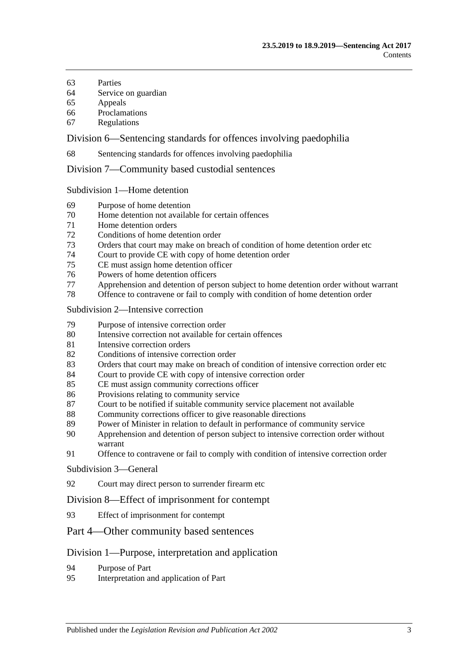- [Parties](#page-52-0)
- [Service on guardian](#page-52-1)
- [Appeals](#page-52-2)
- [Proclamations](#page-53-0)
- [Regulations](#page-53-1)

Division [6—Sentencing standards for offences involving paedophilia](#page-53-2)

[Sentencing standards for offences involving paedophilia](#page-53-3)

Division [7—Community based custodial sentences](#page-53-4)

Subdivision [1—Home detention](#page-53-5)

- [Purpose of home detention](#page-53-6)
- [Home detention not available for certain offences](#page-54-0)
- [Home detention orders](#page-54-1)
- [Conditions of home detention order](#page-59-0)
- [Orders that court may make on breach of condition of home detention order etc](#page-60-0)
- [Court to provide CE with copy of home detention order](#page-62-0)
- [CE must assign home detention officer](#page-62-1)
- [Powers of home detention officers](#page-63-0)
- [Apprehension and detention of person subject to home detention order without warrant](#page-63-1)
- [Offence to contravene or fail to comply with condition of home detention order](#page-63-2)

#### Subdivision [2—Intensive correction](#page-64-0)

- [Purpose of intensive correction order](#page-64-1)
- [Intensive correction not available for certain offences](#page-64-2)
- [Intensive correction orders](#page-64-3)
- [Conditions of intensive correction order](#page-68-0)
- [Orders that court may make on breach of condition of intensive correction order etc](#page-70-0)
- [Court to provide CE with copy of intensive correction order](#page-73-0)
- [CE must assign community corrections officer](#page-73-1)
- [Provisions relating to community service](#page-73-2)
- [Court to be notified if suitable community service placement not available](#page-74-0)
- [Community corrections officer to give reasonable directions](#page-74-1)
- [Power of Minister in relation to default in performance of community service](#page-75-0)
- [Apprehension and detention of person subject to intensive correction order without](#page-75-1)  [warrant](#page-75-1)
- [Offence to contravene or fail to comply with condition of intensive correction order](#page-75-2)

#### [Subdivision](#page-76-0) 3—General

[Court may direct person to surrender firearm etc](#page-76-1)

#### Division [8—Effect of imprisonment for contempt](#page-76-2)

[Effect of imprisonment for contempt](#page-76-3)

#### Part [4—Other community based sentences](#page-76-4)

#### Division [1—Purpose, interpretation and application](#page-76-5)

- [Purpose of Part](#page-76-6)
- [Interpretation and application of Part](#page-76-7)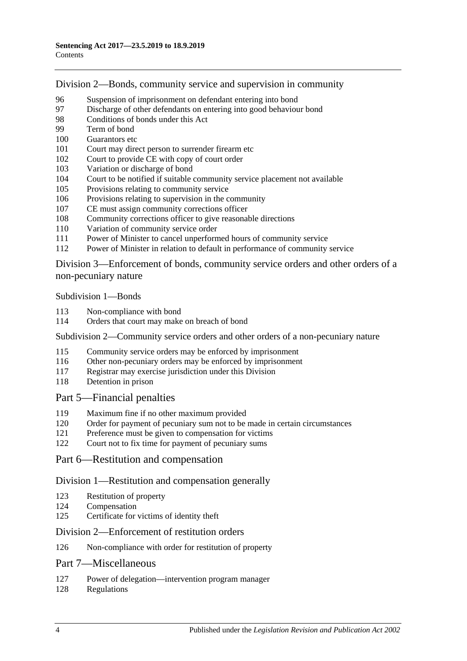Division [2—Bonds, community service and supervision in community](#page-77-0)

- [Suspension of imprisonment on defendant entering into bond](#page-77-1)<br>97 Discharge of other defendants on entering into good behaviour
- [Discharge of other defendants on entering into good behaviour bond](#page-82-0)
- [Conditions of bonds under this Act](#page-82-1)
- [Term of bond](#page-84-0)
- [Guarantors etc](#page-84-1)
- [Court may direct person to surrender firearm etc](#page-85-0)
- [Court to provide CE with copy of court order](#page-85-1)
- [Variation or discharge of bond](#page-85-2)
- [Court to be notified if suitable community service placement not available](#page-86-0)
- [Provisions relating to community service](#page-86-1)
- [Provisions relating to supervision in the community](#page-87-0)
- [CE must assign community corrections officer](#page-87-1)
- [Community corrections officer to give reasonable directions](#page-88-0)
- [Variation of community service order](#page-88-1)
- [Power of Minister to cancel unperformed hours of community service](#page-89-0)
- [Power of Minister in relation to default in performance of community service](#page-89-1)

Division [3—Enforcement of bonds, community service orders and other orders of a](#page-90-0)  [non-pecuniary nature](#page-90-0)

[Subdivision](#page-90-1) 1—Bonds

- [Non-compliance with bond](#page-90-2)
- [Orders that court may make on breach of bond](#page-91-0)

Subdivision [2—Community service orders and other orders of a non-pecuniary nature](#page-92-0)

- [Community service orders may be enforced by imprisonment](#page-92-1)
- [Other non-pecuniary orders may be enforced by imprisonment](#page-94-0)
- [Registrar may exercise jurisdiction under this Division](#page-94-1)
- [Detention in prison](#page-95-0)

#### Part [5—Financial penalties](#page-95-1)

- [Maximum fine if no other maximum provided](#page-95-2)
- [Order for payment of pecuniary sum not to be made in certain circumstances](#page-95-3)
- [Preference must be given to compensation for victims](#page-95-4)
- [Court not to fix time for payment of pecuniary sums](#page-96-0)

# Part [6—Restitution and compensation](#page-96-1)

#### Division [1—Restitution and compensation generally](#page-96-2)

- [Restitution of property](#page-96-3)
- [Compensation](#page-96-4)
- [Certificate for victims of identity theft](#page-97-0)

#### Division [2—Enforcement of restitution orders](#page-98-0)

[Non-compliance with order for restitution of property](#page-98-1)

# Part [7—Miscellaneous](#page-99-0)

- [Power of delegation—intervention program manager](#page-99-1)
- [Regulations](#page-99-2)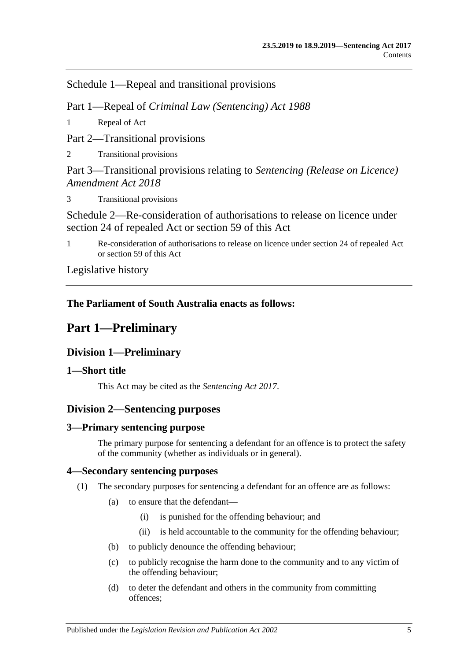Schedule [1—Repeal and transitional provisions](#page-100-0)

Part 1—Repeal of *Criminal Law (Sentencing) Act 1988*

1 [Repeal of Act](#page-100-1)

Part 2—Transitional provisions

2 [Transitional provisions](#page-100-2)

Part 3—Transitional provisions relating to *Sentencing (Release on Licence) Amendment Act 2018*

3 [Transitional provisions](#page-100-3)

[Schedule 2—Re-consideration of authorisations to release on licence under](#page-101-0)  [section 24 of repealed Act or section](#page-101-0) 59 of this Act

1 [Re-consideration of authorisations to release on licence under section 24 of repealed Act](#page-101-1)  or [section](#page-48-0) 59 [of this Act](#page-101-1)

[Legislative history](#page-104-0)

# <span id="page-4-0"></span>**The Parliament of South Australia enacts as follows:**

# **Part 1—Preliminary**

# <span id="page-4-1"></span>**Division 1—Preliminary**

# <span id="page-4-2"></span>**1—Short title**

This Act may be cited as the *Sentencing Act 2017*.

# <span id="page-4-3"></span>**Division 2—Sentencing purposes**

# <span id="page-4-4"></span>**3—Primary sentencing purpose**

The primary purpose for sentencing a defendant for an offence is to protect the safety of the community (whether as individuals or in general).

# <span id="page-4-6"></span><span id="page-4-5"></span>**4—Secondary sentencing purposes**

- (1) The secondary purposes for sentencing a defendant for an offence are as follows:
	- (a) to ensure that the defendant—
		- (i) is punished for the offending behaviour; and
		- (ii) is held accountable to the community for the offending behaviour;
	- (b) to publicly denounce the offending behaviour;
	- (c) to publicly recognise the harm done to the community and to any victim of the offending behaviour;
	- (d) to deter the defendant and others in the community from committing offences;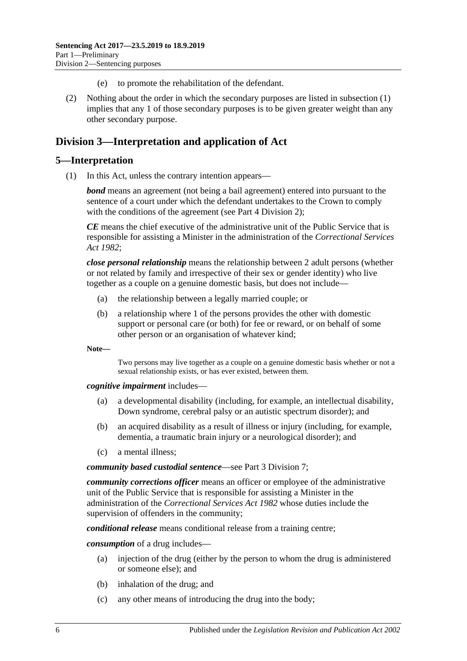- (e) to promote the rehabilitation of the defendant.
- (2) Nothing about the order in which the secondary purposes are listed in [subsection](#page-4-6) (1) implies that any 1 of those secondary purposes is to be given greater weight than any other secondary purpose.

# <span id="page-5-0"></span>**Division 3—Interpretation and application of Act**

# <span id="page-5-1"></span>**5—Interpretation**

(1) In this Act, unless the contrary intention appears—

*bond* means an agreement (not being a bail agreement) entered into pursuant to the sentence of a court under which the defendant undertakes to the Crown to comply with the conditions of the agreement (see Part [4 Division](#page-77-0) 2);

*CE* means the chief executive of the administrative unit of the Public Service that is responsible for assisting a Minister in the administration of the *[Correctional Services](http://www.legislation.sa.gov.au/index.aspx?action=legref&type=act&legtitle=Correctional%20Services%20Act%201982)  Act [1982](http://www.legislation.sa.gov.au/index.aspx?action=legref&type=act&legtitle=Correctional%20Services%20Act%201982)*;

*close personal relationship* means the relationship between 2 adult persons (whether or not related by family and irrespective of their sex or gender identity) who live together as a couple on a genuine domestic basis, but does not include—

- (a) the relationship between a legally married couple; or
- (b) a relationship where 1 of the persons provides the other with domestic support or personal care (or both) for fee or reward, or on behalf of some other person or an organisation of whatever kind;

**Note—**

Two persons may live together as a couple on a genuine domestic basis whether or not a sexual relationship exists, or has ever existed, between them.

*cognitive impairment* includes—

- (a) a developmental disability (including, for example, an intellectual disability, Down syndrome, cerebral palsy or an autistic spectrum disorder); and
- (b) an acquired disability as a result of illness or injury (including, for example, dementia, a traumatic brain injury or a neurological disorder); and
- (c) a mental illness;

*community based custodial sentence*—see Part [3 Division](#page-53-4) 7;

*community corrections officer* means an officer or employee of the administrative unit of the Public Service that is responsible for assisting a Minister in the administration of the *[Correctional Services Act](http://www.legislation.sa.gov.au/index.aspx?action=legref&type=act&legtitle=Correctional%20Services%20Act%201982) 1982* whose duties include the supervision of offenders in the community;

*conditional release* means conditional release from a training centre;

*consumption* of a drug includes—

- (a) injection of the drug (either by the person to whom the drug is administered or someone else); and
- (b) inhalation of the drug; and
- (c) any other means of introducing the drug into the body;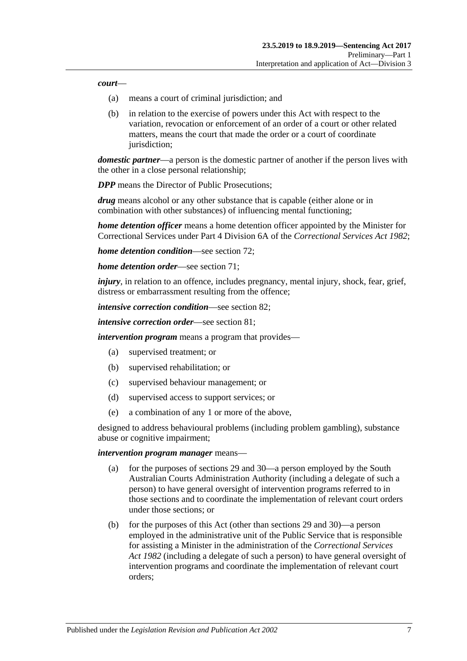#### *court*—

- (a) means a court of criminal jurisdiction; and
- (b) in relation to the exercise of powers under this Act with respect to the variation, revocation or enforcement of an order of a court or other related matters, means the court that made the order or a court of coordinate jurisdiction;

*domestic partner*—a person is the domestic partner of another if the person lives with the other in a close personal relationship;

*DPP* means the Director of Public Prosecutions:

*drug* means alcohol or any other substance that is capable (either alone or in combination with other substances) of influencing mental functioning;

*home detention officer* means a home detention officer appointed by the Minister for Correctional Services under Part 4 Division 6A of the *[Correctional Services Act](http://www.legislation.sa.gov.au/index.aspx?action=legref&type=act&legtitle=Correctional%20Services%20Act%201982) 1982*;

*home detention condition*—see [section](#page-59-0) 72;

*home detention order*—see [section](#page-54-1) 71;

*injury*, in relation to an offence, includes pregnancy, mental injury, shock, fear, grief, distress or embarrassment resulting from the offence;

*intensive correction condition*—see [section](#page-68-0) 82;

*intensive correction order*—see [section](#page-64-3) 81;

*intervention program* means a program that provides—

- (a) supervised treatment; or
- (b) supervised rehabilitation; or
- (c) supervised behaviour management; or
- (d) supervised access to support services; or
- (e) a combination of any 1 or more of the above,

designed to address behavioural problems (including problem gambling), substance abuse or cognitive impairment;

#### *intervention program manager* means—

- (a) for the purposes of [sections](#page-22-0) 29 and [30—](#page-23-0)a person employed by the South Australian Courts Administration Authority (including a delegate of such a person) to have general oversight of intervention programs referred to in those sections and to coordinate the implementation of relevant court orders under those sections; or
- (b) for the purposes of this Act (other than [sections](#page-22-0) 29 and [30\)](#page-23-0)—a person employed in the administrative unit of the Public Service that is responsible for assisting a Minister in the administration of the *[Correctional Services](http://www.legislation.sa.gov.au/index.aspx?action=legref&type=act&legtitle=Correctional%20Services%20Act%201982)  Act [1982](http://www.legislation.sa.gov.au/index.aspx?action=legref&type=act&legtitle=Correctional%20Services%20Act%201982)* (including a delegate of such a person) to have general oversight of intervention programs and coordinate the implementation of relevant court orders;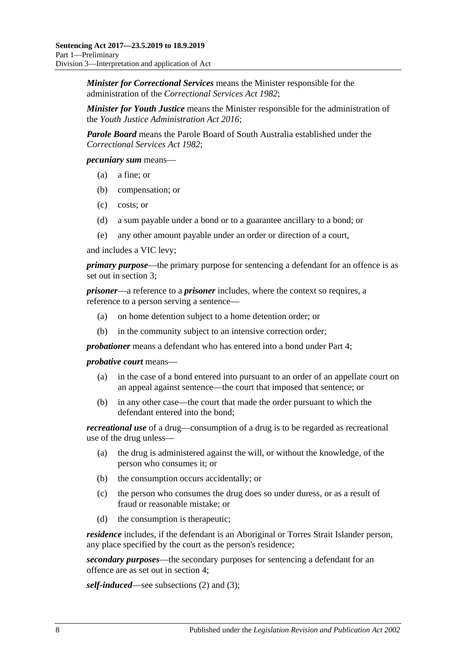*Minister for Correctional Services* means the Minister responsible for the administration of the *[Correctional Services Act](http://www.legislation.sa.gov.au/index.aspx?action=legref&type=act&legtitle=Correctional%20Services%20Act%201982) 1982*;

*Minister for Youth Justice* means the Minister responsible for the administration of the *[Youth Justice Administration Act](http://www.legislation.sa.gov.au/index.aspx?action=legref&type=act&legtitle=Youth%20Justice%20Administration%20Act%202016) 2016*;

*Parole Board* means the Parole Board of South Australia established under the *[Correctional Services Act](http://www.legislation.sa.gov.au/index.aspx?action=legref&type=act&legtitle=Correctional%20Services%20Act%201982) 1982*;

*pecuniary sum* means—

- (a) a fine; or
- (b) compensation; or
- (c) costs; or
- (d) a sum payable under a bond or to a guarantee ancillary to a bond; or
- (e) any other amount payable under an order or direction of a court,

and includes a VIC levy;

*primary purpose*—the primary purpose for sentencing a defendant for an offence is as set out in [section](#page-4-4) 3;

*prisoner*—a reference to a *prisoner* includes, where the context so requires, a reference to a person serving a sentence—

- (a) on home detention subject to a home detention order; or
- (b) in the community subject to an intensive correction order;

*probationer* means a defendant who has entered into a bond under [Part](#page-76-4) 4;

*probative court* means—

- (a) in the case of a bond entered into pursuant to an order of an appellate court on an appeal against sentence—the court that imposed that sentence; or
- (b) in any other case—the court that made the order pursuant to which the defendant entered into the bond;

*recreational use* of a drug—consumption of a drug is to be regarded as recreational use of the drug unless—

- (a) the drug is administered against the will, or without the knowledge, of the person who consumes it; or
- (b) the consumption occurs accidentally; or
- (c) the person who consumes the drug does so under duress, or as a result of fraud or reasonable mistake; or
- (d) the consumption is therapeutic;

*residence* includes, if the defendant is an Aboriginal or Torres Strait Islander person, any place specified by the court as the person's residence;

*secondary purposes*—the secondary purposes for sentencing a defendant for an offence are as set out in [section](#page-4-5) 4;

*self-induced*—see [subsections \(2\)](#page-8-0) and [\(3\);](#page-8-1)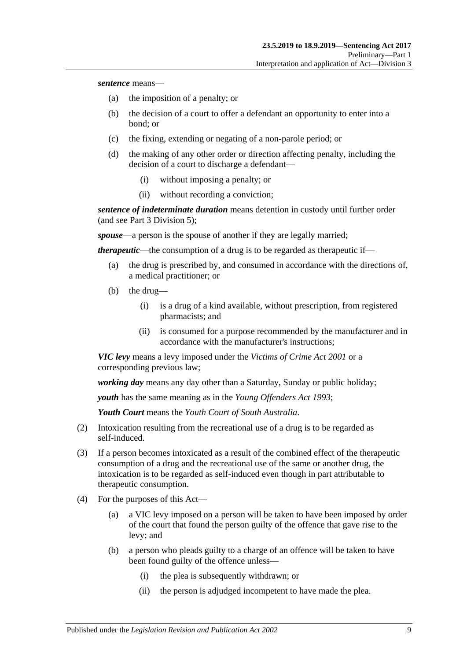*sentence* means—

- (a) the imposition of a penalty; or
- (b) the decision of a court to offer a defendant an opportunity to enter into a bond; or
- (c) the fixing, extending or negating of a non-parole period; or
- (d) the making of any other order or direction affecting penalty, including the decision of a court to discharge a defendant—
	- (i) without imposing a penalty; or
	- (ii) without recording a conviction;

*sentence of indeterminate duration* means detention in custody until further order (and see Part [3 Division](#page-44-0) 5);

*spouse*—a person is the spouse of another if they are legally married;

*therapeutic*—the consumption of a drug is to be regarded as therapeutic if—

- (a) the drug is prescribed by, and consumed in accordance with the directions of, a medical practitioner; or
- (b) the drug—
	- (i) is a drug of a kind available, without prescription, from registered pharmacists; and
	- (ii) is consumed for a purpose recommended by the manufacturer and in accordance with the manufacturer's instructions;

*VIC levy* means a levy imposed under the *[Victims of Crime Act](http://www.legislation.sa.gov.au/index.aspx?action=legref&type=act&legtitle=Victims%20of%20Crime%20Act%202001) 2001* or a corresponding previous law;

*working day* means any day other than a Saturday, Sunday or public holiday;

*youth* has the same meaning as in the *[Young Offenders Act](http://www.legislation.sa.gov.au/index.aspx?action=legref&type=act&legtitle=Young%20Offenders%20Act%201993) 1993*;

*Youth Court* means the *Youth Court of South Australia*.

- <span id="page-8-0"></span>(2) Intoxication resulting from the recreational use of a drug is to be regarded as self-induced.
- <span id="page-8-1"></span>(3) If a person becomes intoxicated as a result of the combined effect of the therapeutic consumption of a drug and the recreational use of the same or another drug, the intoxication is to be regarded as self-induced even though in part attributable to therapeutic consumption.
- (4) For the purposes of this Act—
	- (a) a VIC levy imposed on a person will be taken to have been imposed by order of the court that found the person guilty of the offence that gave rise to the levy; and
	- (b) a person who pleads guilty to a charge of an offence will be taken to have been found guilty of the offence unless—
		- (i) the plea is subsequently withdrawn; or
		- (ii) the person is adjudged incompetent to have made the plea.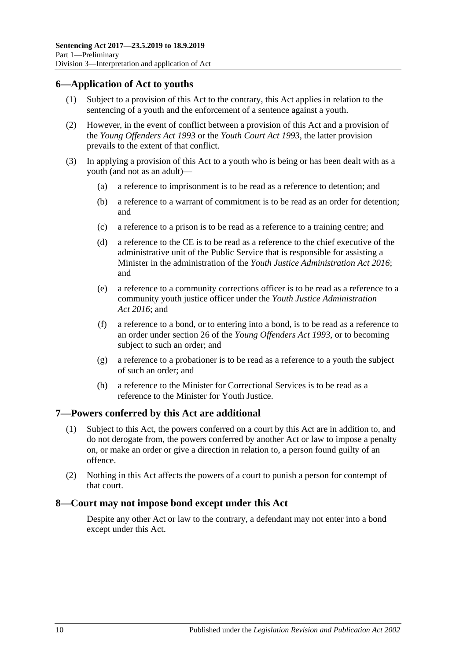# <span id="page-9-0"></span>**6—Application of Act to youths**

- (1) Subject to a provision of this Act to the contrary, this Act applies in relation to the sentencing of a youth and the enforcement of a sentence against a youth.
- (2) However, in the event of conflict between a provision of this Act and a provision of the *[Young Offenders Act](http://www.legislation.sa.gov.au/index.aspx?action=legref&type=act&legtitle=Young%20Offenders%20Act%201993) 1993* or the *[Youth Court Act](http://www.legislation.sa.gov.au/index.aspx?action=legref&type=act&legtitle=Youth%20Court%20Act%201993) 1993*, the latter provision prevails to the extent of that conflict.
- (3) In applying a provision of this Act to a youth who is being or has been dealt with as a youth (and not as an adult)—
	- (a) a reference to imprisonment is to be read as a reference to detention; and
	- (b) a reference to a warrant of commitment is to be read as an order for detention; and
	- (c) a reference to a prison is to be read as a reference to a training centre; and
	- (d) a reference to the CE is to be read as a reference to the chief executive of the administrative unit of the Public Service that is responsible for assisting a Minister in the administration of the *[Youth Justice Administration Act](http://www.legislation.sa.gov.au/index.aspx?action=legref&type=act&legtitle=Youth%20Justice%20Administration%20Act%202016) 2016*; and
	- (e) a reference to a community corrections officer is to be read as a reference to a community youth justice officer under the *[Youth Justice Administration](http://www.legislation.sa.gov.au/index.aspx?action=legref&type=act&legtitle=Youth%20Justice%20Administration%20Act%202016)  Act [2016](http://www.legislation.sa.gov.au/index.aspx?action=legref&type=act&legtitle=Youth%20Justice%20Administration%20Act%202016)*; and
	- (f) a reference to a bond, or to entering into a bond, is to be read as a reference to an order under section 26 of the *[Young Offenders Act](http://www.legislation.sa.gov.au/index.aspx?action=legref&type=act&legtitle=Young%20Offenders%20Act%201993) 1993*, or to becoming subject to such an order; and
	- (g) a reference to a probationer is to be read as a reference to a youth the subject of such an order; and
	- (h) a reference to the Minister for Correctional Services is to be read as a reference to the Minister for Youth Justice.

# <span id="page-9-1"></span>**7—Powers conferred by this Act are additional**

- (1) Subject to this Act, the powers conferred on a court by this Act are in addition to, and do not derogate from, the powers conferred by another Act or law to impose a penalty on, or make an order or give a direction in relation to, a person found guilty of an offence.
- (2) Nothing in this Act affects the powers of a court to punish a person for contempt of that court.

#### <span id="page-9-2"></span>**8—Court may not impose bond except under this Act**

Despite any other Act or law to the contrary, a defendant may not enter into a bond except under this Act.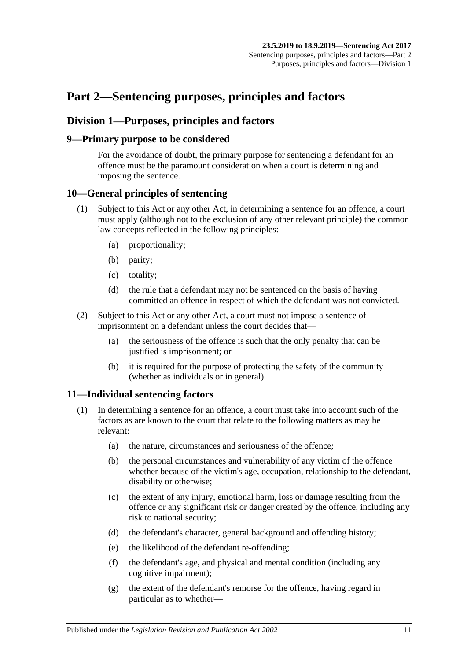# <span id="page-10-0"></span>**Part 2—Sentencing purposes, principles and factors**

# <span id="page-10-1"></span>**Division 1—Purposes, principles and factors**

# <span id="page-10-2"></span>**9—Primary purpose to be considered**

For the avoidance of doubt, the primary purpose for sentencing a defendant for an offence must be the paramount consideration when a court is determining and imposing the sentence.

# <span id="page-10-3"></span>**10—General principles of sentencing**

- (1) Subject to this Act or any other Act, in determining a sentence for an offence, a court must apply (although not to the exclusion of any other relevant principle) the common law concepts reflected in the following principles:
	- (a) proportionality;
	- (b) parity;
	- (c) totality;
	- (d) the rule that a defendant may not be sentenced on the basis of having committed an offence in respect of which the defendant was not convicted.
- (2) Subject to this Act or any other Act, a court must not impose a sentence of imprisonment on a defendant unless the court decides that—
	- (a) the seriousness of the offence is such that the only penalty that can be justified is imprisonment; or
	- (b) it is required for the purpose of protecting the safety of the community (whether as individuals or in general).

# <span id="page-10-5"></span><span id="page-10-4"></span>**11—Individual sentencing factors**

- <span id="page-10-6"></span>(1) In determining a sentence for an offence, a court must take into account such of the factors as are known to the court that relate to the following matters as may be relevant:
	- (a) the nature, circumstances and seriousness of the offence;
	- (b) the personal circumstances and vulnerability of any victim of the offence whether because of the victim's age, occupation, relationship to the defendant, disability or otherwise;
	- (c) the extent of any injury, emotional harm, loss or damage resulting from the offence or any significant risk or danger created by the offence, including any risk to national security;
	- (d) the defendant's character, general background and offending history;
	- (e) the likelihood of the defendant re-offending;
	- (f) the defendant's age, and physical and mental condition (including any cognitive impairment);
	- (g) the extent of the defendant's remorse for the offence, having regard in particular as to whether—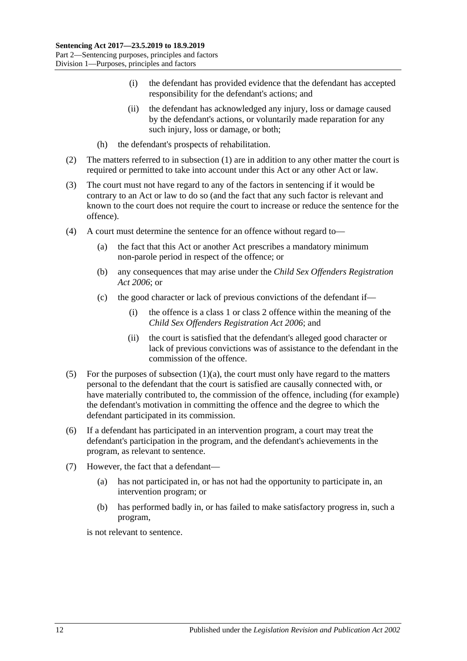- (i) the defendant has provided evidence that the defendant has accepted responsibility for the defendant's actions; and
- (ii) the defendant has acknowledged any injury, loss or damage caused by the defendant's actions, or voluntarily made reparation for any such injury, loss or damage, or both;
- (h) the defendant's prospects of rehabilitation.
- (2) The matters referred to in [subsection](#page-10-5) (1) are in addition to any other matter the court is required or permitted to take into account under this Act or any other Act or law.
- (3) The court must not have regard to any of the factors in sentencing if it would be contrary to an Act or law to do so (and the fact that any such factor is relevant and known to the court does not require the court to increase or reduce the sentence for the offence).
- (4) A court must determine the sentence for an offence without regard to—
	- (a) the fact that this Act or another Act prescribes a mandatory minimum non-parole period in respect of the offence; or
	- (b) any consequences that may arise under the *[Child Sex Offenders Registration](http://www.legislation.sa.gov.au/index.aspx?action=legref&type=act&legtitle=Child%20Sex%20Offenders%20Registration%20Act%202006)  Act [2006](http://www.legislation.sa.gov.au/index.aspx?action=legref&type=act&legtitle=Child%20Sex%20Offenders%20Registration%20Act%202006)*; or
	- (c) the good character or lack of previous convictions of the defendant if—
		- (i) the offence is a class 1 or class 2 offence within the meaning of the *[Child Sex Offenders Registration Act](http://www.legislation.sa.gov.au/index.aspx?action=legref&type=act&legtitle=Child%20Sex%20Offenders%20Registration%20Act%202006) 2006*; and
		- (ii) the court is satisfied that the defendant's alleged good character or lack of previous convictions was of assistance to the defendant in the commission of the offence.
- (5) For the purposes of [subsection](#page-10-6)  $(1)(a)$ , the court must only have regard to the matters personal to the defendant that the court is satisfied are causally connected with, or have materially contributed to, the commission of the offence, including (for example) the defendant's motivation in committing the offence and the degree to which the defendant participated in its commission.
- (6) If a defendant has participated in an intervention program, a court may treat the defendant's participation in the program, and the defendant's achievements in the program, as relevant to sentence.
- (7) However, the fact that a defendant—
	- (a) has not participated in, or has not had the opportunity to participate in, an intervention program; or
	- (b) has performed badly in, or has failed to make satisfactory progress in, such a program,

is not relevant to sentence.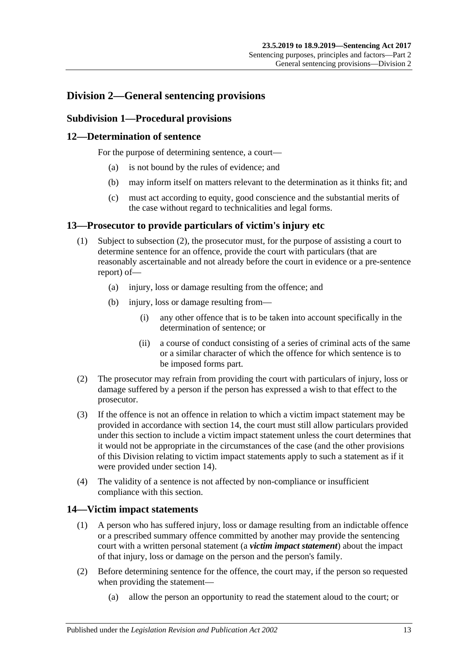# <span id="page-12-1"></span><span id="page-12-0"></span>**Division 2—General sentencing provisions**

# **Subdivision 1—Procedural provisions**

# <span id="page-12-2"></span>**12—Determination of sentence**

For the purpose of determining sentence, a court—

- (a) is not bound by the rules of evidence; and
- (b) may inform itself on matters relevant to the determination as it thinks fit; and
- (c) must act according to equity, good conscience and the substantial merits of the case without regard to technicalities and legal forms.

### <span id="page-12-3"></span>**13—Prosecutor to provide particulars of victim's injury etc**

- (1) Subject to [subsection](#page-12-5) (2), the prosecutor must, for the purpose of assisting a court to determine sentence for an offence, provide the court with particulars (that are reasonably ascertainable and not already before the court in evidence or a pre-sentence report) of—
	- (a) injury, loss or damage resulting from the offence; and
	- (b) injury, loss or damage resulting from—
		- (i) any other offence that is to be taken into account specifically in the determination of sentence; or
		- (ii) a course of conduct consisting of a series of criminal acts of the same or a similar character of which the offence for which sentence is to be imposed forms part.
- <span id="page-12-5"></span>(2) The prosecutor may refrain from providing the court with particulars of injury, loss or damage suffered by a person if the person has expressed a wish to that effect to the prosecutor.
- (3) If the offence is not an offence in relation to which a victim impact statement may be provided in accordance with [section](#page-12-4) 14, the court must still allow particulars provided under this section to include a victim impact statement unless the court determines that it would not be appropriate in the circumstances of the case (and the other provisions of this Division relating to victim impact statements apply to such a statement as if it were provided under [section](#page-12-4) 14).
- (4) The validity of a sentence is not affected by non-compliance or insufficient compliance with this section.

# <span id="page-12-4"></span>**14—Victim impact statements**

- (1) A person who has suffered injury, loss or damage resulting from an indictable offence or a prescribed summary offence committed by another may provide the sentencing court with a written personal statement (a *victim impact statement*) about the impact of that injury, loss or damage on the person and the person's family.
- (2) Before determining sentence for the offence, the court may, if the person so requested when providing the statement—
	- (a) allow the person an opportunity to read the statement aloud to the court; or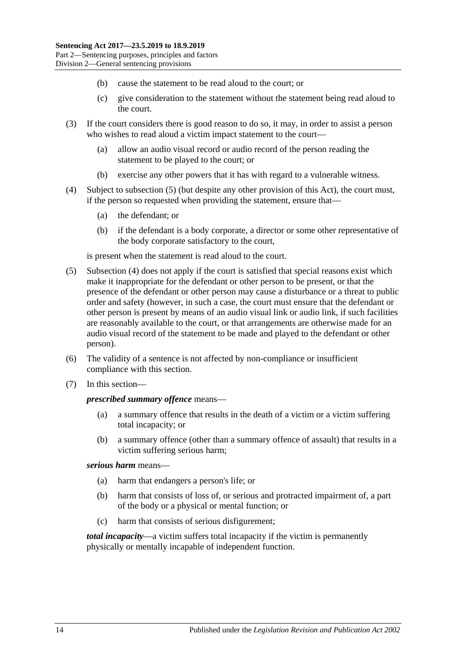- (b) cause the statement to be read aloud to the court; or
- (c) give consideration to the statement without the statement being read aloud to the court.
- (3) If the court considers there is good reason to do so, it may, in order to assist a person who wishes to read aloud a victim impact statement to the court—
	- (a) allow an audio visual record or audio record of the person reading the statement to be played to the court; or
	- (b) exercise any other powers that it has with regard to a vulnerable witness.
- <span id="page-13-1"></span>(4) Subject to [subsection](#page-13-0) (5) (but despite any other provision of this Act), the court must, if the person so requested when providing the statement, ensure that—
	- (a) the defendant; or
	- (b) if the defendant is a body corporate, a director or some other representative of the body corporate satisfactory to the court,

is present when the statement is read aloud to the court.

- <span id="page-13-0"></span>(5) [Subsection](#page-13-1) (4) does not apply if the court is satisfied that special reasons exist which make it inappropriate for the defendant or other person to be present, or that the presence of the defendant or other person may cause a disturbance or a threat to public order and safety (however, in such a case, the court must ensure that the defendant or other person is present by means of an audio visual link or audio link, if such facilities are reasonably available to the court, or that arrangements are otherwise made for an audio visual record of the statement to be made and played to the defendant or other person).
- (6) The validity of a sentence is not affected by non-compliance or insufficient compliance with this section.
- (7) In this section—

#### *prescribed summary offence* means—

- (a) a summary offence that results in the death of a victim or a victim suffering total incapacity; or
- (b) a summary offence (other than a summary offence of assault) that results in a victim suffering serious harm;

#### *serious harm* means—

- (a) harm that endangers a person's life; or
- (b) harm that consists of loss of, or serious and protracted impairment of, a part of the body or a physical or mental function; or
- (c) harm that consists of serious disfigurement;

*total incapacity*—a victim suffers total incapacity if the victim is permanently physically or mentally incapable of independent function.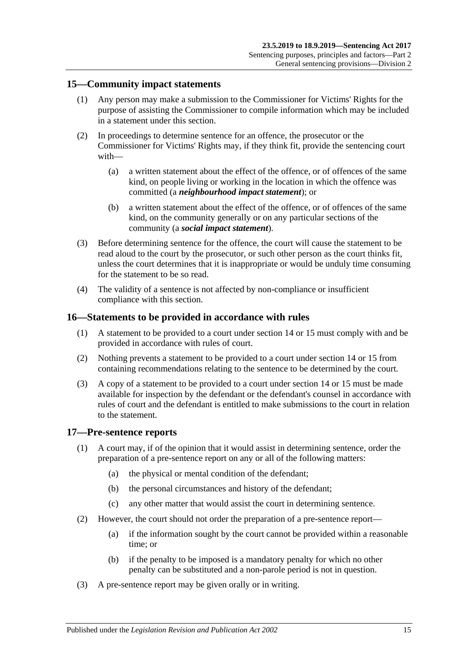### <span id="page-14-0"></span>**15—Community impact statements**

- (1) Any person may make a submission to the Commissioner for Victims' Rights for the purpose of assisting the Commissioner to compile information which may be included in a statement under this section.
- (2) In proceedings to determine sentence for an offence, the prosecutor or the Commissioner for Victims' Rights may, if they think fit, provide the sentencing court with—
	- (a) a written statement about the effect of the offence, or of offences of the same kind, on people living or working in the location in which the offence was committed (a *neighbourhood impact statement*); or
	- (b) a written statement about the effect of the offence, or of offences of the same kind, on the community generally or on any particular sections of the community (a *social impact statement*).
- (3) Before determining sentence for the offence, the court will cause the statement to be read aloud to the court by the prosecutor, or such other person as the court thinks fit, unless the court determines that it is inappropriate or would be unduly time consuming for the statement to be so read.
- (4) The validity of a sentence is not affected by non-compliance or insufficient compliance with this section.

#### <span id="page-14-1"></span>**16—Statements to be provided in accordance with rules**

- (1) A statement to be provided to a court under [section](#page-12-4) 14 or [15](#page-14-0) must comply with and be provided in accordance with rules of court.
- (2) Nothing prevents a statement to be provided to a court under [section](#page-12-4) 14 or [15](#page-14-0) from containing recommendations relating to the sentence to be determined by the court.
- (3) A copy of a statement to be provided to a court under [section](#page-12-4) 14 or [15](#page-14-0) must be made available for inspection by the defendant or the defendant's counsel in accordance with rules of court and the defendant is entitled to make submissions to the court in relation to the statement.

#### <span id="page-14-2"></span>**17—Pre-sentence reports**

- (1) A court may, if of the opinion that it would assist in determining sentence, order the preparation of a pre-sentence report on any or all of the following matters:
	- (a) the physical or mental condition of the defendant;
	- (b) the personal circumstances and history of the defendant;
	- (c) any other matter that would assist the court in determining sentence.
- (2) However, the court should not order the preparation of a pre-sentence report—
	- (a) if the information sought by the court cannot be provided within a reasonable time; or
	- (b) if the penalty to be imposed is a mandatory penalty for which no other penalty can be substituted and a non-parole period is not in question.
- (3) A pre-sentence report may be given orally or in writing.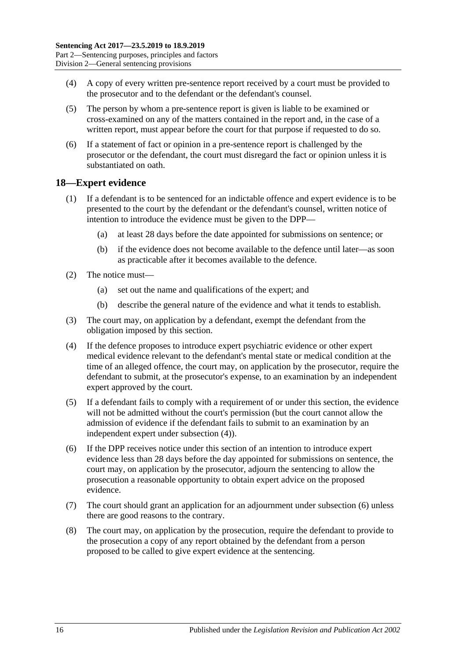- (4) A copy of every written pre-sentence report received by a court must be provided to the prosecutor and to the defendant or the defendant's counsel.
- (5) The person by whom a pre-sentence report is given is liable to be examined or cross-examined on any of the matters contained in the report and, in the case of a written report, must appear before the court for that purpose if requested to do so.
- (6) If a statement of fact or opinion in a pre-sentence report is challenged by the prosecutor or the defendant, the court must disregard the fact or opinion unless it is substantiated on oath.

### <span id="page-15-0"></span>**18—Expert evidence**

- (1) If a defendant is to be sentenced for an indictable offence and expert evidence is to be presented to the court by the defendant or the defendant's counsel, written notice of intention to introduce the evidence must be given to the DPP—
	- (a) at least 28 days before the date appointed for submissions on sentence; or
	- (b) if the evidence does not become available to the defence until later—as soon as practicable after it becomes available to the defence.
- (2) The notice must—
	- (a) set out the name and qualifications of the expert; and
	- (b) describe the general nature of the evidence and what it tends to establish.
- (3) The court may, on application by a defendant, exempt the defendant from the obligation imposed by this section.
- <span id="page-15-1"></span>(4) If the defence proposes to introduce expert psychiatric evidence or other expert medical evidence relevant to the defendant's mental state or medical condition at the time of an alleged offence, the court may, on application by the prosecutor, require the defendant to submit, at the prosecutor's expense, to an examination by an independent expert approved by the court.
- (5) If a defendant fails to comply with a requirement of or under this section, the evidence will not be admitted without the court's permission (but the court cannot allow the admission of evidence if the defendant fails to submit to an examination by an independent expert under [subsection](#page-15-1) (4)).
- <span id="page-15-2"></span>(6) If the DPP receives notice under this section of an intention to introduce expert evidence less than 28 days before the day appointed for submissions on sentence, the court may, on application by the prosecutor, adjourn the sentencing to allow the prosecution a reasonable opportunity to obtain expert advice on the proposed evidence.
- (7) The court should grant an application for an adjournment under [subsection](#page-15-2) (6) unless there are good reasons to the contrary.
- (8) The court may, on application by the prosecution, require the defendant to provide to the prosecution a copy of any report obtained by the defendant from a person proposed to be called to give expert evidence at the sentencing.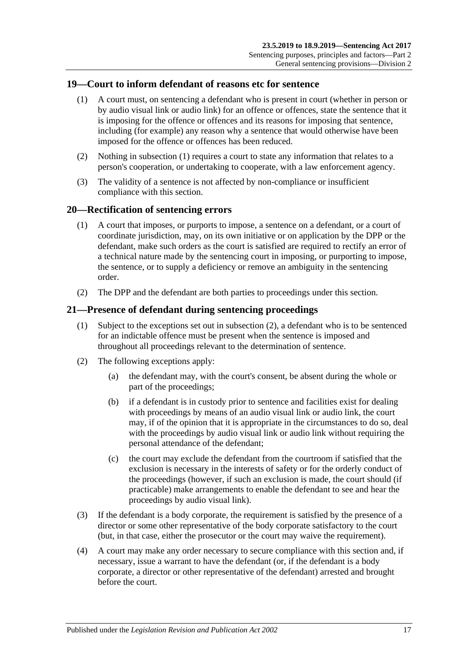## <span id="page-16-3"></span><span id="page-16-0"></span>**19—Court to inform defendant of reasons etc for sentence**

- (1) A court must, on sentencing a defendant who is present in court (whether in person or by audio visual link or audio link) for an offence or offences, state the sentence that it is imposing for the offence or offences and its reasons for imposing that sentence, including (for example) any reason why a sentence that would otherwise have been imposed for the offence or offences has been reduced.
- (2) Nothing in [subsection](#page-16-3) (1) requires a court to state any information that relates to a person's cooperation, or undertaking to cooperate, with a law enforcement agency.
- (3) The validity of a sentence is not affected by non-compliance or insufficient compliance with this section.

### <span id="page-16-1"></span>**20—Rectification of sentencing errors**

- (1) A court that imposes, or purports to impose, a sentence on a defendant, or a court of coordinate jurisdiction, may, on its own initiative or on application by the DPP or the defendant, make such orders as the court is satisfied are required to rectify an error of a technical nature made by the sentencing court in imposing, or purporting to impose, the sentence, or to supply a deficiency or remove an ambiguity in the sentencing order.
- (2) The DPP and the defendant are both parties to proceedings under this section.

### <span id="page-16-2"></span>**21—Presence of defendant during sentencing proceedings**

- (1) Subject to the exceptions set out in [subsection](#page-16-4) (2), a defendant who is to be sentenced for an indictable offence must be present when the sentence is imposed and throughout all proceedings relevant to the determination of sentence.
- <span id="page-16-4"></span>(2) The following exceptions apply:
	- (a) the defendant may, with the court's consent, be absent during the whole or part of the proceedings;
	- (b) if a defendant is in custody prior to sentence and facilities exist for dealing with proceedings by means of an audio visual link or audio link, the court may, if of the opinion that it is appropriate in the circumstances to do so, deal with the proceedings by audio visual link or audio link without requiring the personal attendance of the defendant;
	- (c) the court may exclude the defendant from the courtroom if satisfied that the exclusion is necessary in the interests of safety or for the orderly conduct of the proceedings (however, if such an exclusion is made, the court should (if practicable) make arrangements to enable the defendant to see and hear the proceedings by audio visual link).
- (3) If the defendant is a body corporate, the requirement is satisfied by the presence of a director or some other representative of the body corporate satisfactory to the court (but, in that case, either the prosecutor or the court may waive the requirement).
- (4) A court may make any order necessary to secure compliance with this section and, if necessary, issue a warrant to have the defendant (or, if the defendant is a body corporate, a director or other representative of the defendant) arrested and brought before the court.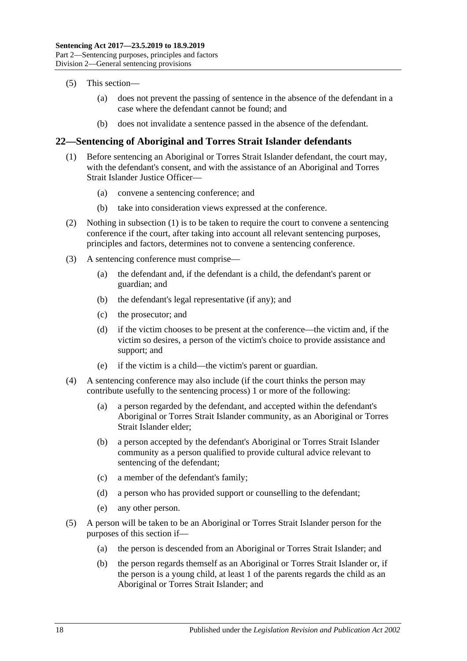- (5) This section—
	- (a) does not prevent the passing of sentence in the absence of the defendant in a case where the defendant cannot be found; and
	- (b) does not invalidate a sentence passed in the absence of the defendant.

# <span id="page-17-1"></span><span id="page-17-0"></span>**22—Sentencing of Aboriginal and Torres Strait Islander defendants**

- (1) Before sentencing an Aboriginal or Torres Strait Islander defendant, the court may, with the defendant's consent, and with the assistance of an Aboriginal and Torres Strait Islander Justice Officer—
	- (a) convene a sentencing conference; and
	- (b) take into consideration views expressed at the conference.
- (2) Nothing in [subsection](#page-17-1) (1) is to be taken to require the court to convene a sentencing conference if the court, after taking into account all relevant sentencing purposes, principles and factors, determines not to convene a sentencing conference.
- (3) A sentencing conference must comprise—
	- (a) the defendant and, if the defendant is a child, the defendant's parent or guardian; and
	- (b) the defendant's legal representative (if any); and
	- (c) the prosecutor; and
	- (d) if the victim chooses to be present at the conference—the victim and, if the victim so desires, a person of the victim's choice to provide assistance and support; and
	- (e) if the victim is a child—the victim's parent or guardian.
- (4) A sentencing conference may also include (if the court thinks the person may contribute usefully to the sentencing process) 1 or more of the following:
	- (a) a person regarded by the defendant, and accepted within the defendant's Aboriginal or Torres Strait Islander community, as an Aboriginal or Torres Strait Islander elder;
	- (b) a person accepted by the defendant's Aboriginal or Torres Strait Islander community as a person qualified to provide cultural advice relevant to sentencing of the defendant;
	- (c) a member of the defendant's family;
	- (d) a person who has provided support or counselling to the defendant;
	- (e) any other person.
- (5) A person will be taken to be an Aboriginal or Torres Strait Islander person for the purposes of this section if—
	- (a) the person is descended from an Aboriginal or Torres Strait Islander; and
	- (b) the person regards themself as an Aboriginal or Torres Strait Islander or, if the person is a young child, at least 1 of the parents regards the child as an Aboriginal or Torres Strait Islander; and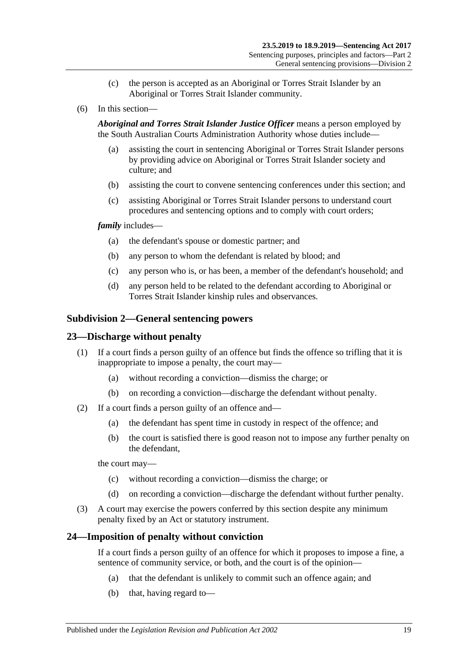- (c) the person is accepted as an Aboriginal or Torres Strait Islander by an Aboriginal or Torres Strait Islander community.
- (6) In this section—

*Aboriginal and Torres Strait Islander Justice Officer* means a person employed by the South Australian Courts Administration Authority whose duties include—

- (a) assisting the court in sentencing Aboriginal or Torres Strait Islander persons by providing advice on Aboriginal or Torres Strait Islander society and culture; and
- (b) assisting the court to convene sentencing conferences under this section; and
- (c) assisting Aboriginal or Torres Strait Islander persons to understand court procedures and sentencing options and to comply with court orders;

#### *family* includes—

- (a) the defendant's spouse or domestic partner; and
- (b) any person to whom the defendant is related by blood; and
- (c) any person who is, or has been, a member of the defendant's household; and
- (d) any person held to be related to the defendant according to Aboriginal or Torres Strait Islander kinship rules and observances.

#### <span id="page-18-0"></span>**Subdivision 2—General sentencing powers**

#### <span id="page-18-1"></span>**23—Discharge without penalty**

- (1) If a court finds a person guilty of an offence but finds the offence so trifling that it is inappropriate to impose a penalty, the court may—
	- (a) without recording a conviction—dismiss the charge; or
	- (b) on recording a conviction—discharge the defendant without penalty.
- (2) If a court finds a person guilty of an offence and—
	- (a) the defendant has spent time in custody in respect of the offence; and
	- (b) the court is satisfied there is good reason not to impose any further penalty on the defendant,

the court may—

- (c) without recording a conviction—dismiss the charge; or
- (d) on recording a conviction—discharge the defendant without further penalty.
- (3) A court may exercise the powers conferred by this section despite any minimum penalty fixed by an Act or statutory instrument.

#### <span id="page-18-2"></span>**24—Imposition of penalty without conviction**

If a court finds a person guilty of an offence for which it proposes to impose a fine, a sentence of community service, or both, and the court is of the opinion—

- (a) that the defendant is unlikely to commit such an offence again; and
- (b) that, having regard to—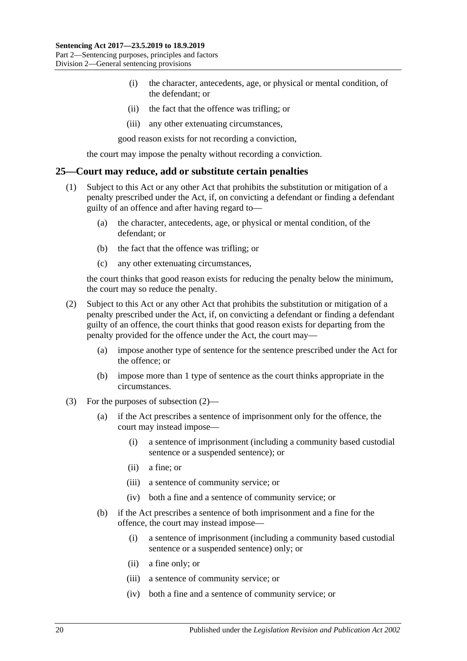- (i) the character, antecedents, age, or physical or mental condition, of the defendant; or
- (ii) the fact that the offence was trifling; or
- (iii) any other extenuating circumstances,

good reason exists for not recording a conviction,

the court may impose the penalty without recording a conviction.

#### <span id="page-19-0"></span>**25—Court may reduce, add or substitute certain penalties**

- (1) Subject to this Act or any other Act that prohibits the substitution or mitigation of a penalty prescribed under the Act, if, on convicting a defendant or finding a defendant guilty of an offence and after having regard to—
	- (a) the character, antecedents, age, or physical or mental condition, of the defendant; or
	- (b) the fact that the offence was trifling; or
	- (c) any other extenuating circumstances,

the court thinks that good reason exists for reducing the penalty below the minimum, the court may so reduce the penalty.

- <span id="page-19-1"></span>(2) Subject to this Act or any other Act that prohibits the substitution or mitigation of a penalty prescribed under the Act, if, on convicting a defendant or finding a defendant guilty of an offence, the court thinks that good reason exists for departing from the penalty provided for the offence under the Act, the court may—
	- (a) impose another type of sentence for the sentence prescribed under the Act for the offence; or
	- (b) impose more than 1 type of sentence as the court thinks appropriate in the circumstances.
- (3) For the purposes of [subsection](#page-19-1) (2)—
	- (a) if the Act prescribes a sentence of imprisonment only for the offence, the court may instead impose—
		- (i) a sentence of imprisonment (including a community based custodial sentence or a suspended sentence); or
		- (ii) a fine; or
		- (iii) a sentence of community service; or
		- (iv) both a fine and a sentence of community service; or
	- (b) if the Act prescribes a sentence of both imprisonment and a fine for the offence, the court may instead impose—
		- (i) a sentence of imprisonment (including a community based custodial sentence or a suspended sentence) only; or
		- (ii) a fine only; or
		- (iii) a sentence of community service; or
		- (iv) both a fine and a sentence of community service; or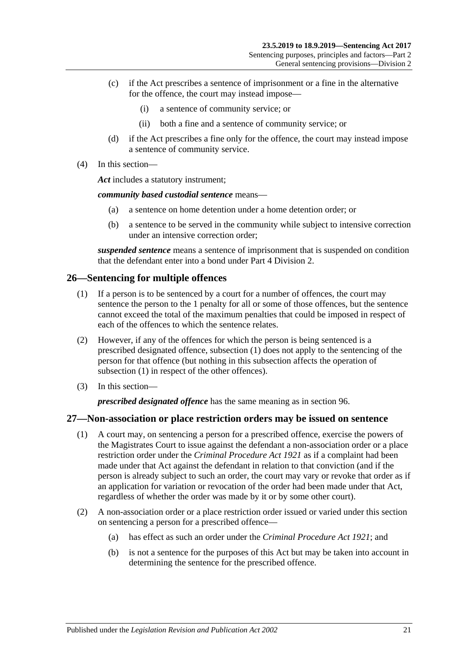- (c) if the Act prescribes a sentence of imprisonment or a fine in the alternative for the offence, the court may instead impose—
	- (i) a sentence of community service; or
	- (ii) both a fine and a sentence of community service; or
- (d) if the Act prescribes a fine only for the offence, the court may instead impose a sentence of community service.
- (4) In this section—

*Act* includes a statutory instrument;

*community based custodial sentence* means—

- (a) a sentence on home detention under a home detention order; or
- (b) a sentence to be served in the community while subject to intensive correction under an intensive correction order;

*suspended sentence* means a sentence of imprisonment that is suspended on condition that the defendant enter into a bond under Part [4 Division](#page-77-0) 2.

# <span id="page-20-2"></span><span id="page-20-0"></span>**26—Sentencing for multiple offences**

- (1) If a person is to be sentenced by a court for a number of offences, the court may sentence the person to the 1 penalty for all or some of those offences, but the sentence cannot exceed the total of the maximum penalties that could be imposed in respect of each of the offences to which the sentence relates.
- (2) However, if any of the offences for which the person is being sentenced is a prescribed designated offence, [subsection](#page-20-2) (1) does not apply to the sentencing of the person for that offence (but nothing in this subsection affects the operation of [subsection](#page-20-2) (1) in respect of the other offences).
- (3) In this section—

*prescribed designated offence* has the same meaning as in [section](#page-77-1) 96.

# <span id="page-20-1"></span>**27—Non-association or place restriction orders may be issued on sentence**

- (1) A court may, on sentencing a person for a prescribed offence, exercise the powers of the Magistrates Court to issue against the defendant a non-association order or a place restriction order under the *[Criminal Procedure Act](http://www.legislation.sa.gov.au/index.aspx?action=legref&type=act&legtitle=Criminal%20Procedure%20Act%201921) 1921* as if a complaint had been made under that Act against the defendant in relation to that conviction (and if the person is already subject to such an order, the court may vary or revoke that order as if an application for variation or revocation of the order had been made under that Act, regardless of whether the order was made by it or by some other court).
- (2) A non-association order or a place restriction order issued or varied under this section on sentencing a person for a prescribed offence—
	- (a) has effect as such an order under the *[Criminal Procedure Act](http://www.legislation.sa.gov.au/index.aspx?action=legref&type=act&legtitle=Criminal%20Procedure%20Act%201921) 1921*; and
	- (b) is not a sentence for the purposes of this Act but may be taken into account in determining the sentence for the prescribed offence.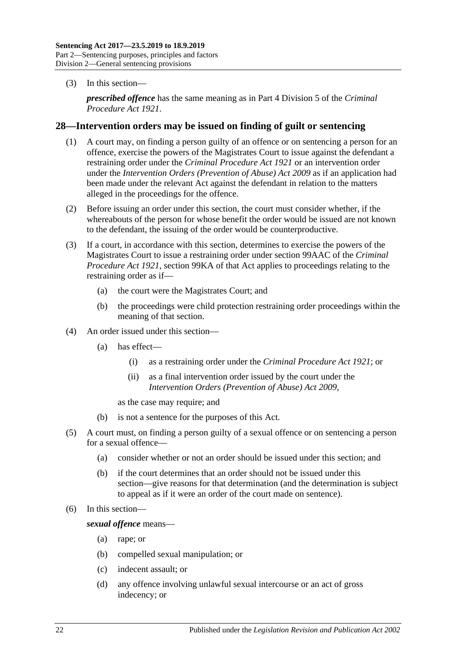(3) In this section—

*prescribed offence* has the same meaning as in Part 4 Division 5 of the *[Criminal](http://www.legislation.sa.gov.au/index.aspx?action=legref&type=act&legtitle=Criminal%20Procedure%20Act%201921)  [Procedure Act](http://www.legislation.sa.gov.au/index.aspx?action=legref&type=act&legtitle=Criminal%20Procedure%20Act%201921) 1921*.

#### <span id="page-21-0"></span>**28—Intervention orders may be issued on finding of guilt or sentencing**

- (1) A court may, on finding a person guilty of an offence or on sentencing a person for an offence, exercise the powers of the Magistrates Court to issue against the defendant a restraining order under the *[Criminal Procedure Act](http://www.legislation.sa.gov.au/index.aspx?action=legref&type=act&legtitle=Criminal%20Procedure%20Act%201921) 1921* or an intervention order under the *[Intervention Orders \(Prevention of Abuse\) Act](http://www.legislation.sa.gov.au/index.aspx?action=legref&type=act&legtitle=Intervention%20Orders%20(Prevention%20of%20Abuse)%20Act%202009) 2009* as if an application had been made under the relevant Act against the defendant in relation to the matters alleged in the proceedings for the offence.
- (2) Before issuing an order under this section, the court must consider whether, if the whereabouts of the person for whose benefit the order would be issued are not known to the defendant, the issuing of the order would be counterproductive.
- (3) If a court, in accordance with this section, determines to exercise the powers of the Magistrates Court to issue a restraining order under section 99AAC of the *[Criminal](http://www.legislation.sa.gov.au/index.aspx?action=legref&type=act&legtitle=Criminal%20Procedure%20Act%201921)  [Procedure Act](http://www.legislation.sa.gov.au/index.aspx?action=legref&type=act&legtitle=Criminal%20Procedure%20Act%201921) 1921*, section 99KA of that Act applies to proceedings relating to the restraining order as if—
	- (a) the court were the Magistrates Court; and
	- (b) the proceedings were child protection restraining order proceedings within the meaning of that section.
- (4) An order issued under this section—
	- (a) has effect—
		- (i) as a restraining order under the *[Criminal Procedure Act](http://www.legislation.sa.gov.au/index.aspx?action=legref&type=act&legtitle=Criminal%20Procedure%20Act%201921) 1921*; or
		- (ii) as a final intervention order issued by the court under the *[Intervention Orders \(Prevention of Abuse\) Act](http://www.legislation.sa.gov.au/index.aspx?action=legref&type=act&legtitle=Intervention%20Orders%20(Prevention%20of%20Abuse)%20Act%202009) 2009*,

as the case may require; and

- (b) is not a sentence for the purposes of this Act.
- (5) A court must, on finding a person guilty of a sexual offence or on sentencing a person for a sexual offence—
	- (a) consider whether or not an order should be issued under this section; and
	- (b) if the court determines that an order should not be issued under this section—give reasons for that determination (and the determination is subject to appeal as if it were an order of the court made on sentence).
- (6) In this section—

*sexual offence* means—

- (a) rape; or
- (b) compelled sexual manipulation; or
- (c) indecent assault; or
- (d) any offence involving unlawful sexual intercourse or an act of gross indecency; or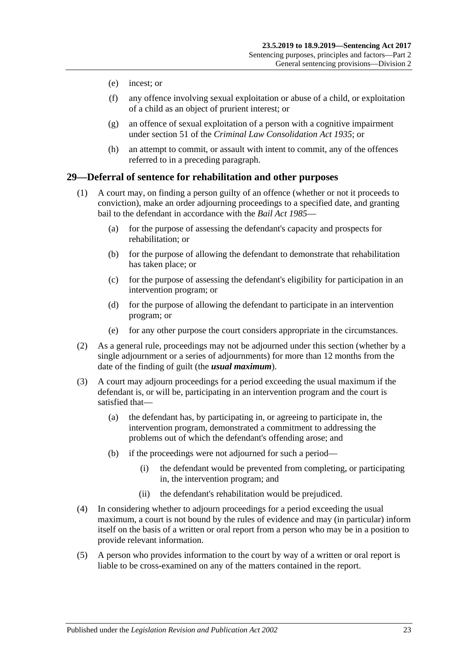- (e) incest; or
- (f) any offence involving sexual exploitation or abuse of a child, or exploitation of a child as an object of prurient interest; or
- (g) an offence of sexual exploitation of a person with a cognitive impairment under section 51 of the *[Criminal Law Consolidation Act](http://www.legislation.sa.gov.au/index.aspx?action=legref&type=act&legtitle=Criminal%20Law%20Consolidation%20Act%201935) 1935*; or
- (h) an attempt to commit, or assault with intent to commit, any of the offences referred to in a preceding paragraph.

### <span id="page-22-0"></span>**29—Deferral of sentence for rehabilitation and other purposes**

- (1) A court may, on finding a person guilty of an offence (whether or not it proceeds to conviction), make an order adjourning proceedings to a specified date, and granting bail to the defendant in accordance with the *[Bail Act](http://www.legislation.sa.gov.au/index.aspx?action=legref&type=act&legtitle=Bail%20Act%201985) 1985*—
	- (a) for the purpose of assessing the defendant's capacity and prospects for rehabilitation; or
	- (b) for the purpose of allowing the defendant to demonstrate that rehabilitation has taken place; or
	- (c) for the purpose of assessing the defendant's eligibility for participation in an intervention program; or
	- (d) for the purpose of allowing the defendant to participate in an intervention program; or
	- (e) for any other purpose the court considers appropriate in the circumstances.
- (2) As a general rule, proceedings may not be adjourned under this section (whether by a single adjournment or a series of adjournments) for more than 12 months from the date of the finding of guilt (the *usual maximum*).
- (3) A court may adjourn proceedings for a period exceeding the usual maximum if the defendant is, or will be, participating in an intervention program and the court is satisfied that—
	- (a) the defendant has, by participating in, or agreeing to participate in, the intervention program, demonstrated a commitment to addressing the problems out of which the defendant's offending arose; and
	- (b) if the proceedings were not adjourned for such a period—
		- (i) the defendant would be prevented from completing, or participating in, the intervention program; and
		- (ii) the defendant's rehabilitation would be prejudiced.
- (4) In considering whether to adjourn proceedings for a period exceeding the usual maximum, a court is not bound by the rules of evidence and may (in particular) inform itself on the basis of a written or oral report from a person who may be in a position to provide relevant information.
- (5) A person who provides information to the court by way of a written or oral report is liable to be cross-examined on any of the matters contained in the report.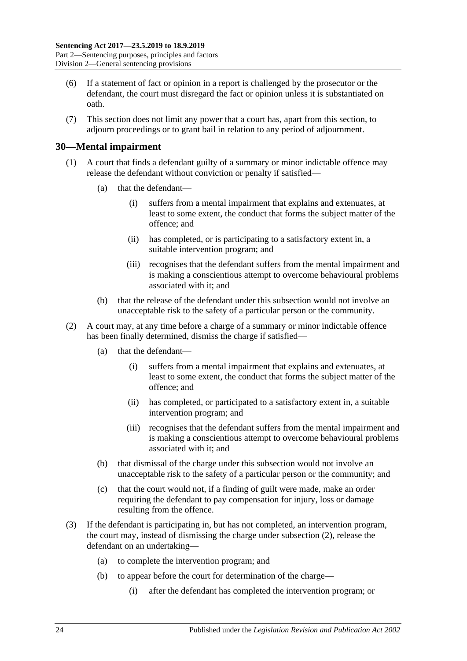- (6) If a statement of fact or opinion in a report is challenged by the prosecutor or the defendant, the court must disregard the fact or opinion unless it is substantiated on oath.
- (7) This section does not limit any power that a court has, apart from this section, to adjourn proceedings or to grant bail in relation to any period of adjournment.

## <span id="page-23-0"></span>**30—Mental impairment**

- (1) A court that finds a defendant guilty of a summary or minor indictable offence may release the defendant without conviction or penalty if satisfied—
	- (a) that the defendant—
		- (i) suffers from a mental impairment that explains and extenuates, at least to some extent, the conduct that forms the subject matter of the offence; and
		- (ii) has completed, or is participating to a satisfactory extent in, a suitable intervention program; and
		- (iii) recognises that the defendant suffers from the mental impairment and is making a conscientious attempt to overcome behavioural problems associated with it; and
	- (b) that the release of the defendant under this subsection would not involve an unacceptable risk to the safety of a particular person or the community.
- <span id="page-23-1"></span>(2) A court may, at any time before a charge of a summary or minor indictable offence has been finally determined, dismiss the charge if satisfied—
	- (a) that the defendant—
		- (i) suffers from a mental impairment that explains and extenuates, at least to some extent, the conduct that forms the subject matter of the offence; and
		- (ii) has completed, or participated to a satisfactory extent in, a suitable intervention program; and
		- (iii) recognises that the defendant suffers from the mental impairment and is making a conscientious attempt to overcome behavioural problems associated with it; and
	- (b) that dismissal of the charge under this subsection would not involve an unacceptable risk to the safety of a particular person or the community; and
	- (c) that the court would not, if a finding of guilt were made, make an order requiring the defendant to pay compensation for injury, loss or damage resulting from the offence.
- <span id="page-23-2"></span>(3) If the defendant is participating in, but has not completed, an intervention program, the court may, instead of dismissing the charge under [subsection](#page-23-1) (2), release the defendant on an undertaking—
	- (a) to complete the intervention program; and
	- (b) to appear before the court for determination of the charge—
		- (i) after the defendant has completed the intervention program; or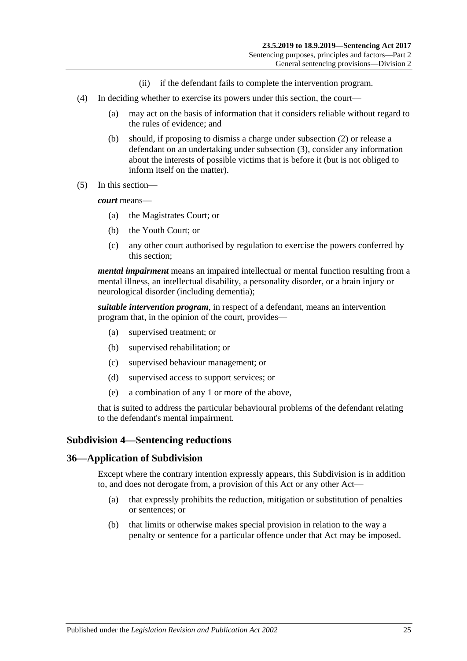- (ii) if the defendant fails to complete the intervention program.
- (4) In deciding whether to exercise its powers under this section, the court—
	- (a) may act on the basis of information that it considers reliable without regard to the rules of evidence; and
	- (b) should, if proposing to dismiss a charge under [subsection](#page-23-1) (2) or release a defendant on an undertaking under [subsection](#page-23-2) (3), consider any information about the interests of possible victims that is before it (but is not obliged to inform itself on the matter).
- (5) In this section—

*court* means—

- (a) the Magistrates Court; or
- (b) the Youth Court; or
- (c) any other court authorised by regulation to exercise the powers conferred by this section;

*mental impairment* means an impaired intellectual or mental function resulting from a mental illness, an intellectual disability, a personality disorder, or a brain injury or neurological disorder (including dementia);

*suitable intervention program*, in respect of a defendant, means an intervention program that, in the opinion of the court, provides—

- (a) supervised treatment; or
- (b) supervised rehabilitation; or
- (c) supervised behaviour management; or
- (d) supervised access to support services; or
- (e) a combination of any 1 or more of the above,

that is suited to address the particular behavioural problems of the defendant relating to the defendant's mental impairment.

#### <span id="page-24-0"></span>**Subdivision 4—Sentencing reductions**

#### <span id="page-24-1"></span>**36—Application of Subdivision**

Except where the contrary intention expressly appears, this Subdivision is in addition to, and does not derogate from, a provision of this Act or any other Act—

- (a) that expressly prohibits the reduction, mitigation or substitution of penalties or sentences; or
- (b) that limits or otherwise makes special provision in relation to the way a penalty or sentence for a particular offence under that Act may be imposed.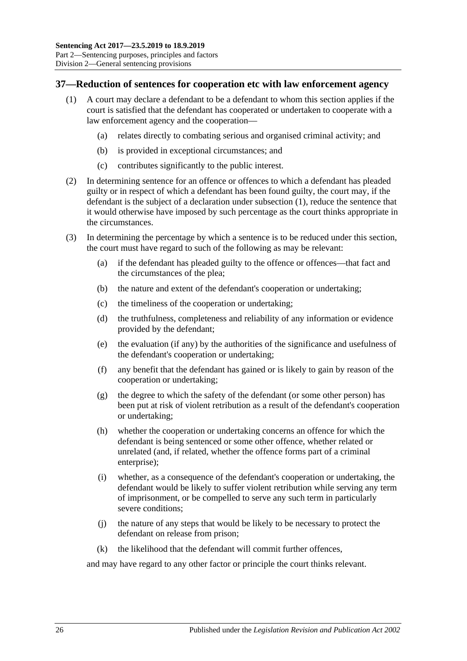## <span id="page-25-1"></span><span id="page-25-0"></span>**37—Reduction of sentences for cooperation etc with law enforcement agency**

- (1) A court may declare a defendant to be a defendant to whom this section applies if the court is satisfied that the defendant has cooperated or undertaken to cooperate with a law enforcement agency and the cooperation—
	- (a) relates directly to combating serious and organised criminal activity; and
	- (b) is provided in exceptional circumstances; and
	- (c) contributes significantly to the public interest.
- (2) In determining sentence for an offence or offences to which a defendant has pleaded guilty or in respect of which a defendant has been found guilty, the court may, if the defendant is the subject of a declaration under [subsection](#page-25-1) (1), reduce the sentence that it would otherwise have imposed by such percentage as the court thinks appropriate in the circumstances.
- (3) In determining the percentage by which a sentence is to be reduced under this section, the court must have regard to such of the following as may be relevant:
	- (a) if the defendant has pleaded guilty to the offence or offences—that fact and the circumstances of the plea;
	- (b) the nature and extent of the defendant's cooperation or undertaking;
	- (c) the timeliness of the cooperation or undertaking;
	- (d) the truthfulness, completeness and reliability of any information or evidence provided by the defendant;
	- (e) the evaluation (if any) by the authorities of the significance and usefulness of the defendant's cooperation or undertaking;
	- (f) any benefit that the defendant has gained or is likely to gain by reason of the cooperation or undertaking;
	- (g) the degree to which the safety of the defendant (or some other person) has been put at risk of violent retribution as a result of the defendant's cooperation or undertaking;
	- (h) whether the cooperation or undertaking concerns an offence for which the defendant is being sentenced or some other offence, whether related or unrelated (and, if related, whether the offence forms part of a criminal enterprise);
	- (i) whether, as a consequence of the defendant's cooperation or undertaking, the defendant would be likely to suffer violent retribution while serving any term of imprisonment, or be compelled to serve any such term in particularly severe conditions;
	- (j) the nature of any steps that would be likely to be necessary to protect the defendant on release from prison;
	- (k) the likelihood that the defendant will commit further offences,

and may have regard to any other factor or principle the court thinks relevant.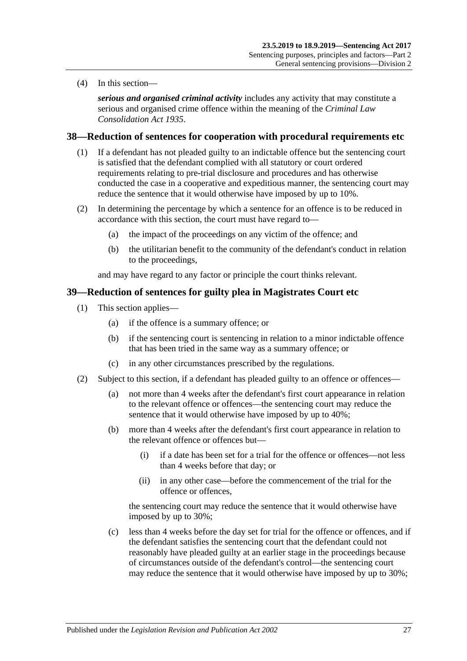(4) In this section—

*serious and organised criminal activity* includes any activity that may constitute a serious and organised crime offence within the meaning of the *[Criminal Law](http://www.legislation.sa.gov.au/index.aspx?action=legref&type=act&legtitle=Criminal%20Law%20Consolidation%20Act%201935)  [Consolidation Act](http://www.legislation.sa.gov.au/index.aspx?action=legref&type=act&legtitle=Criminal%20Law%20Consolidation%20Act%201935) 1935*.

## <span id="page-26-0"></span>**38—Reduction of sentences for cooperation with procedural requirements etc**

- (1) If a defendant has not pleaded guilty to an indictable offence but the sentencing court is satisfied that the defendant complied with all statutory or court ordered requirements relating to pre-trial disclosure and procedures and has otherwise conducted the case in a cooperative and expeditious manner, the sentencing court may reduce the sentence that it would otherwise have imposed by up to 10%.
- (2) In determining the percentage by which a sentence for an offence is to be reduced in accordance with this section, the court must have regard to—
	- (a) the impact of the proceedings on any victim of the offence; and
	- (b) the utilitarian benefit to the community of the defendant's conduct in relation to the proceedings,

and may have regard to any factor or principle the court thinks relevant.

#### <span id="page-26-3"></span><span id="page-26-1"></span>**39—Reduction of sentences for guilty plea in Magistrates Court etc**

- (1) This section applies—
	- (a) if the offence is a summary offence; or
	- (b) if the sentencing court is sentencing in relation to a minor indictable offence that has been tried in the same way as a summary offence; or
	- (c) in any other circumstances prescribed by the regulations.
- <span id="page-26-2"></span>(2) Subject to this section, if a defendant has pleaded guilty to an offence or offences—
	- (a) not more than 4 weeks after the defendant's first court appearance in relation to the relevant offence or offences—the sentencing court may reduce the sentence that it would otherwise have imposed by up to 40%;
	- (b) more than 4 weeks after the defendant's first court appearance in relation to the relevant offence or offences but—
		- (i) if a date has been set for a trial for the offence or offences—not less than 4 weeks before that day; or
		- (ii) in any other case—before the commencement of the trial for the offence or offences,

the sentencing court may reduce the sentence that it would otherwise have imposed by up to 30%;

(c) less than 4 weeks before the day set for trial for the offence or offences, and if the defendant satisfies the sentencing court that the defendant could not reasonably have pleaded guilty at an earlier stage in the proceedings because of circumstances outside of the defendant's control—the sentencing court may reduce the sentence that it would otherwise have imposed by up to 30%;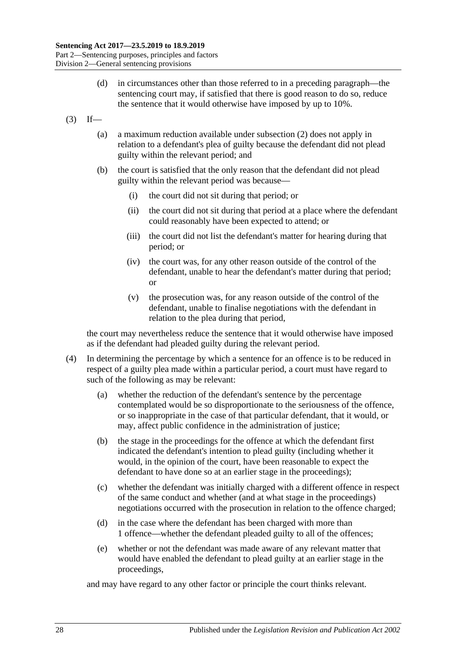- (d) in circumstances other than those referred to in a preceding paragraph—the sentencing court may, if satisfied that there is good reason to do so, reduce the sentence that it would otherwise have imposed by up to 10%.
- $(3)$  If—
	- (a) a maximum reduction available under [subsection](#page-26-2) (2) does not apply in relation to a defendant's plea of guilty because the defendant did not plead guilty within the relevant period; and
	- (b) the court is satisfied that the only reason that the defendant did not plead guilty within the relevant period was because—
		- (i) the court did not sit during that period; or
		- (ii) the court did not sit during that period at a place where the defendant could reasonably have been expected to attend; or
		- (iii) the court did not list the defendant's matter for hearing during that period; or
		- (iv) the court was, for any other reason outside of the control of the defendant, unable to hear the defendant's matter during that period; or
		- (v) the prosecution was, for any reason outside of the control of the defendant, unable to finalise negotiations with the defendant in relation to the plea during that period,

the court may nevertheless reduce the sentence that it would otherwise have imposed as if the defendant had pleaded guilty during the relevant period.

- (4) In determining the percentage by which a sentence for an offence is to be reduced in respect of a guilty plea made within a particular period, a court must have regard to such of the following as may be relevant:
	- (a) whether the reduction of the defendant's sentence by the percentage contemplated would be so disproportionate to the seriousness of the offence, or so inappropriate in the case of that particular defendant, that it would, or may, affect public confidence in the administration of justice;
	- (b) the stage in the proceedings for the offence at which the defendant first indicated the defendant's intention to plead guilty (including whether it would, in the opinion of the court, have been reasonable to expect the defendant to have done so at an earlier stage in the proceedings);
	- (c) whether the defendant was initially charged with a different offence in respect of the same conduct and whether (and at what stage in the proceedings) negotiations occurred with the prosecution in relation to the offence charged;
	- (d) in the case where the defendant has been charged with more than 1 offence—whether the defendant pleaded guilty to all of the offences;
	- (e) whether or not the defendant was made aware of any relevant matter that would have enabled the defendant to plead guilty at an earlier stage in the proceedings,

and may have regard to any other factor or principle the court thinks relevant.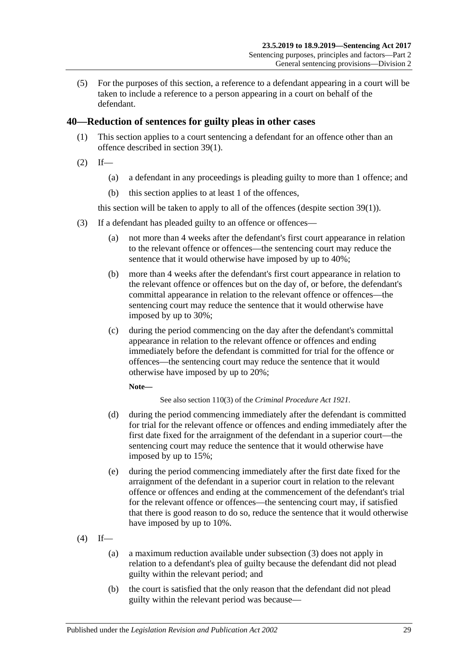(5) For the purposes of this section, a reference to a defendant appearing in a court will be taken to include a reference to a person appearing in a court on behalf of the defendant.

# <span id="page-28-0"></span>**40—Reduction of sentences for guilty pleas in other cases**

- (1) This section applies to a court sentencing a defendant for an offence other than an offence described in [section](#page-26-3) 39(1).
- $(2)$  If—
	- (a) a defendant in any proceedings is pleading guilty to more than 1 offence; and
	- (b) this section applies to at least 1 of the offences,

this section will be taken to apply to all of the offences (despite [section](#page-26-3) 39(1)).

- <span id="page-28-1"></span>(3) If a defendant has pleaded guilty to an offence or offences—
	- (a) not more than 4 weeks after the defendant's first court appearance in relation to the relevant offence or offences—the sentencing court may reduce the sentence that it would otherwise have imposed by up to 40%;
	- (b) more than 4 weeks after the defendant's first court appearance in relation to the relevant offence or offences but on the day of, or before, the defendant's committal appearance in relation to the relevant offence or offences—the sentencing court may reduce the sentence that it would otherwise have imposed by up to 30%;
	- (c) during the period commencing on the day after the defendant's committal appearance in relation to the relevant offence or offences and ending immediately before the defendant is committed for trial for the offence or offences—the sentencing court may reduce the sentence that it would otherwise have imposed by up to 20%;

#### **Note—**

See also section 110(3) of the *[Criminal Procedure Act](http://www.legislation.sa.gov.au/index.aspx?action=legref&type=act&legtitle=Criminal%20Procedure%20Act%201921) 1921*.

- (d) during the period commencing immediately after the defendant is committed for trial for the relevant offence or offences and ending immediately after the first date fixed for the arraignment of the defendant in a superior court—the sentencing court may reduce the sentence that it would otherwise have imposed by up to 15%;
- (e) during the period commencing immediately after the first date fixed for the arraignment of the defendant in a superior court in relation to the relevant offence or offences and ending at the commencement of the defendant's trial for the relevant offence or offences—the sentencing court may, if satisfied that there is good reason to do so, reduce the sentence that it would otherwise have imposed by up to 10%.
- $(4)$  If—
	- (a) a maximum reduction available under [subsection](#page-28-1) (3) does not apply in relation to a defendant's plea of guilty because the defendant did not plead guilty within the relevant period; and
	- (b) the court is satisfied that the only reason that the defendant did not plead guilty within the relevant period was because—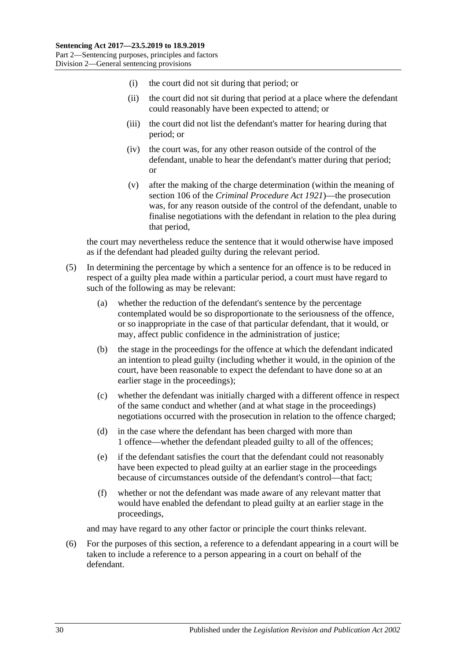- (i) the court did not sit during that period; or
- (ii) the court did not sit during that period at a place where the defendant could reasonably have been expected to attend; or
- (iii) the court did not list the defendant's matter for hearing during that period; or
- (iv) the court was, for any other reason outside of the control of the defendant, unable to hear the defendant's matter during that period; or
- (v) after the making of the charge determination (within the meaning of section 106 of the *[Criminal Procedure Act](http://www.legislation.sa.gov.au/index.aspx?action=legref&type=act&legtitle=Criminal%20Procedure%20Act%201921) 1921*)—the prosecution was, for any reason outside of the control of the defendant, unable to finalise negotiations with the defendant in relation to the plea during that period,

the court may nevertheless reduce the sentence that it would otherwise have imposed as if the defendant had pleaded guilty during the relevant period.

- (5) In determining the percentage by which a sentence for an offence is to be reduced in respect of a guilty plea made within a particular period, a court must have regard to such of the following as may be relevant:
	- (a) whether the reduction of the defendant's sentence by the percentage contemplated would be so disproportionate to the seriousness of the offence, or so inappropriate in the case of that particular defendant, that it would, or may, affect public confidence in the administration of justice;
	- (b) the stage in the proceedings for the offence at which the defendant indicated an intention to plead guilty (including whether it would, in the opinion of the court, have been reasonable to expect the defendant to have done so at an earlier stage in the proceedings);
	- (c) whether the defendant was initially charged with a different offence in respect of the same conduct and whether (and at what stage in the proceedings) negotiations occurred with the prosecution in relation to the offence charged;
	- (d) in the case where the defendant has been charged with more than 1 offence—whether the defendant pleaded guilty to all of the offences;
	- (e) if the defendant satisfies the court that the defendant could not reasonably have been expected to plead guilty at an earlier stage in the proceedings because of circumstances outside of the defendant's control—that fact;
	- (f) whether or not the defendant was made aware of any relevant matter that would have enabled the defendant to plead guilty at an earlier stage in the proceedings,

and may have regard to any other factor or principle the court thinks relevant.

(6) For the purposes of this section, a reference to a defendant appearing in a court will be taken to include a reference to a person appearing in a court on behalf of the defendant.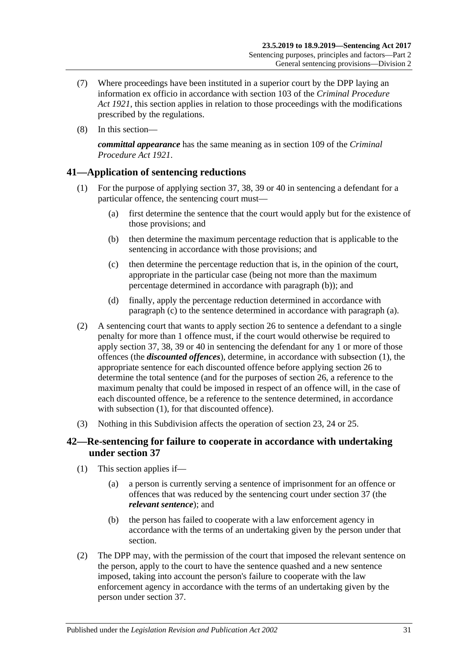- (7) Where proceedings have been instituted in a superior court by the DPP laying an information ex officio in accordance with section 103 of the *[Criminal Procedure](http://www.legislation.sa.gov.au/index.aspx?action=legref&type=act&legtitle=Criminal%20Procedure%20Act%201921)  Act [1921](http://www.legislation.sa.gov.au/index.aspx?action=legref&type=act&legtitle=Criminal%20Procedure%20Act%201921)*, this section applies in relation to those proceedings with the modifications prescribed by the regulations.
- (8) In this section—

*committal appearance* has the same meaning as in section 109 of the *[Criminal](http://www.legislation.sa.gov.au/index.aspx?action=legref&type=act&legtitle=Criminal%20Procedure%20Act%201921)  [Procedure Act](http://www.legislation.sa.gov.au/index.aspx?action=legref&type=act&legtitle=Criminal%20Procedure%20Act%201921) 1921*.

# <span id="page-30-5"></span><span id="page-30-0"></span>**41—Application of sentencing reductions**

- <span id="page-30-4"></span><span id="page-30-2"></span>(1) For the purpose of applying [section](#page-25-0) 37, [38,](#page-26-0) [39](#page-26-1) or [40](#page-28-0) in sentencing a defendant for a particular offence, the sentencing court must—
	- (a) first determine the sentence that the court would apply but for the existence of those provisions; and
	- (b) then determine the maximum percentage reduction that is applicable to the sentencing in accordance with those provisions; and
	- (c) then determine the percentage reduction that is, in the opinion of the court, appropriate in the particular case (being not more than the maximum percentage determined in accordance with [paragraph](#page-30-2) (b)); and
	- (d) finally, apply the percentage reduction determined in accordance with [paragraph](#page-30-3) (c) to the sentence determined in accordance with [paragraph](#page-30-4) (a).
- <span id="page-30-3"></span>(2) A sentencing court that wants to apply [section](#page-20-0) 26 to sentence a defendant to a single penalty for more than 1 offence must, if the court would otherwise be required to apply [section](#page-25-0) 37, [38,](#page-26-0) [39](#page-26-1) or [40](#page-28-0) in sentencing the defendant for any 1 or more of those offences (the *discounted offences*), determine, in accordance with [subsection](#page-30-5) (1), the appropriate sentence for each discounted offence before applying [section](#page-20-0) 26 to determine the total sentence (and for the purposes of [section](#page-20-0) 26, a reference to the maximum penalty that could be imposed in respect of an offence will, in the case of each discounted offence, be a reference to the sentence determined, in accordance with [subsection](#page-30-5) (1), for that discounted offence).
- (3) Nothing in this Subdivision affects the operation of [section 23,](#page-18-1) [24](#page-18-2) or [25.](#page-19-0)

# <span id="page-30-1"></span>**42—Re-sentencing for failure to cooperate in accordance with undertaking under [section](#page-25-0) 37**

- (1) This section applies if—
	- (a) a person is currently serving a sentence of imprisonment for an offence or offences that was reduced by the sentencing court under [section](#page-25-0) 37 (the *relevant sentence*); and
	- (b) the person has failed to cooperate with a law enforcement agency in accordance with the terms of an undertaking given by the person under that section.
- (2) The DPP may, with the permission of the court that imposed the relevant sentence on the person, apply to the court to have the sentence quashed and a new sentence imposed, taking into account the person's failure to cooperate with the law enforcement agency in accordance with the terms of an undertaking given by the person under [section](#page-25-0) 37.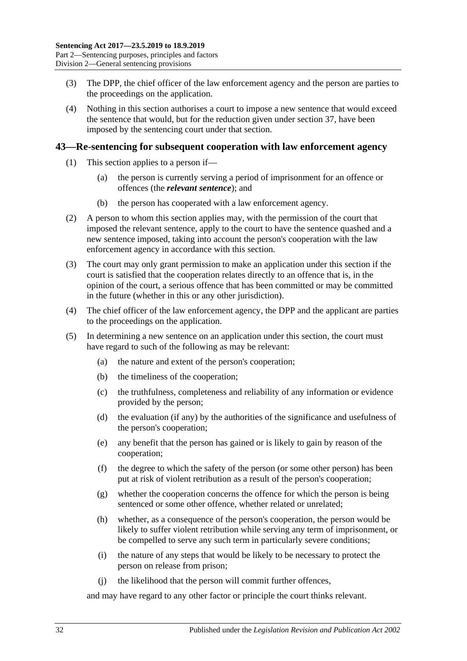- (3) The DPP, the chief officer of the law enforcement agency and the person are parties to the proceedings on the application.
- (4) Nothing in this section authorises a court to impose a new sentence that would exceed the sentence that would, but for the reduction given under [section](#page-25-0) 37, have been imposed by the sentencing court under that section.

#### <span id="page-31-0"></span>**43—Re-sentencing for subsequent cooperation with law enforcement agency**

- (1) This section applies to a person if—
	- (a) the person is currently serving a period of imprisonment for an offence or offences (the *relevant sentence*); and
	- (b) the person has cooperated with a law enforcement agency.
- (2) A person to whom this section applies may, with the permission of the court that imposed the relevant sentence, apply to the court to have the sentence quashed and a new sentence imposed, taking into account the person's cooperation with the law enforcement agency in accordance with this section.
- (3) The court may only grant permission to make an application under this section if the court is satisfied that the cooperation relates directly to an offence that is, in the opinion of the court, a serious offence that has been committed or may be committed in the future (whether in this or any other jurisdiction).
- (4) The chief officer of the law enforcement agency, the DPP and the applicant are parties to the proceedings on the application.
- (5) In determining a new sentence on an application under this section, the court must have regard to such of the following as may be relevant:
	- (a) the nature and extent of the person's cooperation;
	- (b) the timeliness of the cooperation;
	- (c) the truthfulness, completeness and reliability of any information or evidence provided by the person;
	- (d) the evaluation (if any) by the authorities of the significance and usefulness of the person's cooperation;
	- (e) any benefit that the person has gained or is likely to gain by reason of the cooperation;
	- (f) the degree to which the safety of the person (or some other person) has been put at risk of violent retribution as a result of the person's cooperation;
	- (g) whether the cooperation concerns the offence for which the person is being sentenced or some other offence, whether related or unrelated;
	- (h) whether, as a consequence of the person's cooperation, the person would be likely to suffer violent retribution while serving any term of imprisonment, or be compelled to serve any such term in particularly severe conditions;
	- (i) the nature of any steps that would be likely to be necessary to protect the person on release from prison;
	- (j) the likelihood that the person will commit further offences,

and may have regard to any other factor or principle the court thinks relevant.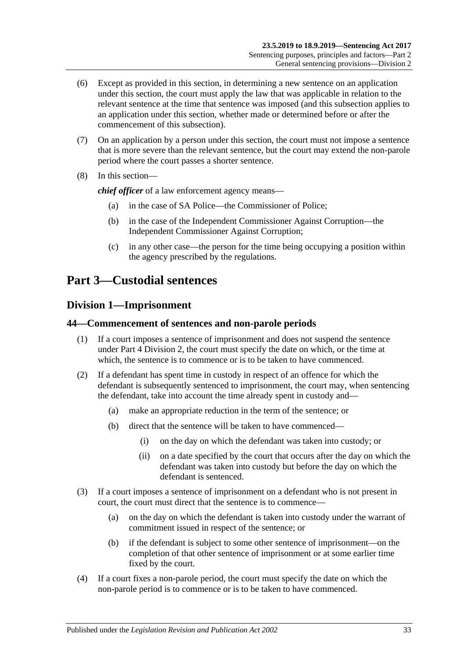- (6) Except as provided in this section, in determining a new sentence on an application under this section, the court must apply the law that was applicable in relation to the relevant sentence at the time that sentence was imposed (and this subsection applies to an application under this section, whether made or determined before or after the commencement of this subsection).
- (7) On an application by a person under this section, the court must not impose a sentence that is more severe than the relevant sentence, but the court may extend the non-parole period where the court passes a shorter sentence.
- (8) In this section—

*chief officer* of a law enforcement agency means—

- (a) in the case of SA Police—the Commissioner of Police;
- (b) in the case of the Independent Commissioner Against Corruption—the Independent Commissioner Against Corruption;
- (c) in any other case—the person for the time being occupying a position within the agency prescribed by the regulations.

# <span id="page-32-0"></span>**Part 3—Custodial sentences**

# <span id="page-32-1"></span>**Division 1—Imprisonment**

### <span id="page-32-2"></span>**44—Commencement of sentences and non-parole periods**

- (1) If a court imposes a sentence of imprisonment and does not suspend the sentence under Part [4 Division](#page-77-0) 2, the court must specify the date on which, or the time at which, the sentence is to commence or is to be taken to have commenced.
- (2) If a defendant has spent time in custody in respect of an offence for which the defendant is subsequently sentenced to imprisonment, the court may, when sentencing the defendant, take into account the time already spent in custody and—
	- (a) make an appropriate reduction in the term of the sentence; or
	- (b) direct that the sentence will be taken to have commenced—
		- (i) on the day on which the defendant was taken into custody; or
		- (ii) on a date specified by the court that occurs after the day on which the defendant was taken into custody but before the day on which the defendant is sentenced.
- (3) If a court imposes a sentence of imprisonment on a defendant who is not present in court, the court must direct that the sentence is to commence—
	- (a) on the day on which the defendant is taken into custody under the warrant of commitment issued in respect of the sentence; or
	- (b) if the defendant is subject to some other sentence of imprisonment—on the completion of that other sentence of imprisonment or at some earlier time fixed by the court.
- (4) If a court fixes a non-parole period, the court must specify the date on which the non-parole period is to commence or is to be taken to have commenced.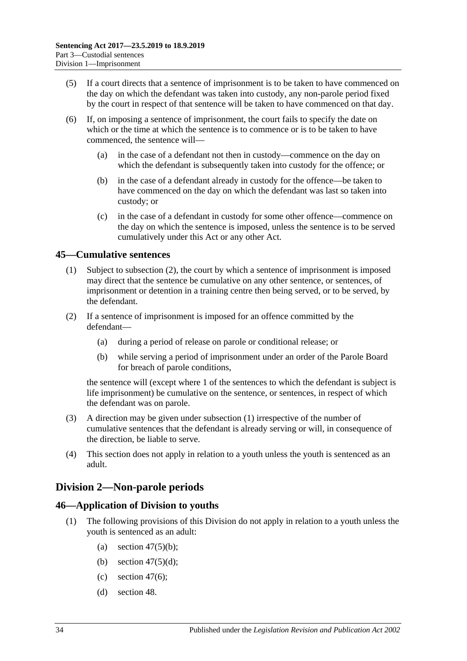- (5) If a court directs that a sentence of imprisonment is to be taken to have commenced on the day on which the defendant was taken into custody, any non-parole period fixed by the court in respect of that sentence will be taken to have commenced on that day.
- (6) If, on imposing a sentence of imprisonment, the court fails to specify the date on which or the time at which the sentence is to commence or is to be taken to have commenced, the sentence will—
	- (a) in the case of a defendant not then in custody—commence on the day on which the defendant is subsequently taken into custody for the offence; or
	- (b) in the case of a defendant already in custody for the offence—be taken to have commenced on the day on which the defendant was last so taken into custody; or
	- (c) in the case of a defendant in custody for some other offence—commence on the day on which the sentence is imposed, unless the sentence is to be served cumulatively under this Act or any other Act.

# <span id="page-33-4"></span><span id="page-33-0"></span>**45—Cumulative sentences**

- (1) Subject to [subsection](#page-33-3) (2), the court by which a sentence of imprisonment is imposed may direct that the sentence be cumulative on any other sentence, or sentences, of imprisonment or detention in a training centre then being served, or to be served, by the defendant.
- <span id="page-33-3"></span>(2) If a sentence of imprisonment is imposed for an offence committed by the defendant—
	- (a) during a period of release on parole or conditional release; or
	- (b) while serving a period of imprisonment under an order of the Parole Board for breach of parole conditions,

the sentence will (except where 1 of the sentences to which the defendant is subject is life imprisonment) be cumulative on the sentence, or sentences, in respect of which the defendant was on parole.

- (3) A direction may be given under [subsection](#page-33-4) (1) irrespective of the number of cumulative sentences that the defendant is already serving or will, in consequence of the direction, be liable to serve.
- (4) This section does not apply in relation to a youth unless the youth is sentenced as an adult.

# <span id="page-33-1"></span>**Division 2—Non-parole periods**

# <span id="page-33-2"></span>**46—Application of Division to youths**

- (1) The following provisions of this Division do not apply in relation to a youth unless the youth is sentenced as an adult:
	- (a) section  $47(5)(b)$ ;
	- (b) section  $47(5)(d)$ ;
	- (c) [section](#page-35-1)  $47(6)$ ;
	- (d) [section](#page-37-0) 48.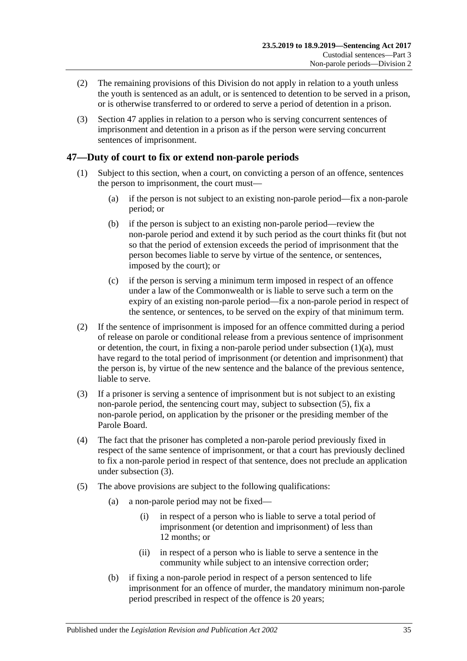- (2) The remaining provisions of this Division do not apply in relation to a youth unless the youth is sentenced as an adult, or is sentenced to detention to be served in a prison, or is otherwise transferred to or ordered to serve a period of detention in a prison.
- (3) [Section](#page-34-0) 47 applies in relation to a person who is serving concurrent sentences of imprisonment and detention in a prison as if the person were serving concurrent sentences of imprisonment.

# <span id="page-34-0"></span>**47—Duty of court to fix or extend non-parole periods**

- <span id="page-34-2"></span>(1) Subject to this section, when a court, on convicting a person of an offence, sentences the person to imprisonment, the court must—
	- (a) if the person is not subject to an existing non-parole period—fix a non-parole period; or
	- (b) if the person is subject to an existing non-parole period—review the non-parole period and extend it by such period as the court thinks fit (but not so that the period of extension exceeds the period of imprisonment that the person becomes liable to serve by virtue of the sentence, or sentences, imposed by the court); or
	- (c) if the person is serving a minimum term imposed in respect of an offence under a law of the Commonwealth or is liable to serve such a term on the expiry of an existing non-parole period—fix a non-parole period in respect of the sentence, or sentences, to be served on the expiry of that minimum term.
- (2) If the sentence of imprisonment is imposed for an offence committed during a period of release on parole or conditional release from a previous sentence of imprisonment or detention, the court, in fixing a non-parole period under [subsection](#page-34-2)  $(1)(a)$ , must have regard to the total period of imprisonment (or detention and imprisonment) that the person is, by virtue of the new sentence and the balance of the previous sentence, liable to serve.
- <span id="page-34-4"></span>(3) If a prisoner is serving a sentence of imprisonment but is not subject to an existing non-parole period, the sentencing court may, subject to [subsection](#page-34-3) (5), fix a non-parole period, on application by the prisoner or the presiding member of the Parole Board.
- (4) The fact that the prisoner has completed a non-parole period previously fixed in respect of the same sentence of imprisonment, or that a court has previously declined to fix a non-parole period in respect of that sentence, does not preclude an application under [subsection](#page-34-4) (3).
- <span id="page-34-3"></span><span id="page-34-1"></span>(5) The above provisions are subject to the following qualifications:
	- (a) a non-parole period may not be fixed—
		- (i) in respect of a person who is liable to serve a total period of imprisonment (or detention and imprisonment) of less than 12 months; or
		- (ii) in respect of a person who is liable to serve a sentence in the community while subject to an intensive correction order;
	- (b) if fixing a non-parole period in respect of a person sentenced to life imprisonment for an offence of murder, the mandatory minimum non-parole period prescribed in respect of the offence is 20 years;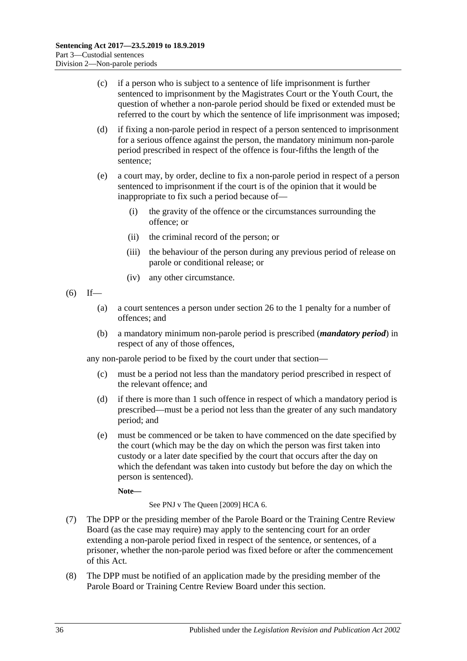- (c) if a person who is subject to a sentence of life imprisonment is further sentenced to imprisonment by the Magistrates Court or the Youth Court, the question of whether a non-parole period should be fixed or extended must be referred to the court by which the sentence of life imprisonment was imposed;
- <span id="page-35-0"></span>(d) if fixing a non-parole period in respect of a person sentenced to imprisonment for a serious offence against the person, the mandatory minimum non-parole period prescribed in respect of the offence is four-fifths the length of the sentence;
- (e) a court may, by order, decline to fix a non-parole period in respect of a person sentenced to imprisonment if the court is of the opinion that it would be inappropriate to fix such a period because of—
	- (i) the gravity of the offence or the circumstances surrounding the offence; or
	- (ii) the criminal record of the person; or
	- (iii) the behaviour of the person during any previous period of release on parole or conditional release; or
	- (iv) any other circumstance.
- <span id="page-35-1"></span> $(6)$  If—
	- (a) a court sentences a person under [section](#page-20-0) 26 to the 1 penalty for a number of offences; and
	- (b) a mandatory minimum non-parole period is prescribed (*mandatory period*) in respect of any of those offences,

any non-parole period to be fixed by the court under that section—

- (c) must be a period not less than the mandatory period prescribed in respect of the relevant offence; and
- (d) if there is more than 1 such offence in respect of which a mandatory period is prescribed—must be a period not less than the greater of any such mandatory period; and
- (e) must be commenced or be taken to have commenced on the date specified by the court (which may be the day on which the person was first taken into custody or a later date specified by the court that occurs after the day on which the defendant was taken into custody but before the day on which the person is sentenced).

**Note—**

See PNJ v The Queen [2009] HCA 6.

- (7) The DPP or the presiding member of the Parole Board or the Training Centre Review Board (as the case may require) may apply to the sentencing court for an order extending a non-parole period fixed in respect of the sentence, or sentences, of a prisoner, whether the non-parole period was fixed before or after the commencement of this Act.
- (8) The DPP must be notified of an application made by the presiding member of the Parole Board or Training Centre Review Board under this section.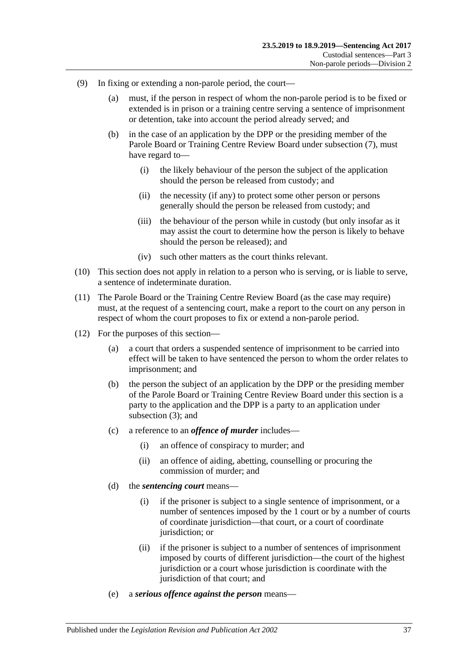- (9) In fixing or extending a non-parole period, the court—
	- (a) must, if the person in respect of whom the non-parole period is to be fixed or extended is in prison or a training centre serving a sentence of imprisonment or detention, take into account the period already served; and
	- (b) in the case of an application by the DPP or the presiding member of the Parole Board or Training Centre Review Board under [subsection](#page-35-0) (7), must have regard to—
		- (i) the likely behaviour of the person the subject of the application should the person be released from custody; and
		- (ii) the necessity (if any) to protect some other person or persons generally should the person be released from custody; and
		- (iii) the behaviour of the person while in custody (but only insofar as it may assist the court to determine how the person is likely to behave should the person be released); and
		- (iv) such other matters as the court thinks relevant.
- (10) This section does not apply in relation to a person who is serving, or is liable to serve, a sentence of indeterminate duration.
- (11) The Parole Board or the Training Centre Review Board (as the case may require) must, at the request of a sentencing court, make a report to the court on any person in respect of whom the court proposes to fix or extend a non-parole period.
- (12) For the purposes of this section—
	- (a) a court that orders a suspended sentence of imprisonment to be carried into effect will be taken to have sentenced the person to whom the order relates to imprisonment; and
	- (b) the person the subject of an application by the DPP or the presiding member of the Parole Board or Training Centre Review Board under this section is a party to the application and the DPP is a party to an application under [subsection](#page-34-0) (3); and
	- (c) a reference to an *offence of murder* includes—
		- (i) an offence of conspiracy to murder; and
		- (ii) an offence of aiding, abetting, counselling or procuring the commission of murder; and
	- (d) the *sentencing court* means—
		- (i) if the prisoner is subject to a single sentence of imprisonment, or a number of sentences imposed by the 1 court or by a number of courts of coordinate jurisdiction—that court, or a court of coordinate jurisdiction; or
		- (ii) if the prisoner is subject to a number of sentences of imprisonment imposed by courts of different jurisdiction—the court of the highest jurisdiction or a court whose jurisdiction is coordinate with the jurisdiction of that court; and
	- (e) a *serious offence against the person* means—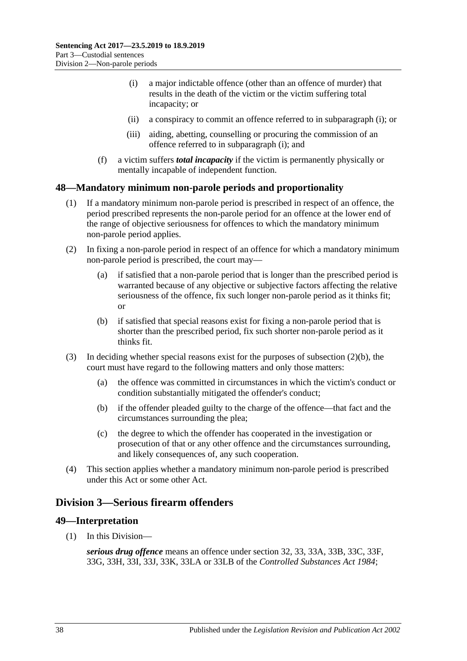- <span id="page-37-0"></span>(i) a major indictable offence (other than an offence of murder) that results in the death of the victim or the victim suffering total incapacity; or
- (ii) a conspiracy to commit an offence referred to in [subparagraph](#page-37-0) (i); or
- (iii) aiding, abetting, counselling or procuring the commission of an offence referred to in [subparagraph](#page-37-0) (i); and
- (f) a victim suffers *total incapacity* if the victim is permanently physically or mentally incapable of independent function.

## **48—Mandatory minimum non-parole periods and proportionality**

- (1) If a mandatory minimum non-parole period is prescribed in respect of an offence, the period prescribed represents the non-parole period for an offence at the lower end of the range of objective seriousness for offences to which the mandatory minimum non-parole period applies.
- (2) In fixing a non-parole period in respect of an offence for which a mandatory minimum non-parole period is prescribed, the court may—
	- (a) if satisfied that a non-parole period that is longer than the prescribed period is warranted because of any objective or subjective factors affecting the relative seriousness of the offence, fix such longer non-parole period as it thinks fit; or
	- (b) if satisfied that special reasons exist for fixing a non-parole period that is shorter than the prescribed period, fix such shorter non-parole period as it thinks fit.
- <span id="page-37-1"></span>(3) In deciding whether special reasons exist for the purposes of [subsection](#page-37-1)  $(2)(b)$ , the court must have regard to the following matters and only those matters:
	- (a) the offence was committed in circumstances in which the victim's conduct or condition substantially mitigated the offender's conduct;
	- (b) if the offender pleaded guilty to the charge of the offence—that fact and the circumstances surrounding the plea;
	- (c) the degree to which the offender has cooperated in the investigation or prosecution of that or any other offence and the circumstances surrounding, and likely consequences of, any such cooperation.
- (4) This section applies whether a mandatory minimum non-parole period is prescribed under this Act or some other Act.

# <span id="page-37-2"></span>**Division 3—Serious firearm offenders**

## **49—Interpretation**

(1) In this Division—

*serious drug offence* means an offence under section 32, 33, 33A, 33B, 33C, 33F, 33G, 33H, 33I, 33J, 33K, 33LA or 33LB of the *[Controlled Substances Act](http://www.legislation.sa.gov.au/index.aspx?action=legref&type=act&legtitle=Controlled%20Substances%20Act%201984) 1984*;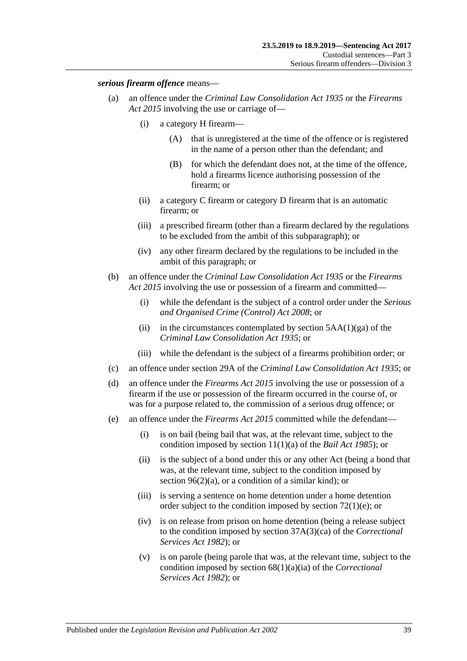### *serious firearm offence* means—

- (a) an offence under the *[Criminal Law Consolidation Act](http://www.legislation.sa.gov.au/index.aspx?action=legref&type=act&legtitle=Criminal%20Law%20Consolidation%20Act%201935) 1935* or the *[Firearms](http://www.legislation.sa.gov.au/index.aspx?action=legref&type=act&legtitle=Firearms%20Act%202015)  Act [2015](http://www.legislation.sa.gov.au/index.aspx?action=legref&type=act&legtitle=Firearms%20Act%202015)* involving the use or carriage of—
	- (i) a category H firearm—
		- (A) that is unregistered at the time of the offence or is registered in the name of a person other than the defendant; and
		- (B) for which the defendant does not, at the time of the offence, hold a firearms licence authorising possession of the firearm; or
	- (ii) a category C firearm or category D firearm that is an automatic firearm; or
	- (iii) a prescribed firearm (other than a firearm declared by the regulations to be excluded from the ambit of this subparagraph); or
	- (iv) any other firearm declared by the regulations to be included in the ambit of this paragraph; or
- (b) an offence under the *[Criminal Law Consolidation Act](http://www.legislation.sa.gov.au/index.aspx?action=legref&type=act&legtitle=Criminal%20Law%20Consolidation%20Act%201935) 1935* or the *[Firearms](http://www.legislation.sa.gov.au/index.aspx?action=legref&type=act&legtitle=Firearms%20Act%202015)  Act [2015](http://www.legislation.sa.gov.au/index.aspx?action=legref&type=act&legtitle=Firearms%20Act%202015)* involving the use or possession of a firearm and committed—
	- (i) while the defendant is the subject of a control order under the *[Serious](http://www.legislation.sa.gov.au/index.aspx?action=legref&type=act&legtitle=Serious%20and%20Organised%20Crime%20(Control)%20Act%202008)  [and Organised Crime \(Control\) Act](http://www.legislation.sa.gov.au/index.aspx?action=legref&type=act&legtitle=Serious%20and%20Organised%20Crime%20(Control)%20Act%202008) 2008*; or
	- (ii) in the circumstances contemplated by section  $5AA(1)(ga)$  of the *[Criminal Law Consolidation Act](http://www.legislation.sa.gov.au/index.aspx?action=legref&type=act&legtitle=Criminal%20Law%20Consolidation%20Act%201935) 1935*; or
	- (iii) while the defendant is the subject of a firearms prohibition order; or
- (c) an offence under section 29A of the *[Criminal Law Consolidation Act](http://www.legislation.sa.gov.au/index.aspx?action=legref&type=act&legtitle=Criminal%20Law%20Consolidation%20Act%201935) 1935*; or
- (d) an offence under the *[Firearms Act](http://www.legislation.sa.gov.au/index.aspx?action=legref&type=act&legtitle=Firearms%20Act%202015) 2015* involving the use or possession of a firearm if the use or possession of the firearm occurred in the course of, or was for a purpose related to, the commission of a serious drug offence; or
- (e) an offence under the *[Firearms Act](http://www.legislation.sa.gov.au/index.aspx?action=legref&type=act&legtitle=Firearms%20Act%202015) 2015* committed while the defendant—
	- (i) is on bail (being bail that was, at the relevant time, subject to the condition imposed by section 11(1)(a) of the *[Bail Act](http://www.legislation.sa.gov.au/index.aspx?action=legref&type=act&legtitle=Bail%20Act%201985) 1985*); or
	- (ii) is the subject of a bond under this or any other Act (being a bond that was, at the relevant time, subject to the condition imposed by section [96\(2\)\(a\),](#page-77-0) or a condition of a similar kind); or
	- (iii) is serving a sentence on home detention under a home detention order subject to the condition imposed by section [72\(1\)\(e\);](#page-59-0) or
	- (iv) is on release from prison on home detention (being a release subject to the condition imposed by section 37A(3)(ca) of the *[Correctional](http://www.legislation.sa.gov.au/index.aspx?action=legref&type=act&legtitle=Correctional%20Services%20Act%201982)  [Services Act](http://www.legislation.sa.gov.au/index.aspx?action=legref&type=act&legtitle=Correctional%20Services%20Act%201982) 1982*); or
	- (v) is on parole (being parole that was, at the relevant time, subject to the condition imposed by section 68(1)(a)(ia) of the *[Correctional](http://www.legislation.sa.gov.au/index.aspx?action=legref&type=act&legtitle=Correctional%20Services%20Act%201982)  [Services Act](http://www.legislation.sa.gov.au/index.aspx?action=legref&type=act&legtitle=Correctional%20Services%20Act%201982) 1982*); or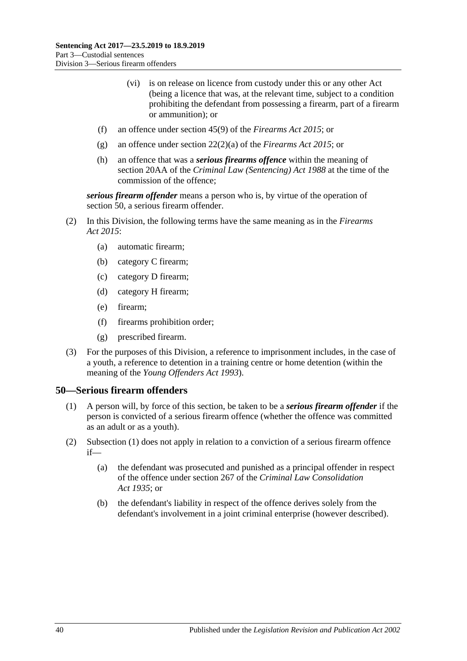- (vi) is on release on licence from custody under this or any other Act (being a licence that was, at the relevant time, subject to a condition prohibiting the defendant from possessing a firearm, part of a firearm or ammunition); or
- (f) an offence under section 45(9) of the *[Firearms Act](http://www.legislation.sa.gov.au/index.aspx?action=legref&type=act&legtitle=Firearms%20Act%202015) 2015*; or
- (g) an offence under section 22(2)(a) of the *[Firearms Act](http://www.legislation.sa.gov.au/index.aspx?action=legref&type=act&legtitle=Firearms%20Act%202015) 2015*; or
- (h) an offence that was a *serious firearms offence* within the meaning of section 20AA of the *[Criminal Law \(Sentencing\) Act](http://www.legislation.sa.gov.au/index.aspx?action=legref&type=act&legtitle=Criminal%20Law%20(Sentencing)%20Act%201988) 1988* at the time of the commission of the offence;

*serious firearm offender* means a person who is, by virtue of the operation of [section](#page-39-0) 50, a serious firearm offender.

- (2) In this Division, the following terms have the same meaning as in the *[Firearms](http://www.legislation.sa.gov.au/index.aspx?action=legref&type=act&legtitle=Firearms%20Act%202015)  Act [2015](http://www.legislation.sa.gov.au/index.aspx?action=legref&type=act&legtitle=Firearms%20Act%202015)*:
	- (a) automatic firearm;
	- (b) category C firearm;
	- (c) category D firearm;
	- (d) category H firearm;
	- (e) firearm;
	- (f) firearms prohibition order;
	- (g) prescribed firearm.
- (3) For the purposes of this Division, a reference to imprisonment includes, in the case of a youth, a reference to detention in a training centre or home detention (within the meaning of the *[Young Offenders Act](http://www.legislation.sa.gov.au/index.aspx?action=legref&type=act&legtitle=Young%20Offenders%20Act%201993) 1993*).

### <span id="page-39-1"></span><span id="page-39-0"></span>**50—Serious firearm offenders**

- (1) A person will, by force of this section, be taken to be a *serious firearm offender* if the person is convicted of a serious firearm offence (whether the offence was committed as an adult or as a youth).
- (2) [Subsection](#page-39-1) (1) does not apply in relation to a conviction of a serious firearm offence if—
	- (a) the defendant was prosecuted and punished as a principal offender in respect of the offence under section 267 of the *[Criminal Law Consolidation](http://www.legislation.sa.gov.au/index.aspx?action=legref&type=act&legtitle=Criminal%20Law%20Consolidation%20Act%201935)  Act [1935](http://www.legislation.sa.gov.au/index.aspx?action=legref&type=act&legtitle=Criminal%20Law%20Consolidation%20Act%201935)*; or
	- (b) the defendant's liability in respect of the offence derives solely from the defendant's involvement in a joint criminal enterprise (however described).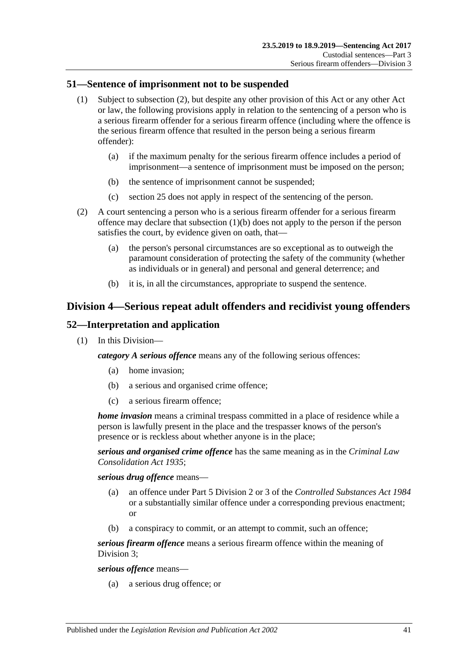## **51—Sentence of imprisonment not to be suspended**

- (1) Subject to [subsection](#page-40-0) (2), but despite any other provision of this Act or any other Act or law, the following provisions apply in relation to the sentencing of a person who is a serious firearm offender for a serious firearm offence (including where the offence is the serious firearm offence that resulted in the person being a serious firearm offender):
	- (a) if the maximum penalty for the serious firearm offence includes a period of imprisonment—a sentence of imprisonment must be imposed on the person;
	- (b) the sentence of imprisonment cannot be suspended;
	- (c) [section](#page-19-0) 25 does not apply in respect of the sentencing of the person.
- <span id="page-40-1"></span><span id="page-40-0"></span>(2) A court sentencing a person who is a serious firearm offender for a serious firearm offence may declare that [subsection](#page-40-1) (1)(b) does not apply to the person if the person satisfies the court, by evidence given on oath, that—
	- (a) the person's personal circumstances are so exceptional as to outweigh the paramount consideration of protecting the safety of the community (whether as individuals or in general) and personal and general deterrence; and
	- (b) it is, in all the circumstances, appropriate to suspend the sentence.

# **Division 4—Serious repeat adult offenders and recidivist young offenders**

## **52—Interpretation and application**

(1) In this Division—

*category A serious offence* means any of the following serious offences:

- (a) home invasion;
- (b) a serious and organised crime offence;
- (c) a serious firearm offence;

*home invasion* means a criminal trespass committed in a place of residence while a person is lawfully present in the place and the trespasser knows of the person's presence or is reckless about whether anyone is in the place;

*serious and organised crime offence* has the same meaning as in the *[Criminal Law](http://www.legislation.sa.gov.au/index.aspx?action=legref&type=act&legtitle=Criminal%20Law%20Consolidation%20Act%201935)  [Consolidation Act](http://www.legislation.sa.gov.au/index.aspx?action=legref&type=act&legtitle=Criminal%20Law%20Consolidation%20Act%201935) 1935*;

*serious drug offence* means—

- (a) an offence under Part 5 Division 2 or 3 of the *[Controlled Substances Act](http://www.legislation.sa.gov.au/index.aspx?action=legref&type=act&legtitle=Controlled%20Substances%20Act%201984) 1984* or a substantially similar offence under a corresponding previous enactment; or
- (b) a conspiracy to commit, or an attempt to commit, such an offence;

*serious firearm offence* means a serious firearm offence within the meaning of [Division](#page-37-2) 3;

*serious offence* means—

(a) a serious drug offence; or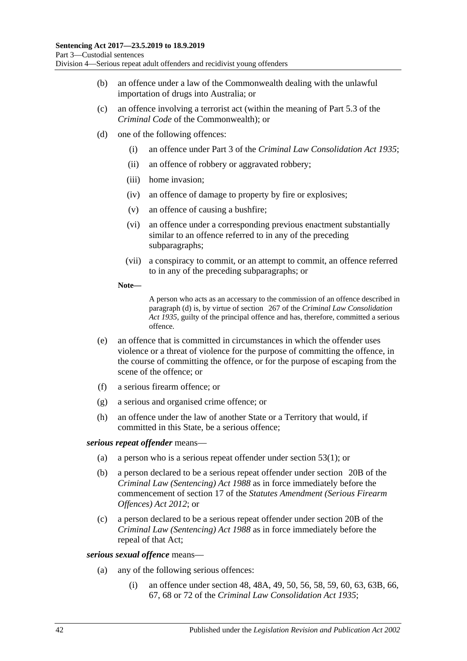- (b) an offence under a law of the Commonwealth dealing with the unlawful importation of drugs into Australia; or
- (c) an offence involving a terrorist act (within the meaning of Part 5.3 of the *Criminal Code* of the Commonwealth); or
- <span id="page-41-0"></span>(d) one of the following offences:
	- (i) an offence under Part 3 of the *[Criminal Law Consolidation Act](http://www.legislation.sa.gov.au/index.aspx?action=legref&type=act&legtitle=Criminal%20Law%20Consolidation%20Act%201935) 1935*;
	- (ii) an offence of robbery or aggravated robbery;
	- (iii) home invasion;
	- (iv) an offence of damage to property by fire or explosives;
	- (v) an offence of causing a bushfire;
	- (vi) an offence under a corresponding previous enactment substantially similar to an offence referred to in any of the preceding subparagraphs;
	- (vii) a conspiracy to commit, or an attempt to commit, an offence referred to in any of the preceding subparagraphs; or
	- **Note—**

A person who acts as an accessary to the commission of an offence described in [paragraph](#page-41-0) (d) is, by virtue of section 267 of the *[Criminal Law Consolidation](http://www.legislation.sa.gov.au/index.aspx?action=legref&type=act&legtitle=Criminal%20Law%20Consolidation%20Act%201935)  Act [1935](http://www.legislation.sa.gov.au/index.aspx?action=legref&type=act&legtitle=Criminal%20Law%20Consolidation%20Act%201935)*, guilty of the principal offence and has, therefore, committed a serious offence.

- (e) an offence that is committed in circumstances in which the offender uses violence or a threat of violence for the purpose of committing the offence, in the course of committing the offence, or for the purpose of escaping from the scene of the offence; or
- (f) a serious firearm offence; or
- (g) a serious and organised crime offence; or
- (h) an offence under the law of another State or a Territory that would, if committed in this State, be a serious offence;

### *serious repeat offender* means—

- (a) a person who is a serious repeat offender under [section](#page-42-0) 53(1); or
- (b) a person declared to be a serious repeat offender under section 20B of the *[Criminal Law \(Sentencing\) Act](http://www.legislation.sa.gov.au/index.aspx?action=legref&type=act&legtitle=Criminal%20Law%20(Sentencing)%20Act%201988) 1988* as in force immediately before the commencement of section 17 of the *[Statutes Amendment \(Serious Firearm](http://www.legislation.sa.gov.au/index.aspx?action=legref&type=act&legtitle=Statutes%20Amendment%20(Serious%20Firearm%20Offences)%20Act%202012)  [Offences\) Act](http://www.legislation.sa.gov.au/index.aspx?action=legref&type=act&legtitle=Statutes%20Amendment%20(Serious%20Firearm%20Offences)%20Act%202012) 2012*; or
- (c) a person declared to be a serious repeat offender under section 20B of the *[Criminal Law \(Sentencing\) Act](http://www.legislation.sa.gov.au/index.aspx?action=legref&type=act&legtitle=Criminal%20Law%20(Sentencing)%20Act%201988) 1988* as in force immediately before the repeal of that Act;

### <span id="page-41-2"></span><span id="page-41-1"></span>*serious sexual offence* means—

- (a) any of the following serious offences:
	- (i) an offence under section 48, 48A, 49, 50, 56, 58, 59, 60, 63, 63B, 66, 67, 68 or 72 of the *[Criminal Law Consolidation Act](http://www.legislation.sa.gov.au/index.aspx?action=legref&type=act&legtitle=Criminal%20Law%20Consolidation%20Act%201935) 1935*;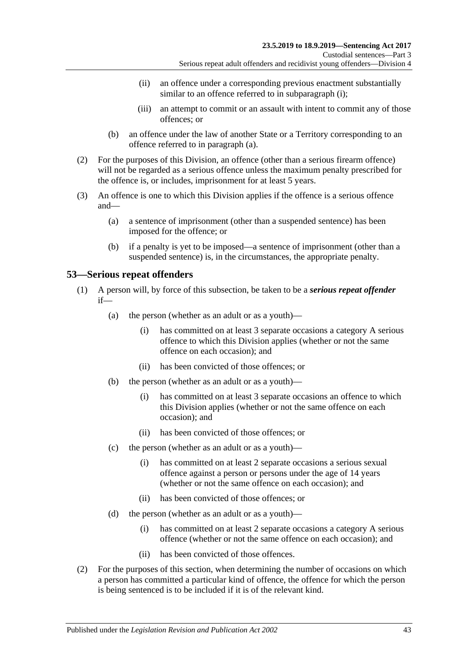- (ii) an offence under a corresponding previous enactment substantially similar to an offence referred to in [subparagraph](#page-41-1) (i);
- (iii) an attempt to commit or an assault with intent to commit any of those offences; or
- (b) an offence under the law of another State or a Territory corresponding to an offence referred to in [paragraph](#page-41-2) (a).
- (2) For the purposes of this Division, an offence (other than a serious firearm offence) will not be regarded as a serious offence unless the maximum penalty prescribed for the offence is, or includes, imprisonment for at least 5 years.
- (3) An offence is one to which this Division applies if the offence is a serious offence and—
	- (a) a sentence of imprisonment (other than a suspended sentence) has been imposed for the offence; or
	- (b) if a penalty is yet to be imposed—a sentence of imprisonment (other than a suspended sentence) is, in the circumstances, the appropriate penalty.

## <span id="page-42-0"></span>**53—Serious repeat offenders**

- (1) A person will, by force of this subsection, be taken to be a *serious repeat offender* if—
	- (a) the person (whether as an adult or as a youth)—
		- (i) has committed on at least 3 separate occasions a category A serious offence to which this Division applies (whether or not the same offence on each occasion); and
		- (ii) has been convicted of those offences; or
	- (b) the person (whether as an adult or as a youth)—
		- (i) has committed on at least 3 separate occasions an offence to which this Division applies (whether or not the same offence on each occasion); and
		- (ii) has been convicted of those offences; or
	- (c) the person (whether as an adult or as a youth)—
		- (i) has committed on at least 2 separate occasions a serious sexual offence against a person or persons under the age of 14 years (whether or not the same offence on each occasion); and
		- (ii) has been convicted of those offences; or
	- (d) the person (whether as an adult or as a youth)—
		- (i) has committed on at least 2 separate occasions a category A serious offence (whether or not the same offence on each occasion); and
		- (ii) has been convicted of those offences.
- (2) For the purposes of this section, when determining the number of occasions on which a person has committed a particular kind of offence, the offence for which the person is being sentenced is to be included if it is of the relevant kind.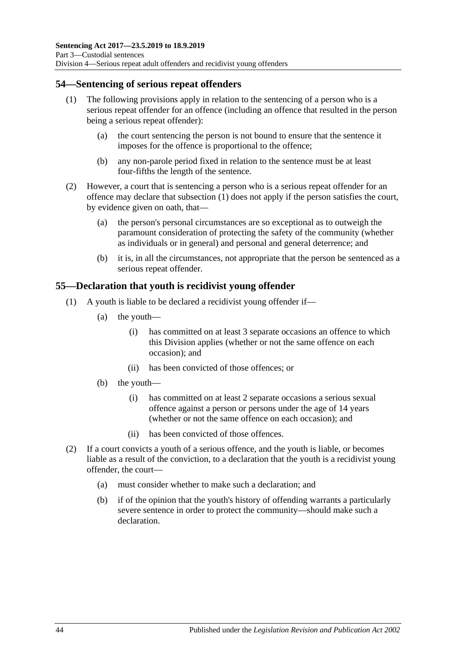## <span id="page-43-0"></span>**54—Sentencing of serious repeat offenders**

- (1) The following provisions apply in relation to the sentencing of a person who is a serious repeat offender for an offence (including an offence that resulted in the person being a serious repeat offender):
	- (a) the court sentencing the person is not bound to ensure that the sentence it imposes for the offence is proportional to the offence;
	- (b) any non-parole period fixed in relation to the sentence must be at least four-fifths the length of the sentence.
- (2) However, a court that is sentencing a person who is a serious repeat offender for an offence may declare that [subsection](#page-43-0) (1) does not apply if the person satisfies the court, by evidence given on oath, that—
	- (a) the person's personal circumstances are so exceptional as to outweigh the paramount consideration of protecting the safety of the community (whether as individuals or in general) and personal and general deterrence; and
	- (b) it is, in all the circumstances, not appropriate that the person be sentenced as a serious repeat offender.

# **55—Declaration that youth is recidivist young offender**

- (1) A youth is liable to be declared a recidivist young offender if—
	- (a) the youth—
		- (i) has committed on at least 3 separate occasions an offence to which this Division applies (whether or not the same offence on each occasion); and
		- (ii) has been convicted of those offences; or
	- (b) the youth—
		- (i) has committed on at least 2 separate occasions a serious sexual offence against a person or persons under the age of 14 years (whether or not the same offence on each occasion); and
		- (ii) has been convicted of those offences.
- (2) If a court convicts a youth of a serious offence, and the youth is liable, or becomes liable as a result of the conviction, to a declaration that the youth is a recidivist young offender, the court—
	- (a) must consider whether to make such a declaration; and
	- (b) if of the opinion that the youth's history of offending warrants a particularly severe sentence in order to protect the community—should make such a declaration.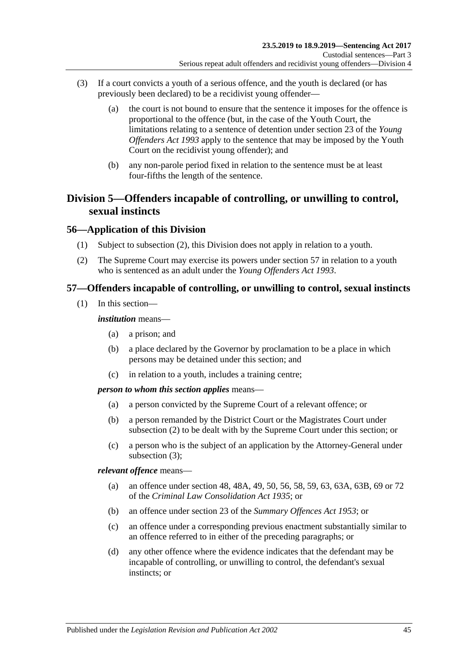- (3) If a court convicts a youth of a serious offence, and the youth is declared (or has previously been declared) to be a recidivist young offender—
	- (a) the court is not bound to ensure that the sentence it imposes for the offence is proportional to the offence (but, in the case of the Youth Court, the limitations relating to a sentence of detention under section 23 of the *[Young](http://www.legislation.sa.gov.au/index.aspx?action=legref&type=act&legtitle=Young%20Offenders%20Act%201993)  [Offenders Act](http://www.legislation.sa.gov.au/index.aspx?action=legref&type=act&legtitle=Young%20Offenders%20Act%201993) 1993* apply to the sentence that may be imposed by the Youth Court on the recidivist young offender); and
	- (b) any non-parole period fixed in relation to the sentence must be at least four-fifths the length of the sentence.

# **Division 5—Offenders incapable of controlling, or unwilling to control, sexual instincts**

## **56—Application of this Division**

- (1) Subject to [subsection](#page-44-0) (2), this Division does not apply in relation to a youth.
- <span id="page-44-0"></span>(2) The Supreme Court may exercise its powers under [section](#page-44-1) 57 in relation to a youth who is sentenced as an adult under the *[Young Offenders Act](http://www.legislation.sa.gov.au/index.aspx?action=legref&type=act&legtitle=Young%20Offenders%20Act%201993) 1993*.

## <span id="page-44-1"></span>**57—Offenders incapable of controlling, or unwilling to control, sexual instincts**

(1) In this section—

### *institution* means—

- (a) a prison; and
- (b) a place declared by the Governor by proclamation to be a place in which persons may be detained under this section; and
- (c) in relation to a youth, includes a training centre;

### *person to whom this section applies* means—

- (a) a person convicted by the Supreme Court of a relevant offence; or
- (b) a person remanded by the District Court or the Magistrates Court under [subsection](#page-45-0) (2) to be dealt with by the Supreme Court under this section; or
- (c) a person who is the subject of an application by the Attorney-General under [subsection](#page-45-1) (3);

*relevant offence* means—

- (a) an offence under section 48, 48A, 49, 50, 56, 58, 59, 63, 63A, 63B, 69 or 72 of the *[Criminal Law Consolidation Act](http://www.legislation.sa.gov.au/index.aspx?action=legref&type=act&legtitle=Criminal%20Law%20Consolidation%20Act%201935) 1935*; or
- (b) an offence under section 23 of the *[Summary Offences Act](http://www.legislation.sa.gov.au/index.aspx?action=legref&type=act&legtitle=Summary%20Offences%20Act%201953) 1953*; or
- (c) an offence under a corresponding previous enactment substantially similar to an offence referred to in either of the preceding paragraphs; or
- (d) any other offence where the evidence indicates that the defendant may be incapable of controlling, or unwilling to control, the defendant's sexual instincts; or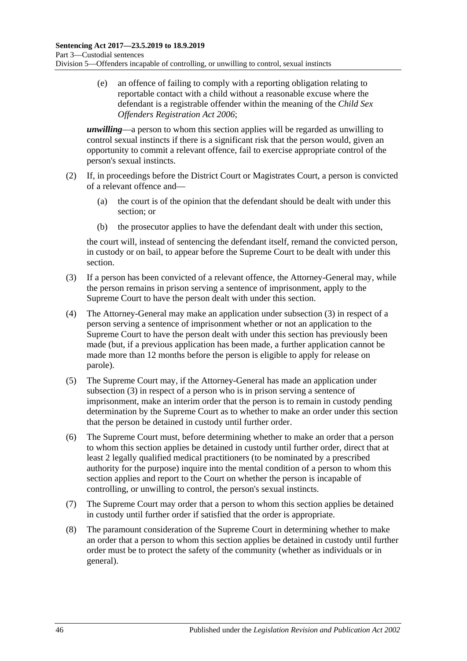(e) an offence of failing to comply with a reporting obligation relating to reportable contact with a child without a reasonable excuse where the defendant is a registrable offender within the meaning of the *[Child Sex](http://www.legislation.sa.gov.au/index.aspx?action=legref&type=act&legtitle=Child%20Sex%20Offenders%20Registration%20Act%202006)  [Offenders Registration Act](http://www.legislation.sa.gov.au/index.aspx?action=legref&type=act&legtitle=Child%20Sex%20Offenders%20Registration%20Act%202006) 2006*;

*unwilling*—a person to whom this section applies will be regarded as unwilling to control sexual instincts if there is a significant risk that the person would, given an opportunity to commit a relevant offence, fail to exercise appropriate control of the person's sexual instincts.

- <span id="page-45-0"></span>(2) If, in proceedings before the District Court or Magistrates Court, a person is convicted of a relevant offence and—
	- (a) the court is of the opinion that the defendant should be dealt with under this section; or
	- (b) the prosecutor applies to have the defendant dealt with under this section,

the court will, instead of sentencing the defendant itself, remand the convicted person, in custody or on bail, to appear before the Supreme Court to be dealt with under this section.

- <span id="page-45-1"></span>(3) If a person has been convicted of a relevant offence, the Attorney-General may, while the person remains in prison serving a sentence of imprisonment, apply to the Supreme Court to have the person dealt with under this section.
- (4) The Attorney-General may make an application under [subsection](#page-45-1) (3) in respect of a person serving a sentence of imprisonment whether or not an application to the Supreme Court to have the person dealt with under this section has previously been made (but, if a previous application has been made, a further application cannot be made more than 12 months before the person is eligible to apply for release on parole).
- (5) The Supreme Court may, if the Attorney-General has made an application under [subsection](#page-45-1) (3) in respect of a person who is in prison serving a sentence of imprisonment, make an interim order that the person is to remain in custody pending determination by the Supreme Court as to whether to make an order under this section that the person be detained in custody until further order.
- <span id="page-45-2"></span>(6) The Supreme Court must, before determining whether to make an order that a person to whom this section applies be detained in custody until further order, direct that at least 2 legally qualified medical practitioners (to be nominated by a prescribed authority for the purpose) inquire into the mental condition of a person to whom this section applies and report to the Court on whether the person is incapable of controlling, or unwilling to control, the person's sexual instincts.
- (7) The Supreme Court may order that a person to whom this section applies be detained in custody until further order if satisfied that the order is appropriate.
- (8) The paramount consideration of the Supreme Court in determining whether to make an order that a person to whom this section applies be detained in custody until further order must be to protect the safety of the community (whether as individuals or in general).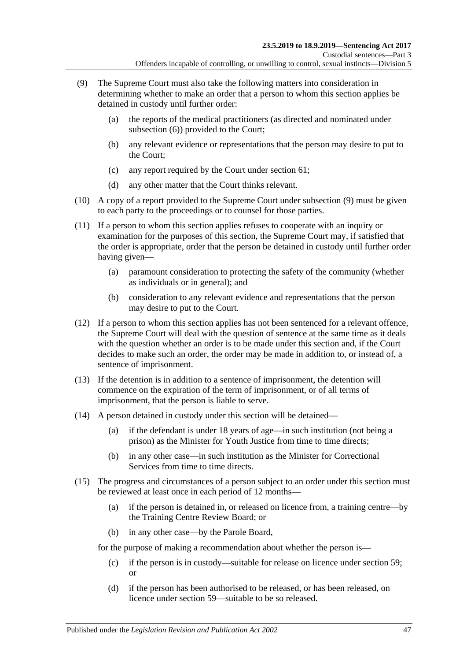- <span id="page-46-0"></span>(9) The Supreme Court must also take the following matters into consideration in determining whether to make an order that a person to whom this section applies be detained in custody until further order:
	- (a) the reports of the medical practitioners (as directed and nominated under [subsection](#page-45-2) (6)) provided to the Court;
	- (b) any relevant evidence or representations that the person may desire to put to the Court;
	- (c) any report required by the Court under [section](#page-51-0) 61;
	- (d) any other matter that the Court thinks relevant.
- (10) A copy of a report provided to the Supreme Court under [subsection](#page-46-0) (9) must be given to each party to the proceedings or to counsel for those parties.
- (11) If a person to whom this section applies refuses to cooperate with an inquiry or examination for the purposes of this section, the Supreme Court may, if satisfied that the order is appropriate, order that the person be detained in custody until further order having given—
	- (a) paramount consideration to protecting the safety of the community (whether as individuals or in general); and
	- (b) consideration to any relevant evidence and representations that the person may desire to put to the Court.
- (12) If a person to whom this section applies has not been sentenced for a relevant offence, the Supreme Court will deal with the question of sentence at the same time as it deals with the question whether an order is to be made under this section and, if the Court decides to make such an order, the order may be made in addition to, or instead of, a sentence of imprisonment.
- (13) If the detention is in addition to a sentence of imprisonment, the detention will commence on the expiration of the term of imprisonment, or of all terms of imprisonment, that the person is liable to serve.
- (14) A person detained in custody under this section will be detained—
	- (a) if the defendant is under 18 years of age—in such institution (not being a prison) as the Minister for Youth Justice from time to time directs;
	- (b) in any other case—in such institution as the Minister for Correctional Services from time to time directs.
- <span id="page-46-1"></span>(15) The progress and circumstances of a person subject to an order under this section must be reviewed at least once in each period of 12 months—
	- (a) if the person is detained in, or released on licence from, a training centre—by the Training Centre Review Board; or
	- (b) in any other case—by the Parole Board,

for the purpose of making a recommendation about whether the person is—

- (c) if the person is in custody—suitable for release on licence under [section](#page-48-0) 59; or
- (d) if the person has been authorised to be released, or has been released, on licence under [section](#page-48-0) 59—suitable to be so released.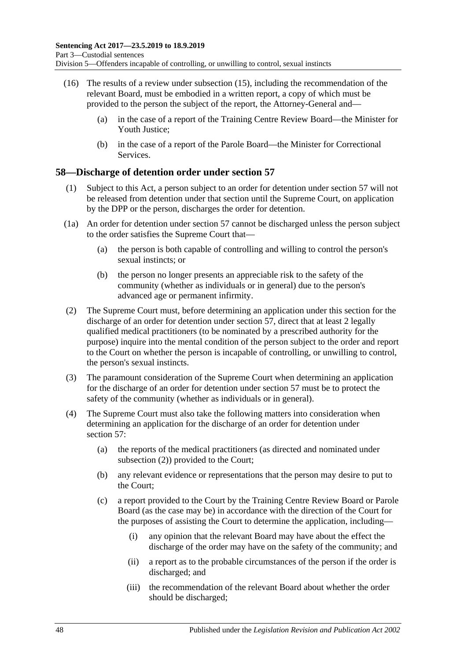- (16) The results of a review under [subsection](#page-46-1) (15), including the recommendation of the relevant Board, must be embodied in a written report, a copy of which must be provided to the person the subject of the report, the Attorney-General and—
	- (a) in the case of a report of the Training Centre Review Board—the Minister for Youth Justice;
	- (b) in the case of a report of the Parole Board—the Minister for Correctional **Services**

## **58—Discharge of detention order under [section](#page-44-1) 57**

- (1) Subject to this Act, a person subject to an order for detention under [section](#page-44-1) 57 will not be released from detention under that section until the Supreme Court, on application by the DPP or the person, discharges the order for detention.
- (1a) An order for detention under [section](#page-44-1) 57 cannot be discharged unless the person subject to the order satisfies the Supreme Court that—
	- (a) the person is both capable of controlling and willing to control the person's sexual instincts; or
	- (b) the person no longer presents an appreciable risk to the safety of the community (whether as individuals or in general) due to the person's advanced age or permanent infirmity.
- <span id="page-47-0"></span>(2) The Supreme Court must, before determining an application under this section for the discharge of an order for detention under [section](#page-44-1) 57, direct that at least 2 legally qualified medical practitioners (to be nominated by a prescribed authority for the purpose) inquire into the mental condition of the person subject to the order and report to the Court on whether the person is incapable of controlling, or unwilling to control, the person's sexual instincts.
- (3) The paramount consideration of the Supreme Court when determining an application for the discharge of an order for detention under [section](#page-44-1) 57 must be to protect the safety of the community (whether as individuals or in general).
- <span id="page-47-1"></span>(4) The Supreme Court must also take the following matters into consideration when determining an application for the discharge of an order for detention under [section](#page-44-1) 57:
	- (a) the reports of the medical practitioners (as directed and nominated under [subsection](#page-47-0) (2)) provided to the Court;
	- (b) any relevant evidence or representations that the person may desire to put to the Court;
	- (c) a report provided to the Court by the Training Centre Review Board or Parole Board (as the case may be) in accordance with the direction of the Court for the purposes of assisting the Court to determine the application, including—
		- (i) any opinion that the relevant Board may have about the effect the discharge of the order may have on the safety of the community; and
		- (ii) a report as to the probable circumstances of the person if the order is discharged; and
		- (iii) the recommendation of the relevant Board about whether the order should be discharged;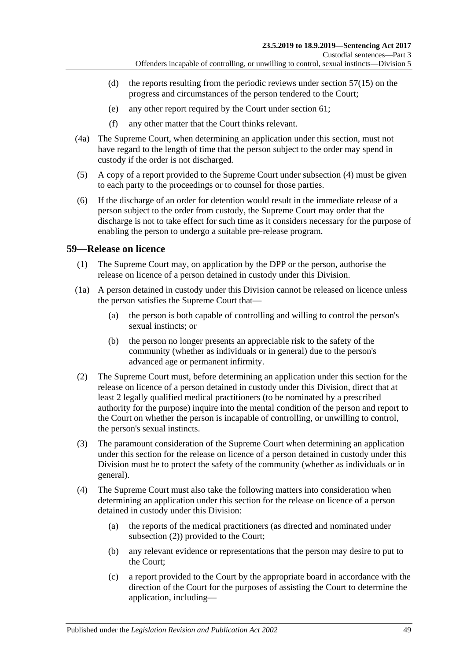- (d) the reports resulting from the periodic reviews under [section](#page-46-1)  $57(15)$  on the progress and circumstances of the person tendered to the Court;
- (e) any other report required by the Court under [section](#page-51-0) 61;
- (f) any other matter that the Court thinks relevant.
- (4a) The Supreme Court, when determining an application under this section, must not have regard to the length of time that the person subject to the order may spend in custody if the order is not discharged.
- (5) A copy of a report provided to the Supreme Court under [subsection](#page-47-1) (4) must be given to each party to the proceedings or to counsel for those parties.
- (6) If the discharge of an order for detention would result in the immediate release of a person subject to the order from custody, the Supreme Court may order that the discharge is not to take effect for such time as it considers necessary for the purpose of enabling the person to undergo a suitable pre-release program.

## <span id="page-48-3"></span><span id="page-48-0"></span>**59—Release on licence**

- (1) The Supreme Court may, on application by the DPP or the person, authorise the release on licence of a person detained in custody under this Division.
- (1a) A person detained in custody under this Division cannot be released on licence unless the person satisfies the Supreme Court that—
	- (a) the person is both capable of controlling and willing to control the person's sexual instincts; or
	- (b) the person no longer presents an appreciable risk to the safety of the community (whether as individuals or in general) due to the person's advanced age or permanent infirmity.
- <span id="page-48-4"></span><span id="page-48-1"></span>(2) The Supreme Court must, before determining an application under this section for the release on licence of a person detained in custody under this Division, direct that at least 2 legally qualified medical practitioners (to be nominated by a prescribed authority for the purpose) inquire into the mental condition of the person and report to the Court on whether the person is incapable of controlling, or unwilling to control, the person's sexual instincts.
- (3) The paramount consideration of the Supreme Court when determining an application under this section for the release on licence of a person detained in custody under this Division must be to protect the safety of the community (whether as individuals or in general).
- <span id="page-48-2"></span>(4) The Supreme Court must also take the following matters into consideration when determining an application under this section for the release on licence of a person detained in custody under this Division:
	- (a) the reports of the medical practitioners (as directed and nominated under [subsection](#page-48-1) (2)) provided to the Court;
	- (b) any relevant evidence or representations that the person may desire to put to the Court;
	- (c) a report provided to the Court by the appropriate board in accordance with the direction of the Court for the purposes of assisting the Court to determine the application, including—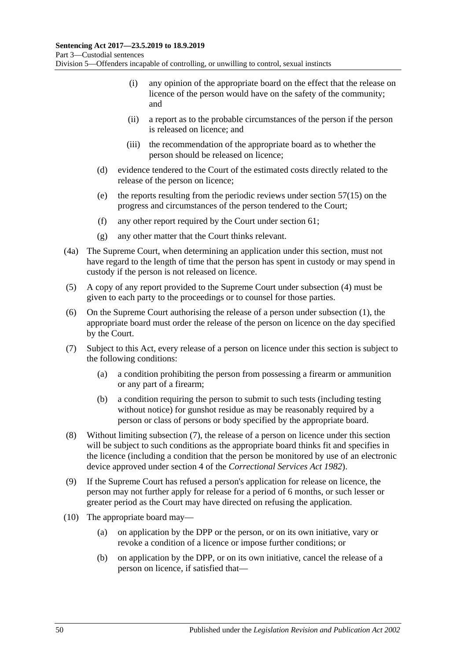- (i) any opinion of the appropriate board on the effect that the release on licence of the person would have on the safety of the community; and
- (ii) a report as to the probable circumstances of the person if the person is released on licence; and
- (iii) the recommendation of the appropriate board as to whether the person should be released on licence;
- (d) evidence tendered to the Court of the estimated costs directly related to the release of the person on licence;
- (e) the reports resulting from the periodic reviews under [section](#page-46-1) 57(15) on the progress and circumstances of the person tendered to the Court;
- (f) any other report required by the Court under [section](#page-51-0) 61;
- (g) any other matter that the Court thinks relevant.
- (4a) The Supreme Court, when determining an application under this section, must not have regard to the length of time that the person has spent in custody or may spend in custody if the person is not released on licence.
- (5) A copy of any report provided to the Supreme Court under [subsection](#page-48-2) (4) must be given to each party to the proceedings or to counsel for those parties.
- (6) On the Supreme Court authorising the release of a person under [subsection](#page-48-3) (1), the appropriate board must order the release of the person on licence on the day specified by the Court.
- <span id="page-49-2"></span><span id="page-49-0"></span>(7) Subject to this Act, every release of a person on licence under this section is subject to the following conditions:
	- (a) a condition prohibiting the person from possessing a firearm or ammunition or any part of a firearm;
	- (b) a condition requiring the person to submit to such tests (including testing without notice) for gunshot residue as may be reasonably required by a person or class of persons or body specified by the appropriate board.
- (8) Without limiting [subsection](#page-49-0) (7), the release of a person on licence under this section will be subject to such conditions as the appropriate board thinks fit and specifies in the licence (including a condition that the person be monitored by use of an electronic device approved under section 4 of the *[Correctional Services Act](http://www.legislation.sa.gov.au/index.aspx?action=legref&type=act&legtitle=Correctional%20Services%20Act%201982) 1982*).
- (9) If the Supreme Court has refused a person's application for release on licence, the person may not further apply for release for a period of 6 months, or such lesser or greater period as the Court may have directed on refusing the application.
- <span id="page-49-1"></span>(10) The appropriate board may—
	- (a) on application by the DPP or the person, or on its own initiative, vary or revoke a condition of a licence or impose further conditions; or
	- (b) on application by the DPP, or on its own initiative, cancel the release of a person on licence, if satisfied that—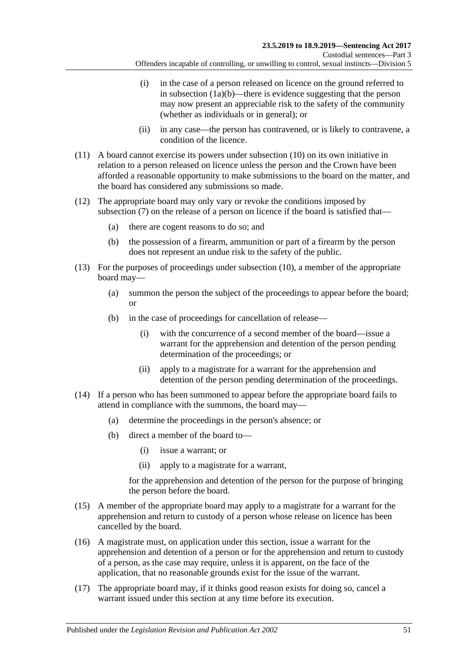- (i) in the case of a person released on licence on the ground referred to in [subsection](#page-48-4)  $(1a)(b)$ —there is evidence suggesting that the person may now present an appreciable risk to the safety of the community (whether as individuals or in general); or
- (ii) in any case—the person has contravened, or is likely to contravene, a condition of the licence.
- (11) A board cannot exercise its powers under [subsection](#page-49-1) (10) on its own initiative in relation to a person released on licence unless the person and the Crown have been afforded a reasonable opportunity to make submissions to the board on the matter, and the board has considered any submissions so made.
- (12) The appropriate board may only vary or revoke the conditions imposed by [subsection](#page-49-0) (7) on the release of a person on licence if the board is satisfied that—
	- (a) there are cogent reasons to do so; and
	- (b) the possession of a firearm, ammunition or part of a firearm by the person does not represent an undue risk to the safety of the public.
- (13) For the purposes of proceedings under [subsection](#page-49-1) (10), a member of the appropriate board may—
	- (a) summon the person the subject of the proceedings to appear before the board; or
	- (b) in the case of proceedings for cancellation of release—
		- (i) with the concurrence of a second member of the board—issue a warrant for the apprehension and detention of the person pending determination of the proceedings; or
		- (ii) apply to a magistrate for a warrant for the apprehension and detention of the person pending determination of the proceedings.
- (14) If a person who has been summoned to appear before the appropriate board fails to attend in compliance with the summons, the board may—
	- (a) determine the proceedings in the person's absence; or
	- (b) direct a member of the board to—
		- (i) issue a warrant; or
		- (ii) apply to a magistrate for a warrant,

for the apprehension and detention of the person for the purpose of bringing the person before the board.

- (15) A member of the appropriate board may apply to a magistrate for a warrant for the apprehension and return to custody of a person whose release on licence has been cancelled by the board.
- (16) A magistrate must, on application under this section, issue a warrant for the apprehension and detention of a person or for the apprehension and return to custody of a person, as the case may require, unless it is apparent, on the face of the application, that no reasonable grounds exist for the issue of the warrant.
- (17) The appropriate board may, if it thinks good reason exists for doing so, cancel a warrant issued under this section at any time before its execution.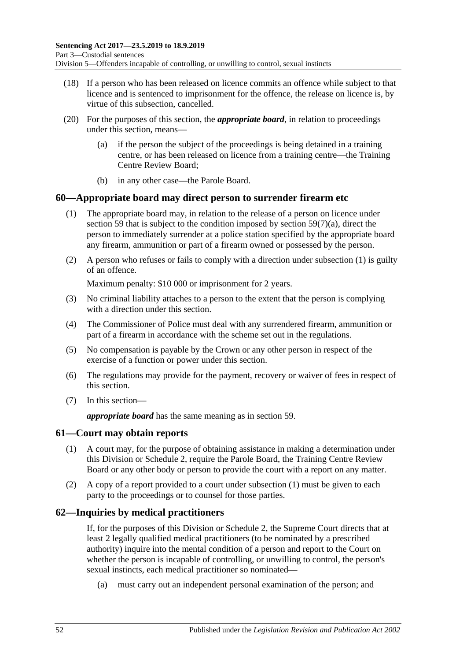- (18) If a person who has been released on licence commits an offence while subject to that licence and is sentenced to imprisonment for the offence, the release on licence is, by virtue of this subsection, cancelled.
- (20) For the purposes of this section, the *appropriate board*, in relation to proceedings under this section, means—
	- (a) if the person the subject of the proceedings is being detained in a training centre, or has been released on licence from a training centre—the Training Centre Review Board;
	- (b) in any other case—the Parole Board.

## <span id="page-51-1"></span>**60—Appropriate board may direct person to surrender firearm etc**

- (1) The appropriate board may, in relation to the release of a person on licence under [section](#page-48-0) 59 that is subject to the condition imposed by section [59\(7\)\(a\),](#page-49-2) direct the person to immediately surrender at a police station specified by the appropriate board any firearm, ammunition or part of a firearm owned or possessed by the person.
- (2) A person who refuses or fails to comply with a direction under [subsection](#page-51-1) (1) is guilty of an offence.

Maximum penalty: \$10 000 or imprisonment for 2 years.

- (3) No criminal liability attaches to a person to the extent that the person is complying with a direction under this section.
- (4) The Commissioner of Police must deal with any surrendered firearm, ammunition or part of a firearm in accordance with the scheme set out in the regulations.
- (5) No compensation is payable by the Crown or any other person in respect of the exercise of a function or power under this section.
- (6) The regulations may provide for the payment, recovery or waiver of fees in respect of this section.
- (7) In this section—

*appropriate board* has the same meaning as in [section](#page-48-0) 59.

### <span id="page-51-2"></span><span id="page-51-0"></span>**61—Court may obtain reports**

- (1) A court may, for the purpose of obtaining assistance in making a determination under this Division or [Schedule 2,](#page-101-0) require the Parole Board, the Training Centre Review Board or any other body or person to provide the court with a report on any matter.
- (2) A copy of a report provided to a court under [subsection](#page-51-2) (1) must be given to each party to the proceedings or to counsel for those parties.

## **62—Inquiries by medical practitioners**

If, for the purposes of this Division or [Schedule 2,](#page-101-0) the Supreme Court directs that at least 2 legally qualified medical practitioners (to be nominated by a prescribed authority) inquire into the mental condition of a person and report to the Court on whether the person is incapable of controlling, or unwilling to control, the person's sexual instincts, each medical practitioner so nominated—

(a) must carry out an independent personal examination of the person; and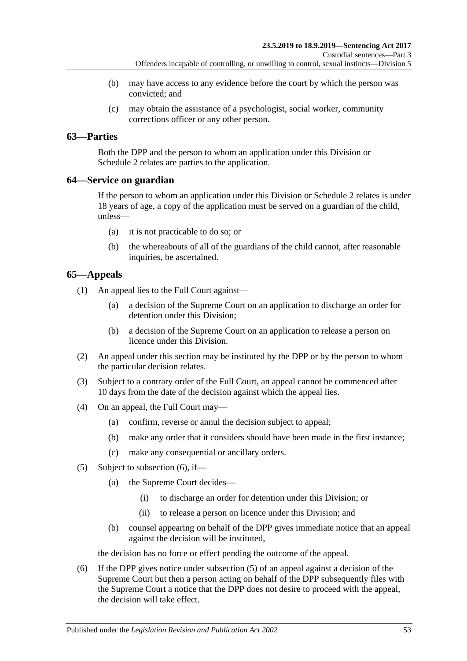- (b) may have access to any evidence before the court by which the person was convicted; and
- (c) may obtain the assistance of a psychologist, social worker, community corrections officer or any other person.

# **63—Parties**

Both the DPP and the person to whom an application under this Division or [Schedule](#page-101-0) 2 relates are parties to the application.

## **64—Service on guardian**

If the person to whom an application under this Division or [Schedule 2](#page-101-0) relates is under 18 years of age, a copy of the application must be served on a guardian of the child, unless—

- (a) it is not practicable to do so; or
- (b) the whereabouts of all of the guardians of the child cannot, after reasonable inquiries, be ascertained.

# **65—Appeals**

(1) An appeal lies to the Full Court against—

- (a) a decision of the Supreme Court on an application to discharge an order for detention under this Division;
- (b) a decision of the Supreme Court on an application to release a person on licence under this Division.
- (2) An appeal under this section may be instituted by the DPP or by the person to whom the particular decision relates.
- (3) Subject to a contrary order of the Full Court, an appeal cannot be commenced after 10 days from the date of the decision against which the appeal lies.
- (4) On an appeal, the Full Court may—
	- (a) confirm, reverse or annul the decision subject to appeal;
	- (b) make any order that it considers should have been made in the first instance;
	- (c) make any consequential or ancillary orders.
- <span id="page-52-1"></span>(5) Subject to [subsection](#page-52-0) (6), if—
	- (a) the Supreme Court decides—
		- (i) to discharge an order for detention under this Division; or
		- (ii) to release a person on licence under this Division; and
	- (b) counsel appearing on behalf of the DPP gives immediate notice that an appeal against the decision will be instituted,

the decision has no force or effect pending the outcome of the appeal.

<span id="page-52-0"></span>(6) If the DPP gives notice under [subsection](#page-52-1) (5) of an appeal against a decision of the Supreme Court but then a person acting on behalf of the DPP subsequently files with the Supreme Court a notice that the DPP does not desire to proceed with the appeal, the decision will take effect.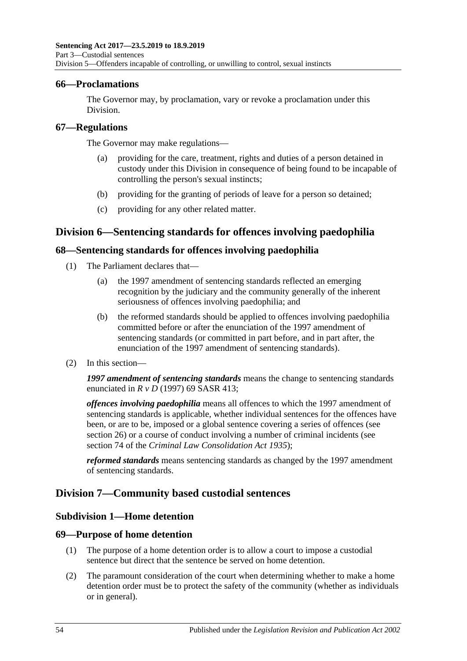## **66—Proclamations**

The Governor may, by proclamation, vary or revoke a proclamation under this Division.

## **67—Regulations**

The Governor may make regulations—

- (a) providing for the care, treatment, rights and duties of a person detained in custody under this Division in consequence of being found to be incapable of controlling the person's sexual instincts;
- (b) providing for the granting of periods of leave for a person so detained;
- (c) providing for any other related matter.

# **Division 6—Sentencing standards for offences involving paedophilia**

## **68—Sentencing standards for offences involving paedophilia**

- (1) The Parliament declares that—
	- (a) the 1997 amendment of sentencing standards reflected an emerging recognition by the judiciary and the community generally of the inherent seriousness of offences involving paedophilia; and
	- (b) the reformed standards should be applied to offences involving paedophilia committed before or after the enunciation of the 1997 amendment of sentencing standards (or committed in part before, and in part after, the enunciation of the 1997 amendment of sentencing standards).
- (2) In this section—

*1997 amendment of sentencing standards* means the change to sentencing standards enunciated in *R v D* (1997) 69 SASR 413;

*offences involving paedophilia* means all offences to which the 1997 amendment of sentencing standards is applicable, whether individual sentences for the offences have been, or are to be, imposed or a global sentence covering a series of offences (see [section](#page-20-0) 26) or a course of conduct involving a number of criminal incidents (see section 74 of the *[Criminal Law Consolidation Act](http://www.legislation.sa.gov.au/index.aspx?action=legref&type=act&legtitle=Criminal%20Law%20Consolidation%20Act%201935) 1935*);

*reformed standards* means sentencing standards as changed by the 1997 amendment of sentencing standards.

# **Division 7—Community based custodial sentences**

## **Subdivision 1—Home detention**

## **69—Purpose of home detention**

- (1) The purpose of a home detention order is to allow a court to impose a custodial sentence but direct that the sentence be served on home detention.
- (2) The paramount consideration of the court when determining whether to make a home detention order must be to protect the safety of the community (whether as individuals or in general).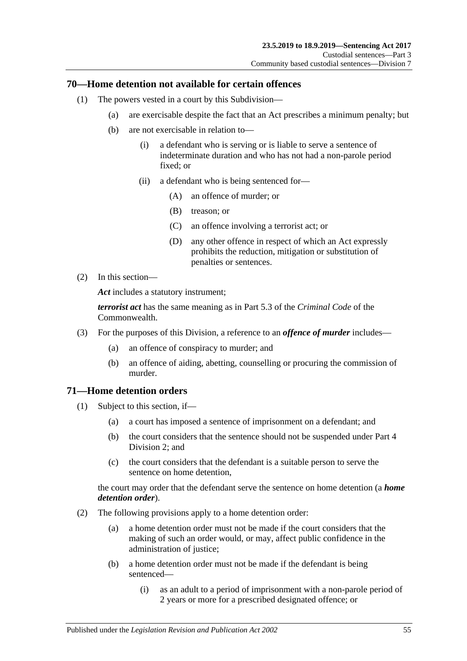## **70—Home detention not available for certain offences**

- (1) The powers vested in a court by this Subdivision—
	- (a) are exercisable despite the fact that an Act prescribes a minimum penalty; but
	- (b) are not exercisable in relation to—
		- (i) a defendant who is serving or is liable to serve a sentence of indeterminate duration and who has not had a non-parole period fixed; or
		- (ii) a defendant who is being sentenced for—
			- (A) an offence of murder; or
			- (B) treason; or
			- (C) an offence involving a terrorist act; or
			- (D) any other offence in respect of which an Act expressly prohibits the reduction, mitigation or substitution of penalties or sentences.
- (2) In this section—

*Act* includes a statutory instrument;

*terrorist act* has the same meaning as in Part 5.3 of the *Criminal Code* of the Commonwealth.

- (3) For the purposes of this Division, a reference to an *offence of murder* includes—
	- (a) an offence of conspiracy to murder; and
	- (b) an offence of aiding, abetting, counselling or procuring the commission of murder.

## **71—Home detention orders**

- (1) Subject to this section, if—
	- (a) a court has imposed a sentence of imprisonment on a defendant; and
	- (b) the court considers that the sentence should not be suspended under [Part](#page-77-1) 4 [Division](#page-77-1) 2; and
	- (c) the court considers that the defendant is a suitable person to serve the sentence on home detention,

the court may order that the defendant serve the sentence on home detention (a *home detention order*).

- (2) The following provisions apply to a home detention order:
	- (a) a home detention order must not be made if the court considers that the making of such an order would, or may, affect public confidence in the administration of justice;
	- (b) a home detention order must not be made if the defendant is being sentenced—
		- (i) as an adult to a period of imprisonment with a non-parole period of 2 years or more for a prescribed designated offence; or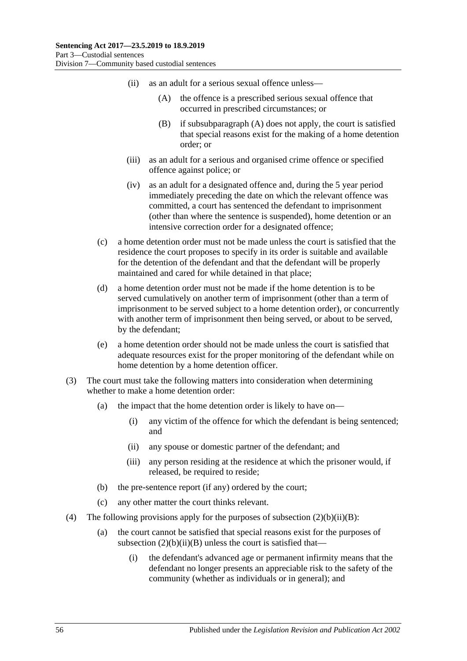- <span id="page-55-1"></span><span id="page-55-0"></span>(ii) as an adult for a serious sexual offence unless—
	- (A) the offence is a prescribed serious sexual offence that occurred in prescribed circumstances; or
	- (B) if [subsubparagraph](#page-55-0) (A) does not apply, the court is satisfied that special reasons exist for the making of a home detention order; or
- (iii) as an adult for a serious and organised crime offence or specified offence against police; or
- (iv) as an adult for a designated offence and, during the 5 year period immediately preceding the date on which the relevant offence was committed, a court has sentenced the defendant to imprisonment (other than where the sentence is suspended), home detention or an intensive correction order for a designated offence;
- (c) a home detention order must not be made unless the court is satisfied that the residence the court proposes to specify in its order is suitable and available for the detention of the defendant and that the defendant will be properly maintained and cared for while detained in that place;
- (d) a home detention order must not be made if the home detention is to be served cumulatively on another term of imprisonment (other than a term of imprisonment to be served subject to a home detention order), or concurrently with another term of imprisonment then being served, or about to be served, by the defendant;
- (e) a home detention order should not be made unless the court is satisfied that adequate resources exist for the proper monitoring of the defendant while on home detention by a home detention officer.
- (3) The court must take the following matters into consideration when determining whether to make a home detention order:
	- (a) the impact that the home detention order is likely to have on—
		- (i) any victim of the offence for which the defendant is being sentenced; and
		- (ii) any spouse or domestic partner of the defendant; and
		- (iii) any person residing at the residence at which the prisoner would, if released, be required to reside;
	- (b) the pre-sentence report (if any) ordered by the court;
	- (c) any other matter the court thinks relevant.
- (4) The following provisions apply for the purposes of subsection  $(2)(b)(ii)(B)$ :
	- (a) the court cannot be satisfied that special reasons exist for the purposes of subsection  $(2)(b)(ii)(B)$  unless the court is satisfied that—
		- (i) the defendant's advanced age or permanent infirmity means that the defendant no longer presents an appreciable risk to the safety of the community (whether as individuals or in general); and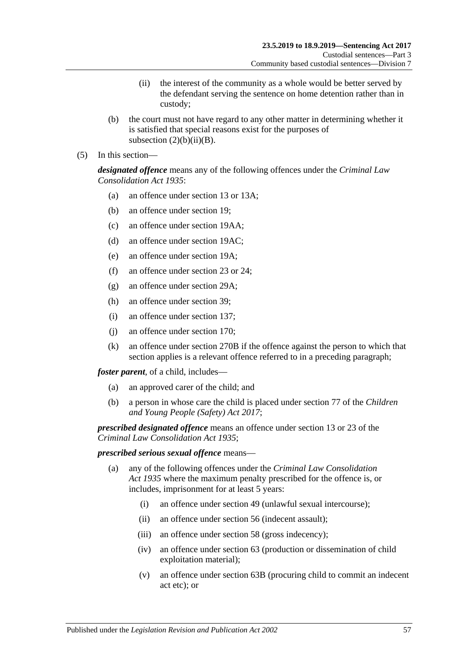- (ii) the interest of the community as a whole would be better served by the defendant serving the sentence on home detention rather than in custody;
- (b) the court must not have regard to any other matter in determining whether it is satisfied that special reasons exist for the purposes of subsection  $(2)(b)(ii)(B)$ .
- (5) In this section—

*designated offence* means any of the following offences under the *[Criminal Law](http://www.legislation.sa.gov.au/index.aspx?action=legref&type=act&legtitle=Criminal%20Law%20Consolidation%20Act%201935)  [Consolidation Act](http://www.legislation.sa.gov.au/index.aspx?action=legref&type=act&legtitle=Criminal%20Law%20Consolidation%20Act%201935) 1935*:

- (a) an offence under section 13 or 13A;
- (b) an offence under section 19;
- (c) an offence under section 19AA;
- (d) an offence under section 19AC;
- (e) an offence under section 19A;
- (f) an offence under section 23 or 24;
- (g) an offence under section 29A;
- (h) an offence under section 39;
- (i) an offence under section 137;
- (j) an offence under section 170;
- (k) an offence under section 270B if the offence against the person to which that section applies is a relevant offence referred to in a preceding paragraph;

*foster parent*, of a child, includes—

- (a) an approved carer of the child; and
- (b) a person in whose care the child is placed under section 77 of the *[Children](http://www.legislation.sa.gov.au/index.aspx?action=legref&type=act&legtitle=Children%20and%20Young%20People%20(Safety)%20Act%202017)  [and Young People \(Safety\) Act](http://www.legislation.sa.gov.au/index.aspx?action=legref&type=act&legtitle=Children%20and%20Young%20People%20(Safety)%20Act%202017) 2017*;

*prescribed designated offence* means an offence under section 13 or 23 of the *[Criminal Law Consolidation Act](http://www.legislation.sa.gov.au/index.aspx?action=legref&type=act&legtitle=Criminal%20Law%20Consolidation%20Act%201935) 1935*;

### *prescribed serious sexual offence* means—

- (a) any of the following offences under the *[Criminal Law Consolidation](http://www.legislation.sa.gov.au/index.aspx?action=legref&type=act&legtitle=Criminal%20Law%20Consolidation%20Act%201935)  Act [1935](http://www.legislation.sa.gov.au/index.aspx?action=legref&type=act&legtitle=Criminal%20Law%20Consolidation%20Act%201935)* where the maximum penalty prescribed for the offence is, or includes, imprisonment for at least 5 years:
	- (i) an offence under section 49 (unlawful sexual intercourse);
	- (ii) an offence under section 56 (indecent assault);
	- (iii) an offence under section 58 (gross indecency);
	- (iv) an offence under section 63 (production or dissemination of child exploitation material);
	- (v) an offence under section 63B (procuring child to commit an indecent act etc); or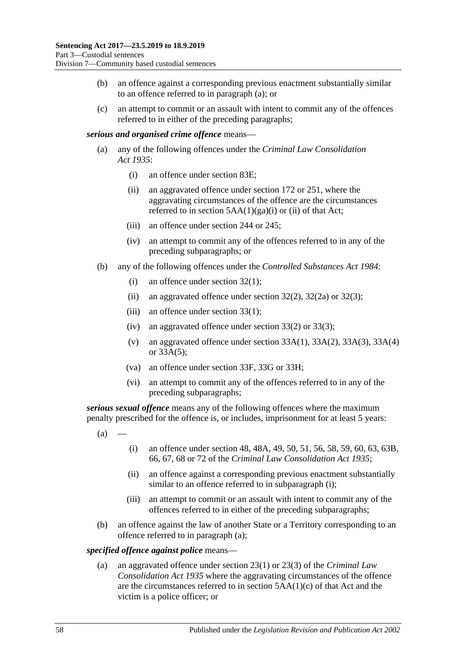- (b) an offence against a corresponding previous enactment substantially similar to an offence referred to in paragraph (a); or
- (c) an attempt to commit or an assault with intent to commit any of the offences referred to in either of the preceding paragraphs;

### *serious and organised crime offence* means—

- (a) any of the following offences under the *[Criminal Law Consolidation](http://www.legislation.sa.gov.au/index.aspx?action=legref&type=act&legtitle=Criminal%20Law%20Consolidation%20Act%201935)  Act [1935](http://www.legislation.sa.gov.au/index.aspx?action=legref&type=act&legtitle=Criminal%20Law%20Consolidation%20Act%201935)*:
	- (i) an offence under section 83E;
	- (ii) an aggravated offence under section 172 or 251, where the aggravating circumstances of the offence are the circumstances referred to in section  $5AA(1)(ga)(i)$  or (ii) of that Act;
	- (iii) an offence under section 244 or 245;
	- (iv) an attempt to commit any of the offences referred to in any of the preceding subparagraphs; or
- (b) any of the following offences under the *[Controlled Substances Act](http://www.legislation.sa.gov.au/index.aspx?action=legref&type=act&legtitle=Controlled%20Substances%20Act%201984) 1984*:
	- (i) an offence under section 32(1);
	- (ii) an aggravated offence under section  $32(2)$ ,  $32(2a)$  or  $32(3)$ ;
	- (iii) an offence under section 33(1);
	- (iv) an aggravated offence under section 33(2) or 33(3);
	- (v) an aggravated offence under section 33A(1), 33A(2), 33A(3), 33A(4) or 33A(5);
	- (va) an offence under section 33F, 33G or 33H;
	- (vi) an attempt to commit any of the offences referred to in any of the preceding subparagraphs;

<span id="page-57-1"></span>*serious sexual offence* means any of the following offences where the maximum penalty prescribed for the offence is, or includes, imprisonment for at least 5 years:

- <span id="page-57-0"></span> $(a)$
- (i) an offence under section 48, 48A, 49, 50, 51, 56, 58, 59, 60, 63, 63B, 66, 67, 68 or 72 of the *[Criminal Law Consolidation Act](http://www.legislation.sa.gov.au/index.aspx?action=legref&type=act&legtitle=Criminal%20Law%20Consolidation%20Act%201935) 1935*;
- (ii) an offence against a corresponding previous enactment substantially similar to an offence referred to in [subparagraph](#page-57-0) (i);
- (iii) an attempt to commit or an assault with intent to commit any of the offences referred to in either of the preceding subparagraphs;
- (b) an offence against the law of another State or a Territory corresponding to an offence referred to in [paragraph](#page-57-1) (a);

### *specified offence against police* means—

(a) an aggravated offence under section 23(1) or 23(3) of the *[Criminal Law](http://www.legislation.sa.gov.au/index.aspx?action=legref&type=act&legtitle=Criminal%20Law%20Consolidation%20Act%201935)  [Consolidation Act](http://www.legislation.sa.gov.au/index.aspx?action=legref&type=act&legtitle=Criminal%20Law%20Consolidation%20Act%201935) 1935* where the aggravating circumstances of the offence are the circumstances referred to in section 5AA(1)(c) of that Act and the victim is a police officer; or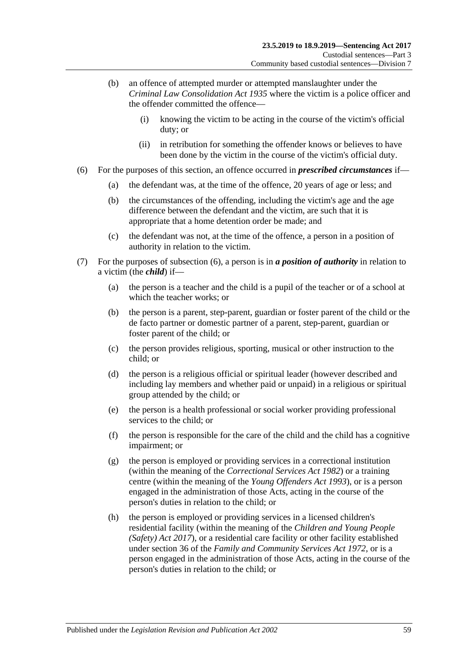- (b) an offence of attempted murder or attempted manslaughter under the *[Criminal Law Consolidation Act](http://www.legislation.sa.gov.au/index.aspx?action=legref&type=act&legtitle=Criminal%20Law%20Consolidation%20Act%201935) 1935* where the victim is a police officer and the offender committed the offence—
	- (i) knowing the victim to be acting in the course of the victim's official duty; or
	- (ii) in retribution for something the offender knows or believes to have been done by the victim in the course of the victim's official duty.
- <span id="page-58-0"></span>(6) For the purposes of this section, an offence occurred in *prescribed circumstances* if—
	- (a) the defendant was, at the time of the offence, 20 years of age or less; and
	- (b) the circumstances of the offending, including the victim's age and the age difference between the defendant and the victim, are such that it is appropriate that a home detention order be made; and
	- (c) the defendant was not, at the time of the offence, a person in a position of authority in relation to the victim.
- (7) For the purposes of [subsection](#page-58-0) (6), a person is in *a position of authority* in relation to a victim (the *child*) if—
	- (a) the person is a teacher and the child is a pupil of the teacher or of a school at which the teacher works; or
	- (b) the person is a parent, step-parent, guardian or foster parent of the child or the de facto partner or domestic partner of a parent, step-parent, guardian or foster parent of the child; or
	- (c) the person provides religious, sporting, musical or other instruction to the child; or
	- (d) the person is a religious official or spiritual leader (however described and including lay members and whether paid or unpaid) in a religious or spiritual group attended by the child; or
	- (e) the person is a health professional or social worker providing professional services to the child; or
	- (f) the person is responsible for the care of the child and the child has a cognitive impairment; or
	- (g) the person is employed or providing services in a correctional institution (within the meaning of the *[Correctional Services Act](http://www.legislation.sa.gov.au/index.aspx?action=legref&type=act&legtitle=Correctional%20Services%20Act%201982) 1982*) or a training centre (within the meaning of the *[Young Offenders Act](http://www.legislation.sa.gov.au/index.aspx?action=legref&type=act&legtitle=Young%20Offenders%20Act%201993) 1993*), or is a person engaged in the administration of those Acts, acting in the course of the person's duties in relation to the child; or
	- (h) the person is employed or providing services in a licensed children's residential facility (within the meaning of the *[Children and Young People](http://www.legislation.sa.gov.au/index.aspx?action=legref&type=act&legtitle=Children%20and%20Young%20People%20(Safety)%20Act%202017)  [\(Safety\) Act](http://www.legislation.sa.gov.au/index.aspx?action=legref&type=act&legtitle=Children%20and%20Young%20People%20(Safety)%20Act%202017) 2017*), or a residential care facility or other facility established under section 36 of the *[Family and Community Services Act](http://www.legislation.sa.gov.au/index.aspx?action=legref&type=act&legtitle=Family%20and%20Community%20Services%20Act%201972) 1972*, or is a person engaged in the administration of those Acts, acting in the course of the person's duties in relation to the child; or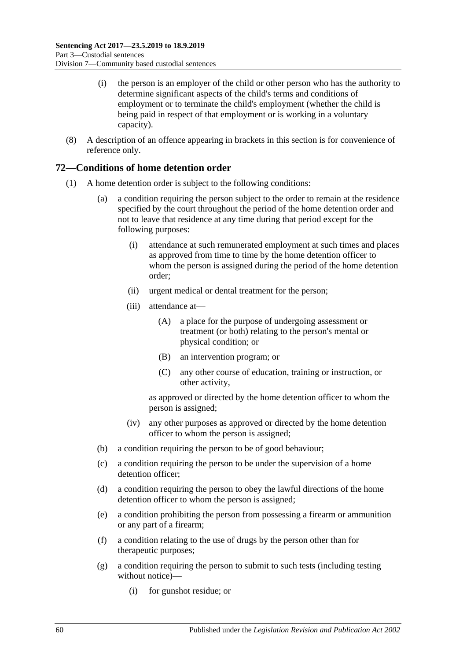- (i) the person is an employer of the child or other person who has the authority to determine significant aspects of the child's terms and conditions of employment or to terminate the child's employment (whether the child is being paid in respect of that employment or is working in a voluntary capacity).
- (8) A description of an offence appearing in brackets in this section is for convenience of reference only.

## **72—Conditions of home detention order**

- (1) A home detention order is subject to the following conditions:
	- (a) a condition requiring the person subject to the order to remain at the residence specified by the court throughout the period of the home detention order and not to leave that residence at any time during that period except for the following purposes:
		- (i) attendance at such remunerated employment at such times and places as approved from time to time by the home detention officer to whom the person is assigned during the period of the home detention order;
		- (ii) urgent medical or dental treatment for the person;
		- (iii) attendance at—
			- (A) a place for the purpose of undergoing assessment or treatment (or both) relating to the person's mental or physical condition; or
			- (B) an intervention program; or
			- (C) any other course of education, training or instruction, or other activity,

as approved or directed by the home detention officer to whom the person is assigned;

- (iv) any other purposes as approved or directed by the home detention officer to whom the person is assigned;
- (b) a condition requiring the person to be of good behaviour;
- (c) a condition requiring the person to be under the supervision of a home detention officer;
- (d) a condition requiring the person to obey the lawful directions of the home detention officer to whom the person is assigned;
- <span id="page-59-0"></span>(e) a condition prohibiting the person from possessing a firearm or ammunition or any part of a firearm;
- (f) a condition relating to the use of drugs by the person other than for therapeutic purposes;
- <span id="page-59-1"></span>(g) a condition requiring the person to submit to such tests (including testing without notice)—
	- (i) for gunshot residue; or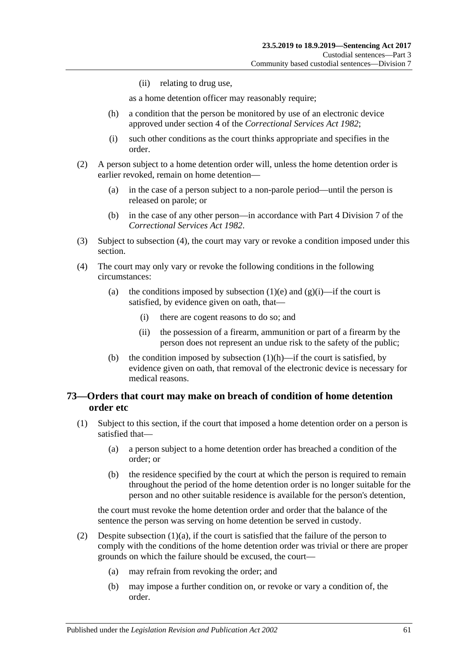(ii) relating to drug use,

as a home detention officer may reasonably require;

- <span id="page-60-1"></span>(h) a condition that the person be monitored by use of an electronic device approved under section 4 of the *[Correctional Services Act](http://www.legislation.sa.gov.au/index.aspx?action=legref&type=act&legtitle=Correctional%20Services%20Act%201982) 1982*;
- (i) such other conditions as the court thinks appropriate and specifies in the order.
- (2) A person subject to a home detention order will, unless the home detention order is earlier revoked, remain on home detention—
	- (a) in the case of a person subject to a non-parole period—until the person is released on parole; or
	- (b) in the case of any other person—in accordance with Part 4 Division 7 of the *[Correctional Services Act](http://www.legislation.sa.gov.au/index.aspx?action=legref&type=act&legtitle=Correctional%20Services%20Act%201982) 1982*.
- (3) Subject to [subsection](#page-60-0) (4), the court may vary or revoke a condition imposed under this section.
- <span id="page-60-0"></span>(4) The court may only vary or revoke the following conditions in the following circumstances:
	- (a) the conditions imposed by [subsection](#page-59-0) (1)(e) and [\(g\)\(i\)—](#page-59-1)if the court is satisfied, by evidence given on oath, that—
		- (i) there are cogent reasons to do so; and
		- (ii) the possession of a firearm, ammunition or part of a firearm by the person does not represent an undue risk to the safety of the public;
	- (b) the condition imposed by [subsection](#page-60-1)  $(1)(h)$ —if the court is satisfied, by evidence given on oath, that removal of the electronic device is necessary for medical reasons.

## <span id="page-60-4"></span>**73—Orders that court may make on breach of condition of home detention order etc**

- <span id="page-60-3"></span><span id="page-60-2"></span>(1) Subject to this section, if the court that imposed a home detention order on a person is satisfied that—
	- (a) a person subject to a home detention order has breached a condition of the order; or
	- (b) the residence specified by the court at which the person is required to remain throughout the period of the home detention order is no longer suitable for the person and no other suitable residence is available for the person's detention,

the court must revoke the home detention order and order that the balance of the sentence the person was serving on home detention be served in custody.

- (2) Despite [subsection](#page-60-2)  $(1)(a)$ , if the court is satisfied that the failure of the person to comply with the conditions of the home detention order was trivial or there are proper grounds on which the failure should be excused, the court—
	- (a) may refrain from revoking the order; and
	- (b) may impose a further condition on, or revoke or vary a condition of, the order.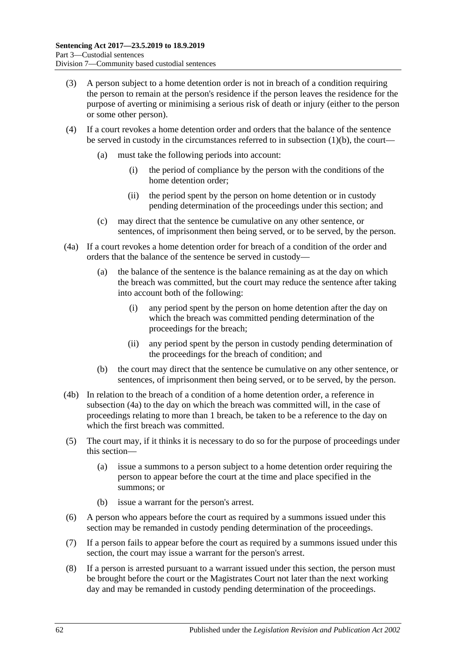- (3) A person subject to a home detention order is not in breach of a condition requiring the person to remain at the person's residence if the person leaves the residence for the purpose of averting or minimising a serious risk of death or injury (either to the person or some other person).
- (4) If a court revokes a home detention order and orders that the balance of the sentence be served in custody in the circumstances referred to in [subsection](#page-60-3)  $(1)(b)$ , the court—
	- (a) must take the following periods into account:
		- (i) the period of compliance by the person with the conditions of the home detention order;
		- (ii) the period spent by the person on home detention or in custody pending determination of the proceedings under this section; and
	- (c) may direct that the sentence be cumulative on any other sentence, or sentences, of imprisonment then being served, or to be served, by the person.
- <span id="page-61-0"></span>(4a) If a court revokes a home detention order for breach of a condition of the order and orders that the balance of the sentence be served in custody—
	- (a) the balance of the sentence is the balance remaining as at the day on which the breach was committed, but the court may reduce the sentence after taking into account both of the following:
		- (i) any period spent by the person on home detention after the day on which the breach was committed pending determination of the proceedings for the breach;
		- (ii) any period spent by the person in custody pending determination of the proceedings for the breach of condition; and
	- (b) the court may direct that the sentence be cumulative on any other sentence, or sentences, of imprisonment then being served, or to be served, by the person.
- (4b) In relation to the breach of a condition of a home detention order, a reference in [subsection](#page-61-0) (4a) to the day on which the breach was committed will, in the case of proceedings relating to more than 1 breach, be taken to be a reference to the day on which the first breach was committed.
- (5) The court may, if it thinks it is necessary to do so for the purpose of proceedings under this section—
	- (a) issue a summons to a person subject to a home detention order requiring the person to appear before the court at the time and place specified in the summons; or
	- (b) issue a warrant for the person's arrest.
- (6) A person who appears before the court as required by a summons issued under this section may be remanded in custody pending determination of the proceedings.
- (7) If a person fails to appear before the court as required by a summons issued under this section, the court may issue a warrant for the person's arrest.
- <span id="page-61-1"></span>(8) If a person is arrested pursuant to a warrant issued under this section, the person must be brought before the court or the Magistrates Court not later than the next working day and may be remanded in custody pending determination of the proceedings.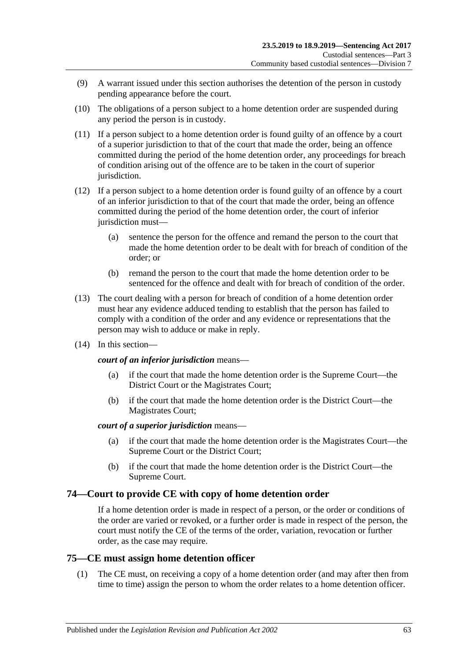- (9) A warrant issued under this section authorises the detention of the person in custody pending appearance before the court.
- <span id="page-62-0"></span>(10) The obligations of a person subject to a home detention order are suspended during any period the person is in custody.
- (11) If a person subject to a home detention order is found guilty of an offence by a court of a superior jurisdiction to that of the court that made the order, being an offence committed during the period of the home detention order, any proceedings for breach of condition arising out of the offence are to be taken in the court of superior jurisdiction.
- (12) If a person subject to a home detention order is found guilty of an offence by a court of an inferior jurisdiction to that of the court that made the order, being an offence committed during the period of the home detention order, the court of inferior jurisdiction must—
	- (a) sentence the person for the offence and remand the person to the court that made the home detention order to be dealt with for breach of condition of the order; or
	- (b) remand the person to the court that made the home detention order to be sentenced for the offence and dealt with for breach of condition of the order.
- (13) The court dealing with a person for breach of condition of a home detention order must hear any evidence adduced tending to establish that the person has failed to comply with a condition of the order and any evidence or representations that the person may wish to adduce or make in reply.
- (14) In this section—

### *court of an inferior jurisdiction* means—

- (a) if the court that made the home detention order is the Supreme Court—the District Court or the Magistrates Court;
- (b) if the court that made the home detention order is the District Court—the Magistrates Court;

### *court of a superior jurisdiction* means—

- (a) if the court that made the home detention order is the Magistrates Court—the Supreme Court or the District Court;
- (b) if the court that made the home detention order is the District Court—the Supreme Court.

## **74—Court to provide CE with copy of home detention order**

If a home detention order is made in respect of a person, or the order or conditions of the order are varied or revoked, or a further order is made in respect of the person, the court must notify the CE of the terms of the order, variation, revocation or further order, as the case may require.

## **75—CE must assign home detention officer**

(1) The CE must, on receiving a copy of a home detention order (and may after then from time to time) assign the person to whom the order relates to a home detention officer.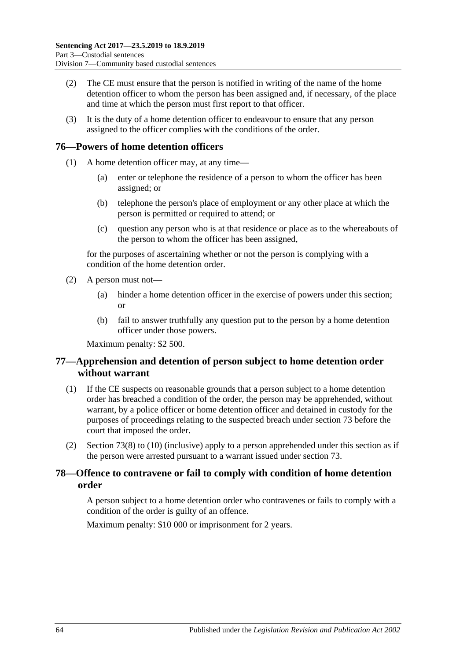- (2) The CE must ensure that the person is notified in writing of the name of the home detention officer to whom the person has been assigned and, if necessary, of the place and time at which the person must first report to that officer.
- (3) It is the duty of a home detention officer to endeavour to ensure that any person assigned to the officer complies with the conditions of the order.

# **76—Powers of home detention officers**

- (1) A home detention officer may, at any time—
	- (a) enter or telephone the residence of a person to whom the officer has been assigned; or
	- (b) telephone the person's place of employment or any other place at which the person is permitted or required to attend; or
	- (c) question any person who is at that residence or place as to the whereabouts of the person to whom the officer has been assigned,

for the purposes of ascertaining whether or not the person is complying with a condition of the home detention order.

- (2) A person must not—
	- (a) hinder a home detention officer in the exercise of powers under this section; or
	- (b) fail to answer truthfully any question put to the person by a home detention officer under those powers.

Maximum penalty: \$2 500.

# **77—Apprehension and detention of person subject to home detention order without warrant**

- (1) If the CE suspects on reasonable grounds that a person subject to a home detention order has breached a condition of the order, the person may be apprehended, without warrant, by a police officer or home detention officer and detained in custody for the purposes of proceedings relating to the suspected breach under [section](#page-60-4) 73 before the court that imposed the order.
- (2) [Section](#page-61-1) 73(8) to [\(10\)](#page-62-0) (inclusive) apply to a person apprehended under this section as if the person were arrested pursuant to a warrant issued under [section](#page-60-4) 73.

# **78—Offence to contravene or fail to comply with condition of home detention order**

A person subject to a home detention order who contravenes or fails to comply with a condition of the order is guilty of an offence.

Maximum penalty: \$10 000 or imprisonment for 2 years.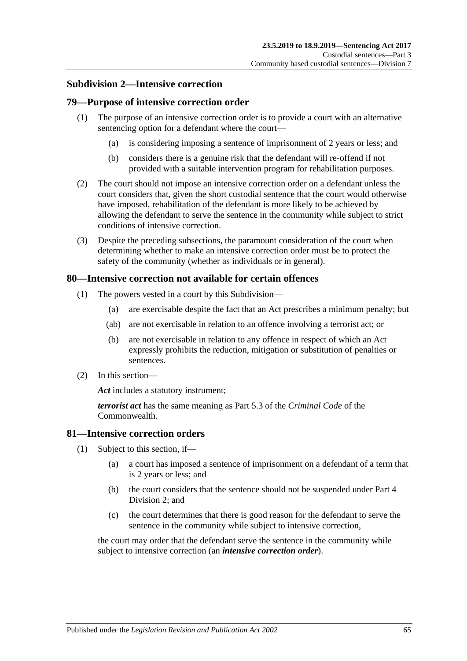## **Subdivision 2—Intensive correction**

## **79—Purpose of intensive correction order**

- (1) The purpose of an intensive correction order is to provide a court with an alternative sentencing option for a defendant where the court—
	- (a) is considering imposing a sentence of imprisonment of 2 years or less; and
	- (b) considers there is a genuine risk that the defendant will re-offend if not provided with a suitable intervention program for rehabilitation purposes.
- (2) The court should not impose an intensive correction order on a defendant unless the court considers that, given the short custodial sentence that the court would otherwise have imposed, rehabilitation of the defendant is more likely to be achieved by allowing the defendant to serve the sentence in the community while subject to strict conditions of intensive correction.
- (3) Despite the preceding subsections, the paramount consideration of the court when determining whether to make an intensive correction order must be to protect the safety of the community (whether as individuals or in general).

## **80—Intensive correction not available for certain offences**

- (1) The powers vested in a court by this Subdivision—
	- (a) are exercisable despite the fact that an Act prescribes a minimum penalty; but
	- (ab) are not exercisable in relation to an offence involving a terrorist act; or
	- (b) are not exercisable in relation to any offence in respect of which an Act expressly prohibits the reduction, mitigation or substitution of penalties or sentences.
- (2) In this section—

*Act* includes a statutory instrument;

*terrorist act* has the same meaning as Part 5.3 of the *Criminal Code* of the Commonwealth.

### **81—Intensive correction orders**

- (1) Subject to this section, if—
	- (a) a court has imposed a sentence of imprisonment on a defendant of a term that is 2 years or less; and
	- (b) the court considers that the sentence should not be suspended under [Part](#page-77-1) 4 [Division](#page-77-1) 2; and
	- (c) the court determines that there is good reason for the defendant to serve the sentence in the community while subject to intensive correction,

<span id="page-64-0"></span>the court may order that the defendant serve the sentence in the community while subject to intensive correction (an *intensive correction order*).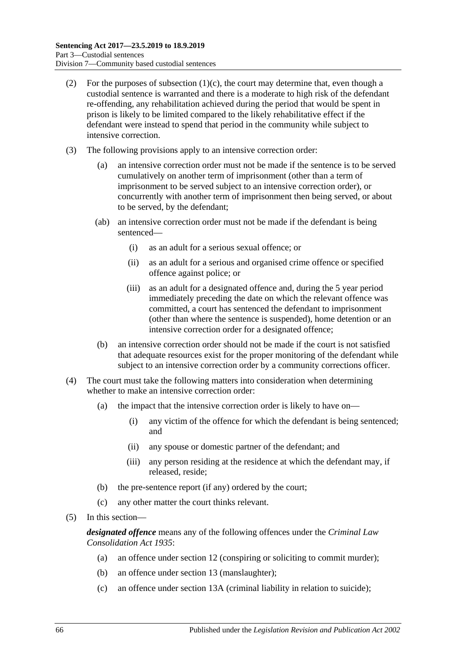- (2) For the purposes of [subsection](#page-64-0)  $(1)(c)$ , the court may determine that, even though a custodial sentence is warranted and there is a moderate to high risk of the defendant re-offending, any rehabilitation achieved during the period that would be spent in prison is likely to be limited compared to the likely rehabilitative effect if the defendant were instead to spend that period in the community while subject to intensive correction.
- (3) The following provisions apply to an intensive correction order:
	- (a) an intensive correction order must not be made if the sentence is to be served cumulatively on another term of imprisonment (other than a term of imprisonment to be served subject to an intensive correction order), or concurrently with another term of imprisonment then being served, or about to be served, by the defendant;
	- (ab) an intensive correction order must not be made if the defendant is being sentenced—
		- (i) as an adult for a serious sexual offence; or
		- (ii) as an adult for a serious and organised crime offence or specified offence against police; or
		- (iii) as an adult for a designated offence and, during the 5 year period immediately preceding the date on which the relevant offence was committed, a court has sentenced the defendant to imprisonment (other than where the sentence is suspended), home detention or an intensive correction order for a designated offence;
	- (b) an intensive correction order should not be made if the court is not satisfied that adequate resources exist for the proper monitoring of the defendant while subject to an intensive correction order by a community corrections officer.
- (4) The court must take the following matters into consideration when determining whether to make an intensive correction order:
	- (a) the impact that the intensive correction order is likely to have on—
		- (i) any victim of the offence for which the defendant is being sentenced; and
		- (ii) any spouse or domestic partner of the defendant; and
		- (iii) any person residing at the residence at which the defendant may, if released, reside;
	- (b) the pre-sentence report (if any) ordered by the court;
	- (c) any other matter the court thinks relevant.
- (5) In this section—

*designated offence* means any of the following offences under the *[Criminal Law](http://www.legislation.sa.gov.au/index.aspx?action=legref&type=act&legtitle=Criminal%20Law%20Consolidation%20Act%201935)  [Consolidation Act](http://www.legislation.sa.gov.au/index.aspx?action=legref&type=act&legtitle=Criminal%20Law%20Consolidation%20Act%201935) 1935*:

- (a) an offence under section 12 (conspiring or soliciting to commit murder);
- (b) an offence under section 13 (manslaughter);
- (c) an offence under section 13A (criminal liability in relation to suicide);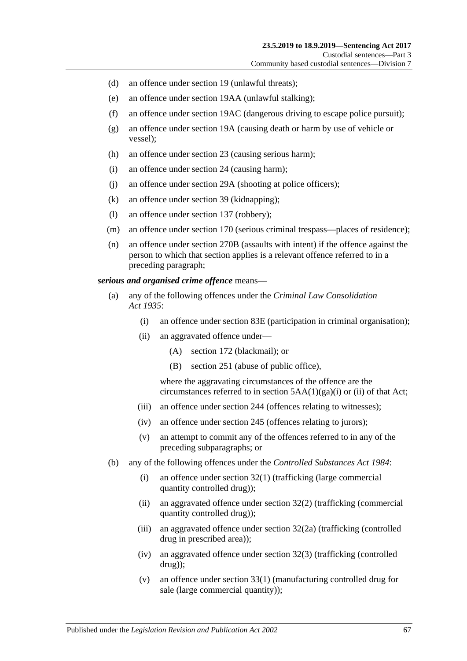- (d) an offence under section 19 (unlawful threats);
- (e) an offence under section 19AA (unlawful stalking);
- (f) an offence under section 19AC (dangerous driving to escape police pursuit);
- (g) an offence under section 19A (causing death or harm by use of vehicle or vessel);
- (h) an offence under section 23 (causing serious harm);
- (i) an offence under section 24 (causing harm);
- (j) an offence under section 29A (shooting at police officers);
- (k) an offence under section 39 (kidnapping);
- (l) an offence under section 137 (robbery);
- (m) an offence under section 170 (serious criminal trespass—places of residence);
- (n) an offence under section 270B (assaults with intent) if the offence against the person to which that section applies is a relevant offence referred to in a preceding paragraph;

### *serious and organised crime offence* means—

- (a) any of the following offences under the *[Criminal Law Consolidation](http://www.legislation.sa.gov.au/index.aspx?action=legref&type=act&legtitle=Criminal%20Law%20Consolidation%20Act%201935)  Act [1935](http://www.legislation.sa.gov.au/index.aspx?action=legref&type=act&legtitle=Criminal%20Law%20Consolidation%20Act%201935)*:
	- (i) an offence under section 83E (participation in criminal organisation);
	- (ii) an aggravated offence under—
		- (A) section 172 (blackmail); or
		- (B) section 251 (abuse of public office),

where the aggravating circumstances of the offence are the circumstances referred to in section  $5AA(1)(ga)(i)$  or (ii) of that Act;

- (iii) an offence under section 244 (offences relating to witnesses);
- (iv) an offence under section 245 (offences relating to jurors);
- (v) an attempt to commit any of the offences referred to in any of the preceding subparagraphs; or
- (b) any of the following offences under the *[Controlled Substances Act](http://www.legislation.sa.gov.au/index.aspx?action=legref&type=act&legtitle=Controlled%20Substances%20Act%201984) 1984*:
	- (i) an offence under section 32(1) (trafficking (large commercial quantity controlled drug));
	- (ii) an aggravated offence under section 32(2) (trafficking (commercial quantity controlled drug));
	- (iii) an aggravated offence under section 32(2a) (trafficking (controlled drug in prescribed area));
	- (iv) an aggravated offence under section 32(3) (trafficking (controlled drug));
	- (v) an offence under section 33(1) (manufacturing controlled drug for sale (large commercial quantity));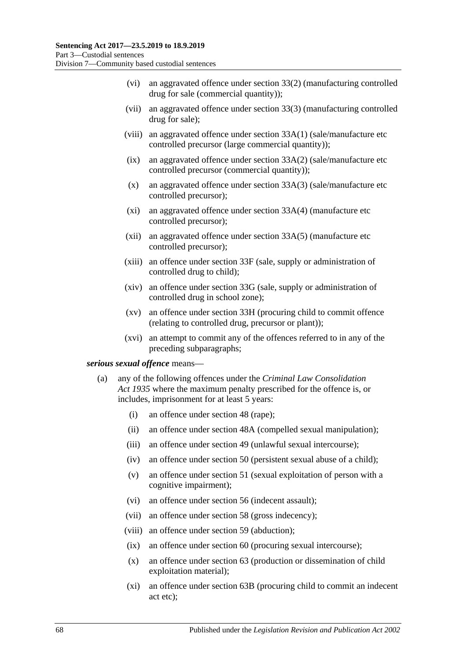- (vi) an aggravated offence under section 33(2) (manufacturing controlled drug for sale (commercial quantity));
- (vii) an aggravated offence under section 33(3) (manufacturing controlled drug for sale);
- (viii) an aggravated offence under section 33A(1) (sale/manufacture etc controlled precursor (large commercial quantity));
- (ix) an aggravated offence under section 33A(2) (sale/manufacture etc controlled precursor (commercial quantity));
- (x) an aggravated offence under section 33A(3) (sale/manufacture etc controlled precursor);
- (xi) an aggravated offence under section 33A(4) (manufacture etc controlled precursor);
- (xii) an aggravated offence under section 33A(5) (manufacture etc controlled precursor);
- (xiii) an offence under section 33F (sale, supply or administration of controlled drug to child);
- (xiv) an offence under section 33G (sale, supply or administration of controlled drug in school zone);
- (xv) an offence under section 33H (procuring child to commit offence (relating to controlled drug, precursor or plant));
- (xvi) an attempt to commit any of the offences referred to in any of the preceding subparagraphs;

### <span id="page-67-0"></span>*serious sexual offence* means—

- (a) any of the following offences under the *[Criminal Law Consolidation](http://www.legislation.sa.gov.au/index.aspx?action=legref&type=act&legtitle=Criminal%20Law%20Consolidation%20Act%201935)  Act [1935](http://www.legislation.sa.gov.au/index.aspx?action=legref&type=act&legtitle=Criminal%20Law%20Consolidation%20Act%201935)* where the maximum penalty prescribed for the offence is, or includes, imprisonment for at least 5 years:
	- (i) an offence under section 48 (rape);
	- (ii) an offence under section 48A (compelled sexual manipulation);
	- (iii) an offence under section 49 (unlawful sexual intercourse);
	- (iv) an offence under section 50 (persistent sexual abuse of a child);
	- (v) an offence under section 51 (sexual exploitation of person with a cognitive impairment);
	- (vi) an offence under section 56 (indecent assault);
	- (vii) an offence under section 58 (gross indecency);
	- (viii) an offence under section 59 (abduction);
	- (ix) an offence under section 60 (procuring sexual intercourse);
	- (x) an offence under section 63 (production or dissemination of child exploitation material);
	- (xi) an offence under section 63B (procuring child to commit an indecent act etc);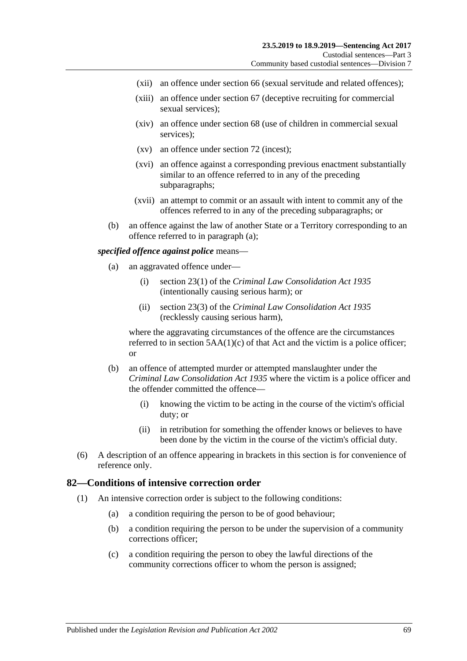- (xii) an offence under section 66 (sexual servitude and related offences);
- (xiii) an offence under section 67 (deceptive recruiting for commercial sexual services);
- (xiv) an offence under section 68 (use of children in commercial sexual services);
- (xv) an offence under section 72 (incest);
- (xvi) an offence against a corresponding previous enactment substantially similar to an offence referred to in any of the preceding subparagraphs;
- (xvii) an attempt to commit or an assault with intent to commit any of the offences referred to in any of the preceding subparagraphs; or
- (b) an offence against the law of another State or a Territory corresponding to an offence referred to in [paragraph](#page-67-0) (a);

#### *specified offence against police* means—

- (a) an aggravated offence under—
	- (i) section 23(1) of the *[Criminal Law Consolidation Act](http://www.legislation.sa.gov.au/index.aspx?action=legref&type=act&legtitle=Criminal%20Law%20Consolidation%20Act%201935) 1935* (intentionally causing serious harm); or
	- (ii) section 23(3) of the *Criminal [Law Consolidation Act](http://www.legislation.sa.gov.au/index.aspx?action=legref&type=act&legtitle=Criminal%20Law%20Consolidation%20Act%201935) 1935* (recklessly causing serious harm),

where the aggravating circumstances of the offence are the circumstances referred to in section  $5AA(1)(c)$  of that Act and the victim is a police officer; or

- (b) an offence of attempted murder or attempted manslaughter under the *[Criminal Law Consolidation Act](http://www.legislation.sa.gov.au/index.aspx?action=legref&type=act&legtitle=Criminal%20Law%20Consolidation%20Act%201935) 1935* where the victim is a police officer and the offender committed the offence—
	- (i) knowing the victim to be acting in the course of the victim's official duty; or
	- (ii) in retribution for something the offender knows or believes to have been done by the victim in the course of the victim's official duty.
- (6) A description of an offence appearing in brackets in this section is for convenience of reference only.

### **82—Conditions of intensive correction order**

- (1) An intensive correction order is subject to the following conditions:
	- (a) a condition requiring the person to be of good behaviour;
	- (b) a condition requiring the person to be under the supervision of a community corrections officer;
	- (c) a condition requiring the person to obey the lawful directions of the community corrections officer to whom the person is assigned;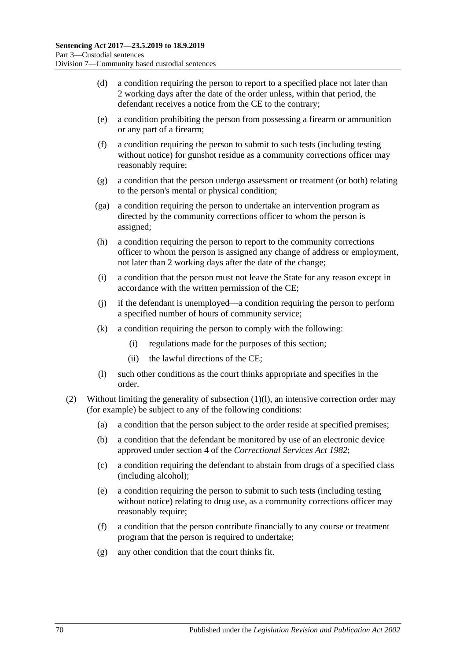- (d) a condition requiring the person to report to a specified place not later than 2 working days after the date of the order unless, within that period, the defendant receives a notice from the CE to the contrary;
- <span id="page-69-2"></span>(e) a condition prohibiting the person from possessing a firearm or ammunition or any part of a firearm;
- <span id="page-69-3"></span>(f) a condition requiring the person to submit to such tests (including testing without notice) for gunshot residue as a community corrections officer may reasonably require;
- (g) a condition that the person undergo assessment or treatment (or both) relating to the person's mental or physical condition;
- (ga) a condition requiring the person to undertake an intervention program as directed by the community corrections officer to whom the person is assigned;
- (h) a condition requiring the person to report to the community corrections officer to whom the person is assigned any change of address or employment, not later than 2 working days after the date of the change;
- (i) a condition that the person must not leave the State for any reason except in accordance with the written permission of the CE;
- (j) if the defendant is unemployed—a condition requiring the person to perform a specified number of hours of community service;
- (k) a condition requiring the person to comply with the following:
	- (i) regulations made for the purposes of this section;
	- (ii) the lawful directions of the CE;
- (l) such other conditions as the court thinks appropriate and specifies in the order.
- <span id="page-69-1"></span><span id="page-69-0"></span>(2) Without limiting the generality of [subsection](#page-69-0) (1)(l), an intensive correction order may (for example) be subject to any of the following conditions:
	- (a) a condition that the person subject to the order reside at specified premises;
	- (b) a condition that the defendant be monitored by use of an electronic device approved under section 4 of the *[Correctional Services Act](http://www.legislation.sa.gov.au/index.aspx?action=legref&type=act&legtitle=Correctional%20Services%20Act%201982) 1982*;
	- (c) a condition requiring the defendant to abstain from drugs of a specified class (including alcohol);
	- (e) a condition requiring the person to submit to such tests (including testing without notice) relating to drug use, as a community corrections officer may reasonably require;
	- (f) a condition that the person contribute financially to any course or treatment program that the person is required to undertake;
	- (g) any other condition that the court thinks fit.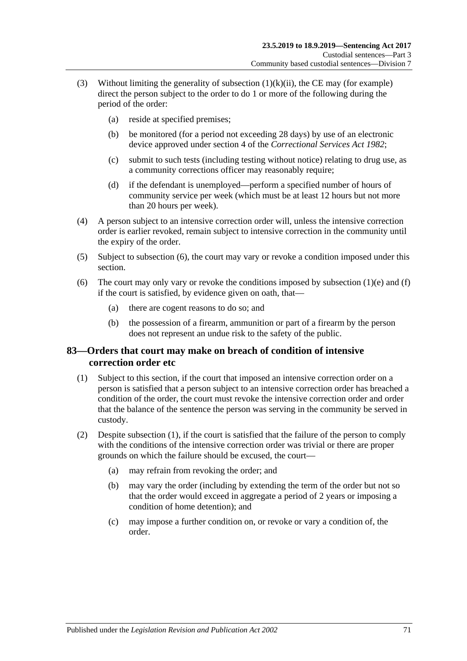- (3) Without limiting the generality of [subsection](#page-69-1)  $(1)(k)(ii)$ , the CE may (for example) direct the person subject to the order to do 1 or more of the following during the period of the order:
	- (a) reside at specified premises;
	- (b) be monitored (for a period not exceeding 28 days) by use of an electronic device approved under section 4 of the *[Correctional Services Act](http://www.legislation.sa.gov.au/index.aspx?action=legref&type=act&legtitle=Correctional%20Services%20Act%201982) 1982*;
	- (c) submit to such tests (including testing without notice) relating to drug use, as a community corrections officer may reasonably require;
	- (d) if the defendant is unemployed—perform a specified number of hours of community service per week (which must be at least 12 hours but not more than 20 hours per week).
- (4) A person subject to an intensive correction order will, unless the intensive correction order is earlier revoked, remain subject to intensive correction in the community until the expiry of the order.
- (5) Subject to [subsection](#page-70-0) (6), the court may vary or revoke a condition imposed under this section.
- <span id="page-70-0"></span>(6) The court may only vary or revoke the conditions imposed by [subsection](#page-69-2)  $(1)(e)$  and  $(f)$ if the court is satisfied, by evidence given on oath, that—
	- (a) there are cogent reasons to do so; and
	- (b) the possession of a firearm, ammunition or part of a firearm by the person does not represent an undue risk to the safety of the public.

## **83—Orders that court may make on breach of condition of intensive correction order etc**

- <span id="page-70-1"></span>(1) Subject to this section, if the court that imposed an intensive correction order on a person is satisfied that a person subject to an intensive correction order has breached a condition of the order, the court must revoke the intensive correction order and order that the balance of the sentence the person was serving in the community be served in custody.
- (2) Despite [subsection](#page-70-1) (1), if the court is satisfied that the failure of the person to comply with the conditions of the intensive correction order was trivial or there are proper grounds on which the failure should be excused, the court—
	- (a) may refrain from revoking the order; and
	- (b) may vary the order (including by extending the term of the order but not so that the order would exceed in aggregate a period of 2 years or imposing a condition of home detention); and
	- (c) may impose a further condition on, or revoke or vary a condition of, the order.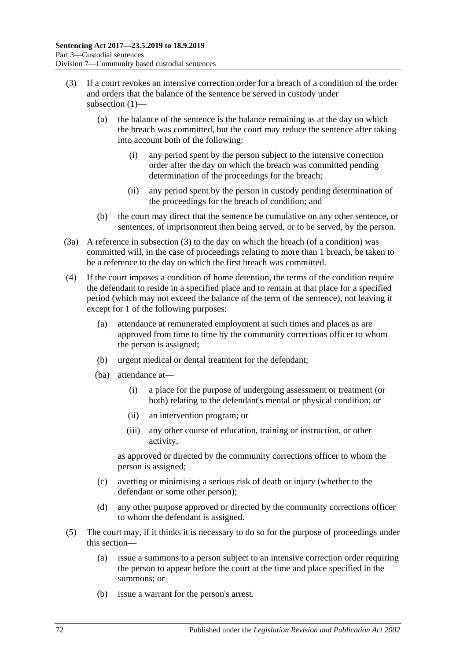- (3) If a court revokes an intensive correction order for a breach of a condition of the order and orders that the balance of the sentence be served in custody under subsection (1)—
	- (a) the balance of the sentence is the balance remaining as at the day on which the breach was committed, but the court may reduce the sentence after taking into account both of the following:
		- (i) any period spent by the person subject to the intensive correction order after the day on which the breach was committed pending determination of the proceedings for the breach;
		- (ii) any period spent by the person in custody pending determination of the proceedings for the breach of condition; and
	- (b) the court may direct that the sentence be cumulative on any other sentence, or sentences, of imprisonment then being served, or to be served, by the person.
- (3a) A reference in subsection (3) to the day on which the breach (of a condition) was committed will, in the case of proceedings relating to more than 1 breach, be taken to be a reference to the day on which the first breach was committed.
- (4) If the court imposes a condition of home detention, the terms of the condition require the defendant to reside in a specified place and to remain at that place for a specified period (which may not exceed the balance of the term of the sentence), not leaving it except for 1 of the following purposes:
	- (a) attendance at remunerated employment at such times and places as are approved from time to time by the community corrections officer to whom the person is assigned;
	- (b) urgent medical or dental treatment for the defendant;
	- (ba) attendance at—
		- (i) a place for the purpose of undergoing assessment or treatment (or both) relating to the defendant's mental or physical condition; or
		- (ii) an intervention program; or
		- (iii) any other course of education, training or instruction, or other activity,

as approved or directed by the community corrections officer to whom the person is assigned;

- (c) averting or minimising a serious risk of death or injury (whether to the defendant or some other person);
- (d) any other purpose approved or directed by the community corrections officer to whom the defendant is assigned.
- (5) The court may, if it thinks it is necessary to do so for the purpose of proceedings under this section—
	- (a) issue a summons to a person subject to an intensive correction order requiring the person to appear before the court at the time and place specified in the summons; or
	- (b) issue a warrant for the person's arrest.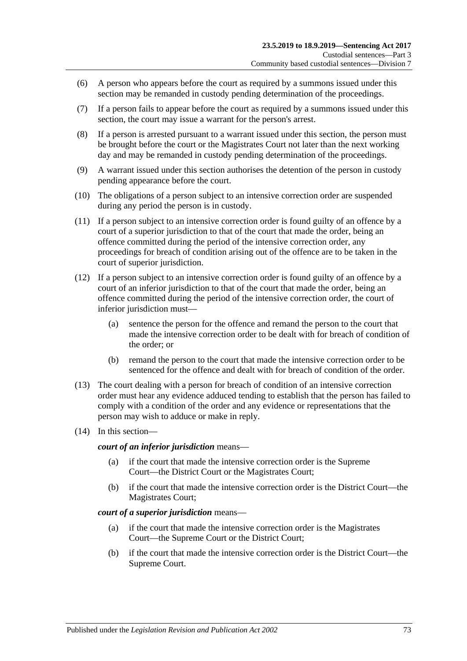- (6) A person who appears before the court as required by a summons issued under this section may be remanded in custody pending determination of the proceedings.
- (7) If a person fails to appear before the court as required by a summons issued under this section, the court may issue a warrant for the person's arrest.
- (8) If a person is arrested pursuant to a warrant issued under this section, the person must be brought before the court or the Magistrates Court not later than the next working day and may be remanded in custody pending determination of the proceedings.
- <span id="page-72-0"></span>(9) A warrant issued under this section authorises the detention of the person in custody pending appearance before the court.
- (10) The obligations of a person subject to an intensive correction order are suspended during any period the person is in custody.
- <span id="page-72-1"></span>(11) If a person subject to an intensive correction order is found guilty of an offence by a court of a superior jurisdiction to that of the court that made the order, being an offence committed during the period of the intensive correction order, any proceedings for breach of condition arising out of the offence are to be taken in the court of superior jurisdiction.
- (12) If a person subject to an intensive correction order is found guilty of an offence by a court of an inferior jurisdiction to that of the court that made the order, being an offence committed during the period of the intensive correction order, the court of inferior jurisdiction must—
	- (a) sentence the person for the offence and remand the person to the court that made the intensive correction order to be dealt with for breach of condition of the order; or
	- (b) remand the person to the court that made the intensive correction order to be sentenced for the offence and dealt with for breach of condition of the order.
- (13) The court dealing with a person for breach of condition of an intensive correction order must hear any evidence adduced tending to establish that the person has failed to comply with a condition of the order and any evidence or representations that the person may wish to adduce or make in reply.
- (14) In this section—

*court of an inferior jurisdiction* means—

- (a) if the court that made the intensive correction order is the Supreme Court—the District Court or the Magistrates Court;
- (b) if the court that made the intensive correction order is the District Court—the Magistrates Court;

#### *court of a superior jurisdiction* means—

- (a) if the court that made the intensive correction order is the Magistrates Court—the Supreme Court or the District Court;
- (b) if the court that made the intensive correction order is the District Court—the Supreme Court.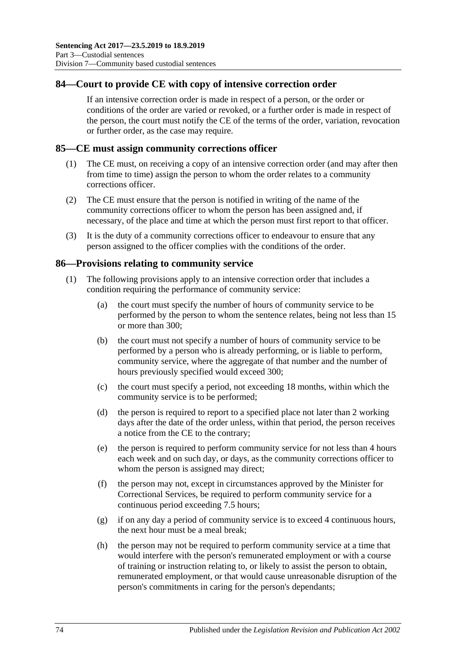#### **84—Court to provide CE with copy of intensive correction order**

If an intensive correction order is made in respect of a person, or the order or conditions of the order are varied or revoked, or a further order is made in respect of the person, the court must notify the CE of the terms of the order, variation, revocation or further order, as the case may require.

#### **85—CE must assign community corrections officer**

- (1) The CE must, on receiving a copy of an intensive correction order (and may after then from time to time) assign the person to whom the order relates to a community corrections officer.
- (2) The CE must ensure that the person is notified in writing of the name of the community corrections officer to whom the person has been assigned and, if necessary, of the place and time at which the person must first report to that officer.
- (3) It is the duty of a community corrections officer to endeavour to ensure that any person assigned to the officer complies with the conditions of the order.

#### **86—Provisions relating to community service**

- (1) The following provisions apply to an intensive correction order that includes a condition requiring the performance of community service:
	- (a) the court must specify the number of hours of community service to be performed by the person to whom the sentence relates, being not less than 15 or more than 300;
	- (b) the court must not specify a number of hours of community service to be performed by a person who is already performing, or is liable to perform, community service, where the aggregate of that number and the number of hours previously specified would exceed 300;
	- (c) the court must specify a period, not exceeding 18 months, within which the community service is to be performed;
	- (d) the person is required to report to a specified place not later than 2 working days after the date of the order unless, within that period, the person receives a notice from the CE to the contrary;
	- (e) the person is required to perform community service for not less than 4 hours each week and on such day, or days, as the community corrections officer to whom the person is assigned may direct;
	- (f) the person may not, except in circumstances approved by the Minister for Correctional Services, be required to perform community service for a continuous period exceeding 7.5 hours;
	- (g) if on any day a period of community service is to exceed 4 continuous hours, the next hour must be a meal break;
	- (h) the person may not be required to perform community service at a time that would interfere with the person's remunerated employment or with a course of training or instruction relating to, or likely to assist the person to obtain, remunerated employment, or that would cause unreasonable disruption of the person's commitments in caring for the person's dependants;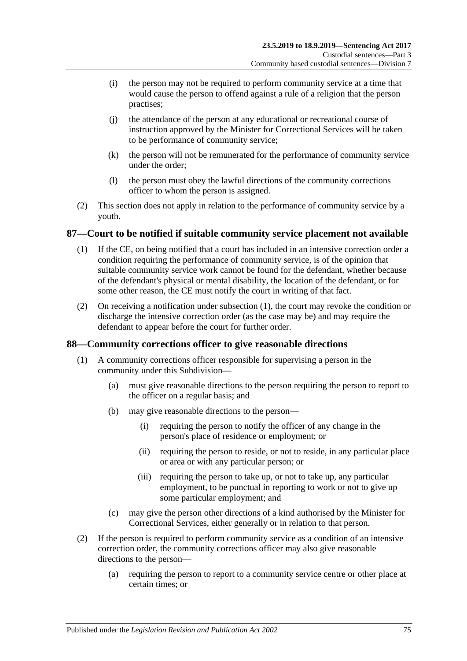- (i) the person may not be required to perform community service at a time that would cause the person to offend against a rule of a religion that the person practises;
- (j) the attendance of the person at any educational or recreational course of instruction approved by the Minister for Correctional Services will be taken to be performance of community service;
- (k) the person will not be remunerated for the performance of community service under the order;
- (l) the person must obey the lawful directions of the community corrections officer to whom the person is assigned.
- (2) This section does not apply in relation to the performance of community service by a youth.

#### <span id="page-74-0"></span>**87—Court to be notified if suitable community service placement not available**

- (1) If the CE, on being notified that a court has included in an intensive correction order a condition requiring the performance of community service, is of the opinion that suitable community service work cannot be found for the defendant, whether because of the defendant's physical or mental disability, the location of the defendant, or for some other reason, the CE must notify the court in writing of that fact.
- (2) On receiving a notification under [subsection](#page-74-0) (1), the court may revoke the condition or discharge the intensive correction order (as the case may be) and may require the defendant to appear before the court for further order.

#### **88—Community corrections officer to give reasonable directions**

- (1) A community corrections officer responsible for supervising a person in the community under this Subdivision—
	- (a) must give reasonable directions to the person requiring the person to report to the officer on a regular basis; and
	- (b) may give reasonable directions to the person—
		- (i) requiring the person to notify the officer of any change in the person's place of residence or employment; or
		- (ii) requiring the person to reside, or not to reside, in any particular place or area or with any particular person; or
		- (iii) requiring the person to take up, or not to take up, any particular employment, to be punctual in reporting to work or not to give up some particular employment; and
	- (c) may give the person other directions of a kind authorised by the Minister for Correctional Services, either generally or in relation to that person.
- (2) If the person is required to perform community service as a condition of an intensive correction order, the community corrections officer may also give reasonable directions to the person—
	- (a) requiring the person to report to a community service centre or other place at certain times; or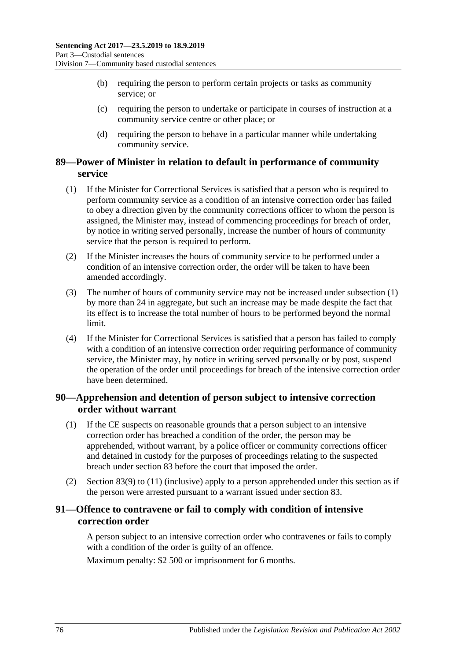- (b) requiring the person to perform certain projects or tasks as community service; or
- (c) requiring the person to undertake or participate in courses of instruction at a community service centre or other place; or
- (d) requiring the person to behave in a particular manner while undertaking community service.

#### **89—Power of Minister in relation to default in performance of community service**

- <span id="page-75-0"></span>(1) If the Minister for Correctional Services is satisfied that a person who is required to perform community service as a condition of an intensive correction order has failed to obey a direction given by the community corrections officer to whom the person is assigned, the Minister may, instead of commencing proceedings for breach of order, by notice in writing served personally, increase the number of hours of community service that the person is required to perform.
- (2) If the Minister increases the hours of community service to be performed under a condition of an intensive correction order, the order will be taken to have been amended accordingly.
- (3) The number of hours of community service may not be increased under [subsection](#page-75-0) (1) by more than 24 in aggregate, but such an increase may be made despite the fact that its effect is to increase the total number of hours to be performed beyond the normal limit.
- (4) If the Minister for Correctional Services is satisfied that a person has failed to comply with a condition of an intensive correction order requiring performance of community service, the Minister may, by notice in writing served personally or by post, suspend the operation of the order until proceedings for breach of the intensive correction order have been determined.

#### **90—Apprehension and detention of person subject to intensive correction order without warrant**

- (1) If the CE suspects on reasonable grounds that a person subject to an intensive correction order has breached a condition of the order, the person may be apprehended, without warrant, by a police officer or community corrections officer and detained in custody for the purposes of proceedings relating to the suspected breach under [section](#page-70-0) 83 before the court that imposed the order.
- (2) [Section](#page-72-0) 83(9) to [\(11\)](#page-72-1) (inclusive) apply to a person apprehended under this section as if the person were arrested pursuant to a warrant issued under [section](#page-70-0) 83.

### **91—Offence to contravene or fail to comply with condition of intensive correction order**

A person subject to an intensive correction order who contravenes or fails to comply with a condition of the order is guilty of an offence.

Maximum penalty: \$2 500 or imprisonment for 6 months.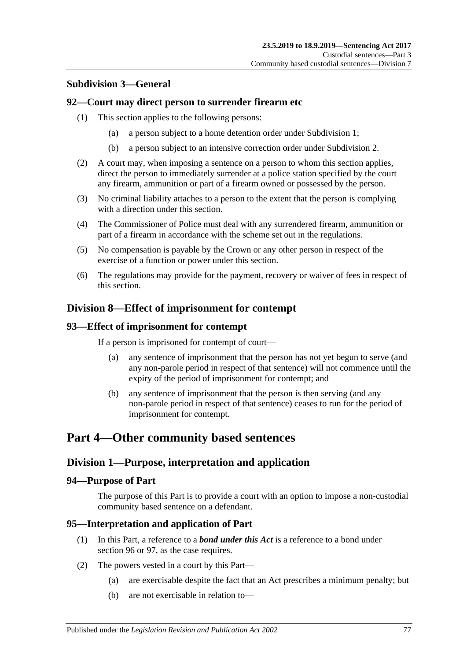### **Subdivision 3—General**

#### **92—Court may direct person to surrender firearm etc**

- (1) This section applies to the following persons:
	- (a) a person subject to a home detention order under [Subdivision](#page-53-0) 1;
	- (b) a person subject to an intensive correction order under [Subdivision](#page-64-0) 2.
- (2) A court may, when imposing a sentence on a person to whom this section applies, direct the person to immediately surrender at a police station specified by the court any firearm, ammunition or part of a firearm owned or possessed by the person.
- (3) No criminal liability attaches to a person to the extent that the person is complying with a direction under this section.
- (4) The Commissioner of Police must deal with any surrendered firearm, ammunition or part of a firearm in accordance with the scheme set out in the regulations.
- (5) No compensation is payable by the Crown or any other person in respect of the exercise of a function or power under this section.
- (6) The regulations may provide for the payment, recovery or waiver of fees in respect of this section.

### **Division 8—Effect of imprisonment for contempt**

#### **93—Effect of imprisonment for contempt**

If a person is imprisoned for contempt of court—

- (a) any sentence of imprisonment that the person has not yet begun to serve (and any non-parole period in respect of that sentence) will not commence until the expiry of the period of imprisonment for contempt; and
- (b) any sentence of imprisonment that the person is then serving (and any non-parole period in respect of that sentence) ceases to run for the period of imprisonment for contempt.

# **Part 4—Other community based sentences**

#### **Division 1—Purpose, interpretation and application**

#### **94—Purpose of Part**

The purpose of this Part is to provide a court with an option to impose a non-custodial community based sentence on a defendant.

#### **95—Interpretation and application of Part**

- (1) In this Part, a reference to a *bond under this Act* is a reference to a bond under [section](#page-77-0) 96 or [97,](#page-82-0) as the case requires.
- <span id="page-76-0"></span>(2) The powers vested in a court by this Part—
	- (a) are exercisable despite the fact that an Act prescribes a minimum penalty; but
	- (b) are not exercisable in relation to—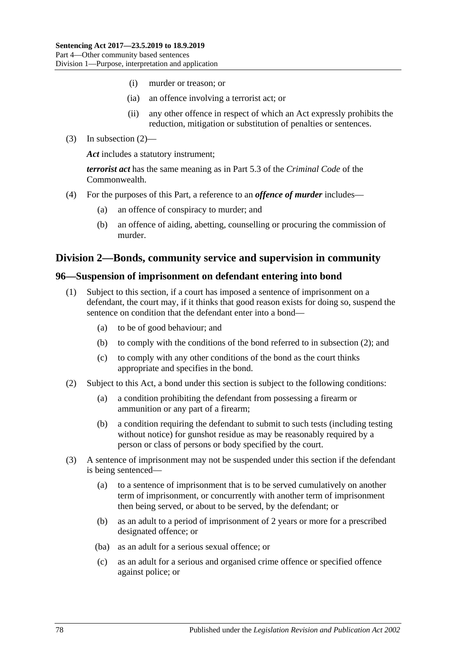- (i) murder or treason; or
- (ia) an offence involving a terrorist act; or
- (ii) any other offence in respect of which an Act expressly prohibits the reduction, mitigation or substitution of penalties or sentences.
- (3) In [subsection](#page-76-0) (2)—

*Act* includes a statutory instrument;

*terrorist act* has the same meaning as in Part 5.3 of the *Criminal Code* of the Commonwealth.

- (4) For the purposes of this Part, a reference to an *offence of murder* includes—
	- (a) an offence of conspiracy to murder; and
	- (b) an offence of aiding, abetting, counselling or procuring the commission of murder.

#### **Division 2—Bonds, community service and supervision in community**

#### <span id="page-77-3"></span><span id="page-77-0"></span>**96—Suspension of imprisonment on defendant entering into bond**

- (1) Subject to this section, if a court has imposed a sentence of imprisonment on a defendant, the court may, if it thinks that good reason exists for doing so, suspend the sentence on condition that the defendant enter into a bond—
	- (a) to be of good behaviour; and
	- (b) to comply with the conditions of the bond referred to in [subsection](#page-77-1) (2); and
	- (c) to comply with any other conditions of the bond as the court thinks appropriate and specifies in the bond.
- <span id="page-77-6"></span><span id="page-77-1"></span>(2) Subject to this Act, a bond under this section is subject to the following conditions:
	- (a) a condition prohibiting the defendant from possessing a firearm or ammunition or any part of a firearm;
	- (b) a condition requiring the defendant to submit to such tests (including testing without notice) for gunshot residue as may be reasonably required by a person or class of persons or body specified by the court.
- <span id="page-77-5"></span><span id="page-77-4"></span><span id="page-77-2"></span>(3) A sentence of imprisonment may not be suspended under this section if the defendant is being sentenced—
	- (a) to a sentence of imprisonment that is to be served cumulatively on another term of imprisonment, or concurrently with another term of imprisonment then being served, or about to be served, by the defendant; or
	- (b) as an adult to a period of imprisonment of 2 years or more for a prescribed designated offence; or
	- (ba) as an adult for a serious sexual offence; or
	- (c) as an adult for a serious and organised crime offence or specified offence against police; or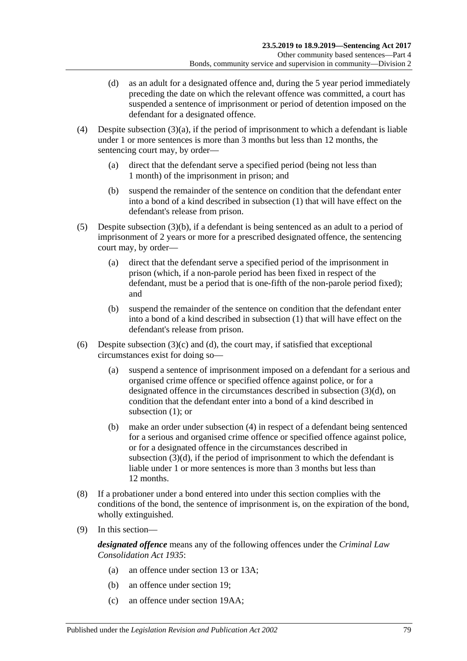- <span id="page-78-0"></span>(d) as an adult for a designated offence and, during the 5 year period immediately preceding the date on which the relevant offence was committed, a court has suspended a sentence of imprisonment or period of detention imposed on the defendant for a designated offence.
- <span id="page-78-1"></span>(4) Despite [subsection](#page-77-2)  $(3)(a)$ , if the period of imprisonment to which a defendant is liable under 1 or more sentences is more than 3 months but less than 12 months, the sentencing court may, by order—
	- (a) direct that the defendant serve a specified period (being not less than 1 month) of the imprisonment in prison; and
	- (b) suspend the remainder of the sentence on condition that the defendant enter into a bond of a kind described in [subsection](#page-77-3) (1) that will have effect on the defendant's release from prison.
- <span id="page-78-2"></span>(5) Despite [subsection](#page-77-4) (3)(b), if a defendant is being sentenced as an adult to a period of imprisonment of 2 years or more for a prescribed designated offence, the sentencing court may, by order—
	- (a) direct that the defendant serve a specified period of the imprisonment in prison (which, if a non-parole period has been fixed in respect of the defendant, must be a period that is one-fifth of the non-parole period fixed); and
	- (b) suspend the remainder of the sentence on condition that the defendant enter into a bond of a kind described in [subsection](#page-77-3) (1) that will have effect on the defendant's release from prison.
- (6) Despite [subsection](#page-77-5)  $(3)(c)$  and  $(d)$ , the court may, if satisfied that exceptional circumstances exist for doing so—
	- (a) suspend a sentence of imprisonment imposed on a defendant for a serious and organised crime offence or specified offence against police, or for a designated offence in the circumstances described in [subsection](#page-78-0) (3)(d), on condition that the defendant enter into a bond of a kind described in [subsection](#page-77-3) (1): or
	- (b) make an order under [subsection](#page-78-1) (4) in respect of a defendant being sentenced for a serious and organised crime offence or specified offence against police, or for a designated offence in the circumstances described in [subsection](#page-78-0) (3)(d), if the period of imprisonment to which the defendant is liable under 1 or more sentences is more than 3 months but less than 12 months.
- (8) If a probationer under a bond entered into under this section complies with the conditions of the bond, the sentence of imprisonment is, on the expiration of the bond, wholly extinguished.
- (9) In this section—

*designated offence* means any of the following offences under the *[Criminal Law](http://www.legislation.sa.gov.au/index.aspx?action=legref&type=act&legtitle=Criminal%20Law%20Consolidation%20Act%201935)  [Consolidation Act](http://www.legislation.sa.gov.au/index.aspx?action=legref&type=act&legtitle=Criminal%20Law%20Consolidation%20Act%201935) 1935*:

- (a) an offence under section 13 or 13A;
- (b) an offence under section 19;
- (c) an offence under section 19AA;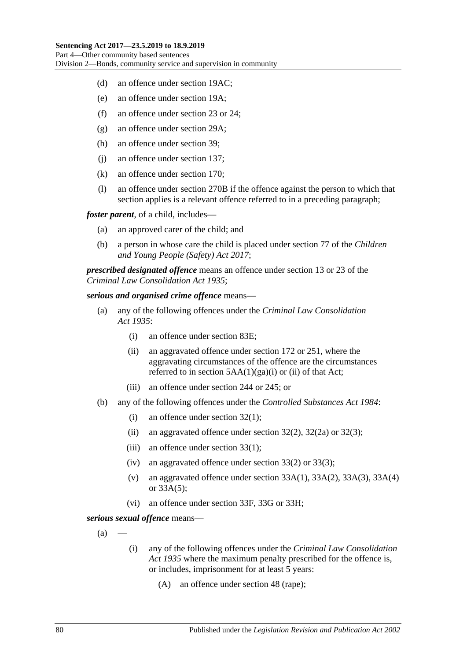- (d) an offence under section 19AC;
- (e) an offence under section 19A;
- (f) an offence under section 23 or 24;
- (g) an offence under section 29A;
- (h) an offence under section 39;
- (j) an offence under section 137;
- (k) an offence under section 170;
- (l) an offence under section 270B if the offence against the person to which that section applies is a relevant offence referred to in a preceding paragraph;

*foster parent*, of a child, includes—

- (a) an approved carer of the child; and
- (b) a person in whose care the child is placed under section 77 of the *[Children](http://www.legislation.sa.gov.au/index.aspx?action=legref&type=act&legtitle=Children%20and%20Young%20People%20(Safety)%20Act%202017)  [and Young People \(Safety\) Act](http://www.legislation.sa.gov.au/index.aspx?action=legref&type=act&legtitle=Children%20and%20Young%20People%20(Safety)%20Act%202017) 2017*;

*prescribed designated offence* means an offence under section 13 or 23 of the *[Criminal Law Consolidation Act](http://www.legislation.sa.gov.au/index.aspx?action=legref&type=act&legtitle=Criminal%20Law%20Consolidation%20Act%201935) 1935*;

#### *serious and organised crime offence* means—

- (a) any of the following offences under the *[Criminal Law Consolidation](http://www.legislation.sa.gov.au/index.aspx?action=legref&type=act&legtitle=Criminal%20Law%20Consolidation%20Act%201935)  Act [1935](http://www.legislation.sa.gov.au/index.aspx?action=legref&type=act&legtitle=Criminal%20Law%20Consolidation%20Act%201935)*:
	- (i) an offence under section 83E;
	- (ii) an aggravated offence under section 172 or 251, where the aggravating circumstances of the offence are the circumstances referred to in section  $5AA(1)(ga)(i)$  or (ii) of that Act;
	- (iii) an offence under section 244 or 245; or
- (b) any of the following offences under the *[Controlled Substances Act](http://www.legislation.sa.gov.au/index.aspx?action=legref&type=act&legtitle=Controlled%20Substances%20Act%201984) 1984*:
	- (i) an offence under section 32(1);
	- (ii) an aggravated offence under section  $32(2)$ ,  $32(2a)$  or  $32(3)$ ;
	- (iii) an offence under section 33(1);
	- (iv) an aggravated offence under section 33(2) or 33(3);
	- (v) an aggravated offence under section  $33A(1)$ ,  $33A(2)$ ,  $33A(3)$ ,  $33A(4)$ or 33A(5);
	- (vi) an offence under section 33F, 33G or 33H;

<span id="page-79-0"></span>*serious sexual offence* means—

- $(a)$
- (i) any of the following offences under the *[Criminal Law Consolidation](http://www.legislation.sa.gov.au/index.aspx?action=legref&type=act&legtitle=Criminal%20Law%20Consolidation%20Act%201935)  Act [1935](http://www.legislation.sa.gov.au/index.aspx?action=legref&type=act&legtitle=Criminal%20Law%20Consolidation%20Act%201935)* where the maximum penalty prescribed for the offence is, or includes, imprisonment for at least 5 years:
	- (A) an offence under section 48 (rape);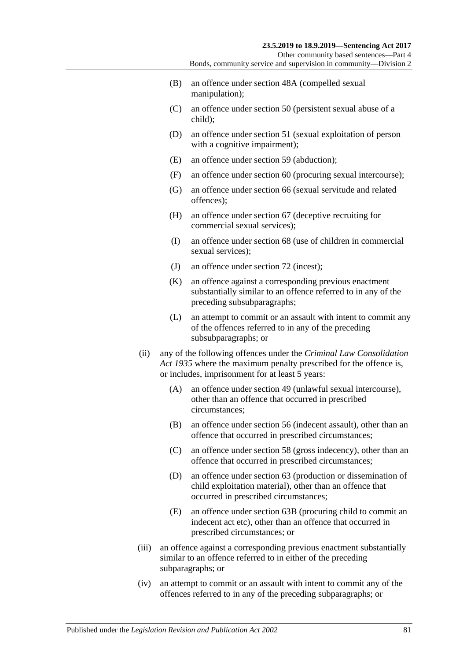Other community based sentences—Part 4 Bonds, community service and supervision in community—Division 2

- (B) an offence under section 48A (compelled sexual manipulation);
- (C) an offence under section 50 (persistent sexual abuse of a child);
- (D) an offence under section 51 (sexual exploitation of person with a cognitive impairment);
- (E) an offence under section 59 (abduction);
- (F) an offence under section 60 (procuring sexual intercourse);
- (G) an offence under section 66 (sexual servitude and related offences);
- (H) an offence under section 67 (deceptive recruiting for commercial sexual services);
- (I) an offence under section 68 (use of children in commercial sexual services):
- (J) an offence under section 72 (incest);
- (K) an offence against a corresponding previous enactment substantially similar to an offence referred to in any of the preceding subsubparagraphs;
- (L) an attempt to commit or an assault with intent to commit any of the offences referred to in any of the preceding subsubparagraphs; or
- (ii) any of the following offences under the *[Criminal Law Consolidation](http://www.legislation.sa.gov.au/index.aspx?action=legref&type=act&legtitle=Criminal%20Law%20Consolidation%20Act%201935)  Act [1935](http://www.legislation.sa.gov.au/index.aspx?action=legref&type=act&legtitle=Criminal%20Law%20Consolidation%20Act%201935)* where the maximum penalty prescribed for the offence is, or includes, imprisonment for at least 5 years:
	- (A) an offence under section 49 (unlawful sexual intercourse), other than an offence that occurred in prescribed circumstances;
	- (B) an offence under section 56 (indecent assault), other than an offence that occurred in prescribed circumstances;
	- (C) an offence under section 58 (gross indecency), other than an offence that occurred in prescribed circumstances;
	- (D) an offence under section 63 (production or dissemination of child exploitation material), other than an offence that occurred in prescribed circumstances;
	- (E) an offence under section 63B (procuring child to commit an indecent act etc), other than an offence that occurred in prescribed circumstances; or
- (iii) an offence against a corresponding previous enactment substantially similar to an offence referred to in either of the preceding subparagraphs; or
- (iv) an attempt to commit or an assault with intent to commit any of the offences referred to in any of the preceding subparagraphs; or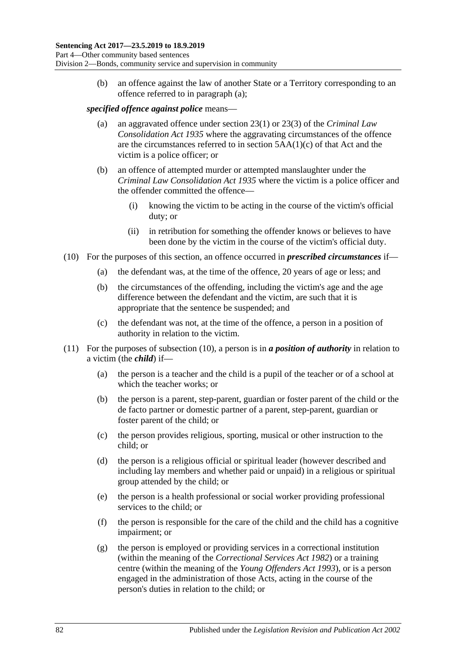(b) an offence against the law of another State or a Territory corresponding to an offence referred to in [paragraph](#page-79-0) (a);

#### *specified offence against police* means—

- (a) an aggravated offence under section 23(1) or 23(3) of the *[Criminal Law](http://www.legislation.sa.gov.au/index.aspx?action=legref&type=act&legtitle=Criminal%20Law%20Consolidation%20Act%201935)  [Consolidation Act](http://www.legislation.sa.gov.au/index.aspx?action=legref&type=act&legtitle=Criminal%20Law%20Consolidation%20Act%201935) 1935* where the aggravating circumstances of the offence are the circumstances referred to in section 5AA(1)(c) of that Act and the victim is a police officer; or
- (b) an offence of attempted murder or attempted manslaughter under the *[Criminal Law Consolidation Act](http://www.legislation.sa.gov.au/index.aspx?action=legref&type=act&legtitle=Criminal%20Law%20Consolidation%20Act%201935) 1935* where the victim is a police officer and the offender committed the offence—
	- (i) knowing the victim to be acting in the course of the victim's official duty; or
	- (ii) in retribution for something the offender knows or believes to have been done by the victim in the course of the victim's official duty.
- <span id="page-81-0"></span>(10) For the purposes of this section, an offence occurred in *prescribed circumstances* if—
	- (a) the defendant was, at the time of the offence, 20 years of age or less; and
	- (b) the circumstances of the offending, including the victim's age and the age difference between the defendant and the victim, are such that it is appropriate that the sentence be suspended; and
	- (c) the defendant was not, at the time of the offence, a person in a position of authority in relation to the victim.
- (11) For the purposes of [subsection](#page-81-0) (10), a person is in *a position of authority* in relation to a victim (the *child*) if—
	- (a) the person is a teacher and the child is a pupil of the teacher or of a school at which the teacher works; or
	- (b) the person is a parent, step-parent, guardian or foster parent of the child or the de facto partner or domestic partner of a parent, step-parent, guardian or foster parent of the child; or
	- (c) the person provides religious, sporting, musical or other instruction to the child; or
	- (d) the person is a religious official or spiritual leader (however described and including lay members and whether paid or unpaid) in a religious or spiritual group attended by the child; or
	- (e) the person is a health professional or social worker providing professional services to the child; or
	- (f) the person is responsible for the care of the child and the child has a cognitive impairment; or
	- (g) the person is employed or providing services in a correctional institution (within the meaning of the *[Correctional Services Act](http://www.legislation.sa.gov.au/index.aspx?action=legref&type=act&legtitle=Correctional%20Services%20Act%201982) 1982*) or a training centre (within the meaning of the *[Young Offenders Act](http://www.legislation.sa.gov.au/index.aspx?action=legref&type=act&legtitle=Young%20Offenders%20Act%201993) 1993*), or is a person engaged in the administration of those Acts, acting in the course of the person's duties in relation to the child; or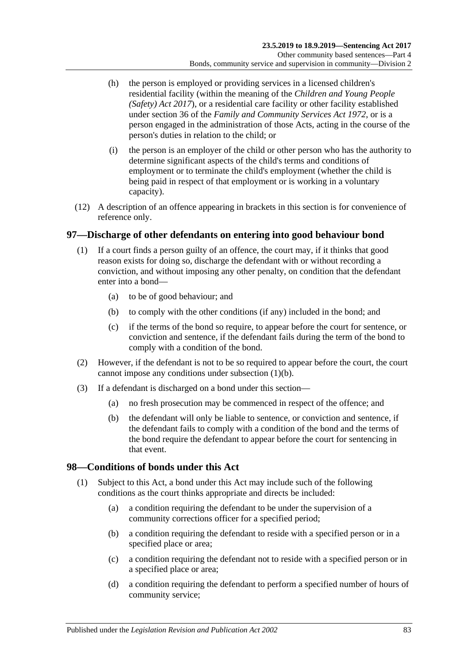- (h) the person is employed or providing services in a licensed children's residential facility (within the meaning of the *[Children and Young People](http://www.legislation.sa.gov.au/index.aspx?action=legref&type=act&legtitle=Children%20and%20Young%20People%20(Safety)%20Act%202017)  [\(Safety\) Act](http://www.legislation.sa.gov.au/index.aspx?action=legref&type=act&legtitle=Children%20and%20Young%20People%20(Safety)%20Act%202017) 2017*), or a residential care facility or other facility established under section 36 of the *[Family and Community Services Act](http://www.legislation.sa.gov.au/index.aspx?action=legref&type=act&legtitle=Family%20and%20Community%20Services%20Act%201972) 1972*, or is a person engaged in the administration of those Acts, acting in the course of the person's duties in relation to the child; or
- (i) the person is an employer of the child or other person who has the authority to determine significant aspects of the child's terms and conditions of employment or to terminate the child's employment (whether the child is being paid in respect of that employment or is working in a voluntary capacity).
- (12) A description of an offence appearing in brackets in this section is for convenience of reference only.

#### <span id="page-82-0"></span>**97—Discharge of other defendants on entering into good behaviour bond**

- <span id="page-82-1"></span>(1) If a court finds a person guilty of an offence, the court may, if it thinks that good reason exists for doing so, discharge the defendant with or without recording a conviction, and without imposing any other penalty, on condition that the defendant enter into a bond—
	- (a) to be of good behaviour; and
	- (b) to comply with the other conditions (if any) included in the bond; and
	- (c) if the terms of the bond so require, to appear before the court for sentence, or conviction and sentence, if the defendant fails during the term of the bond to comply with a condition of the bond.
- (2) However, if the defendant is not to be so required to appear before the court, the court cannot impose any conditions under [subsection](#page-82-1) (1)(b).
- (3) If a defendant is discharged on a bond under this section—
	- (a) no fresh prosecution may be commenced in respect of the offence; and
	- (b) the defendant will only be liable to sentence, or conviction and sentence, if the defendant fails to comply with a condition of the bond and the terms of the bond require the defendant to appear before the court for sentencing in that event.

#### **98—Conditions of bonds under this Act**

- (1) Subject to this Act, a bond under this Act may include such of the following conditions as the court thinks appropriate and directs be included:
	- (a) a condition requiring the defendant to be under the supervision of a community corrections officer for a specified period;
	- (b) a condition requiring the defendant to reside with a specified person or in a specified place or area;
	- (c) a condition requiring the defendant not to reside with a specified person or in a specified place or area;
	- (d) a condition requiring the defendant to perform a specified number of hours of community service;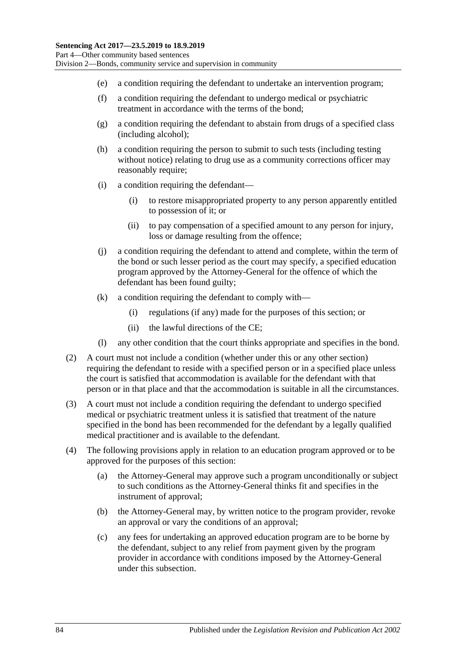- (e) a condition requiring the defendant to undertake an intervention program;
- (f) a condition requiring the defendant to undergo medical or psychiatric treatment in accordance with the terms of the bond;
- (g) a condition requiring the defendant to abstain from drugs of a specified class (including alcohol);
- (h) a condition requiring the person to submit to such tests (including testing without notice) relating to drug use as a community corrections officer may reasonably require;
- (i) a condition requiring the defendant—
	- (i) to restore misappropriated property to any person apparently entitled to possession of it; or
	- (ii) to pay compensation of a specified amount to any person for injury, loss or damage resulting from the offence;
- (j) a condition requiring the defendant to attend and complete, within the term of the bond or such lesser period as the court may specify, a specified education program approved by the Attorney-General for the offence of which the defendant has been found guilty;
- (k) a condition requiring the defendant to comply with—
	- (i) regulations (if any) made for the purposes of this section; or
	- (ii) the lawful directions of the CE;
- (l) any other condition that the court thinks appropriate and specifies in the bond.
- (2) A court must not include a condition (whether under this or any other section) requiring the defendant to reside with a specified person or in a specified place unless the court is satisfied that accommodation is available for the defendant with that person or in that place and that the accommodation is suitable in all the circumstances.
- (3) A court must not include a condition requiring the defendant to undergo specified medical or psychiatric treatment unless it is satisfied that treatment of the nature specified in the bond has been recommended for the defendant by a legally qualified medical practitioner and is available to the defendant.
- (4) The following provisions apply in relation to an education program approved or to be approved for the purposes of this section:
	- (a) the Attorney-General may approve such a program unconditionally or subject to such conditions as the Attorney-General thinks fit and specifies in the instrument of approval;
	- (b) the Attorney-General may, by written notice to the program provider, revoke an approval or vary the conditions of an approval;
	- (c) any fees for undertaking an approved education program are to be borne by the defendant, subject to any relief from payment given by the program provider in accordance with conditions imposed by the Attorney-General under this subsection.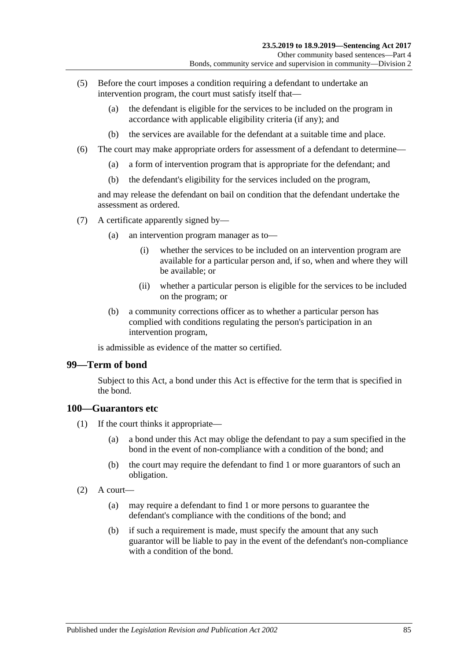- (5) Before the court imposes a condition requiring a defendant to undertake an intervention program, the court must satisfy itself that—
	- (a) the defendant is eligible for the services to be included on the program in accordance with applicable eligibility criteria (if any); and
	- (b) the services are available for the defendant at a suitable time and place.
- (6) The court may make appropriate orders for assessment of a defendant to determine—
	- (a) a form of intervention program that is appropriate for the defendant; and
	- (b) the defendant's eligibility for the services included on the program,

and may release the defendant on bail on condition that the defendant undertake the assessment as ordered.

- (7) A certificate apparently signed by—
	- (a) an intervention program manager as to—
		- (i) whether the services to be included on an intervention program are available for a particular person and, if so, when and where they will be available; or
		- (ii) whether a particular person is eligible for the services to be included on the program; or
	- (b) a community corrections officer as to whether a particular person has complied with conditions regulating the person's participation in an intervention program,

is admissible as evidence of the matter so certified.

#### **99—Term of bond**

Subject to this Act, a bond under this Act is effective for the term that is specified in the bond.

#### **100—Guarantors etc**

- (1) If the court thinks it appropriate—
	- (a) a bond under this Act may oblige the defendant to pay a sum specified in the bond in the event of non-compliance with a condition of the bond; and
	- (b) the court may require the defendant to find 1 or more guarantors of such an obligation.
- $(2)$  A court—
	- (a) may require a defendant to find 1 or more persons to guarantee the defendant's compliance with the conditions of the bond; and
	- (b) if such a requirement is made, must specify the amount that any such guarantor will be liable to pay in the event of the defendant's non-compliance with a condition of the bond.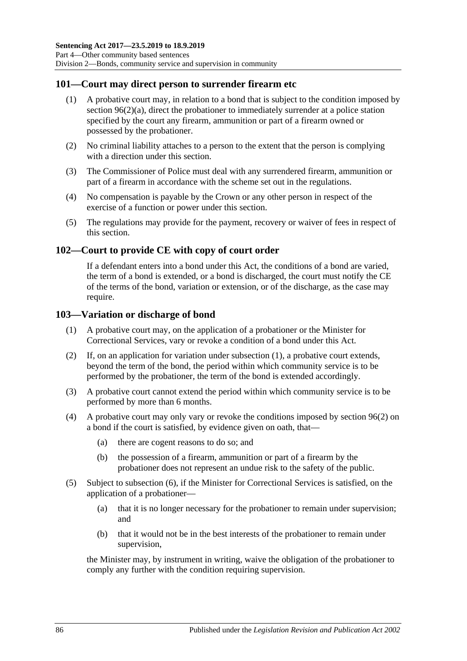#### **101—Court may direct person to surrender firearm etc**

- (1) A probative court may, in relation to a bond that is subject to the condition imposed by section [96\(2\)\(a\),](#page-77-6) direct the probationer to immediately surrender at a police station specified by the court any firearm, ammunition or part of a firearm owned or possessed by the probationer.
- (2) No criminal liability attaches to a person to the extent that the person is complying with a direction under this section.
- (3) The Commissioner of Police must deal with any surrendered firearm, ammunition or part of a firearm in accordance with the scheme set out in the regulations.
- (4) No compensation is payable by the Crown or any other person in respect of the exercise of a function or power under this section.
- (5) The regulations may provide for the payment, recovery or waiver of fees in respect of this section.

#### **102—Court to provide CE with copy of court order**

If a defendant enters into a bond under this Act, the conditions of a bond are varied, the term of a bond is extended, or a bond is discharged, the court must notify the CE of the terms of the bond, variation or extension, or of the discharge, as the case may require.

#### <span id="page-85-0"></span>**103—Variation or discharge of bond**

- (1) A probative court may, on the application of a probationer or the Minister for Correctional Services, vary or revoke a condition of a bond under this Act.
- (2) If, on an application for variation under [subsection](#page-85-0) (1), a probative court extends, beyond the term of the bond, the period within which community service is to be performed by the probationer, the term of the bond is extended accordingly.
- (3) A probative court cannot extend the period within which community service is to be performed by more than 6 months.
- (4) A probative court may only vary or revoke the conditions imposed by [section](#page-77-1) 96(2) on a bond if the court is satisfied, by evidence given on oath, that—
	- (a) there are cogent reasons to do so; and
	- (b) the possession of a firearm, ammunition or part of a firearm by the probationer does not represent an undue risk to the safety of the public.
- (5) Subject to [subsection](#page-86-0) (6), if the Minister for Correctional Services is satisfied, on the application of a probationer—
	- (a) that it is no longer necessary for the probationer to remain under supervision; and
	- (b) that it would not be in the best interests of the probationer to remain under supervision,

the Minister may, by instrument in writing, waive the obligation of the probationer to comply any further with the condition requiring supervision.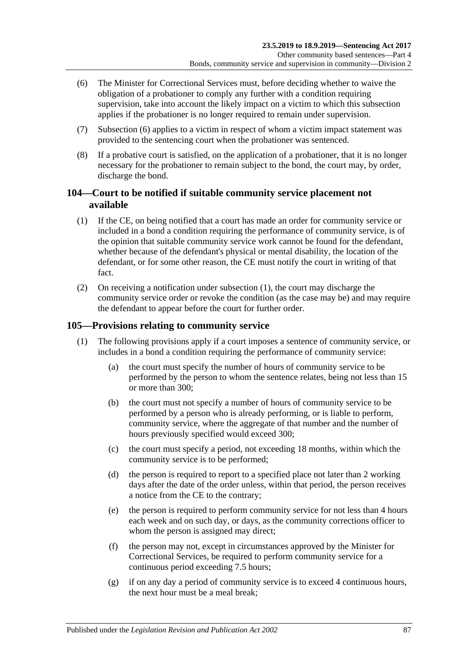- <span id="page-86-0"></span>(6) The Minister for Correctional Services must, before deciding whether to waive the obligation of a probationer to comply any further with a condition requiring supervision, take into account the likely impact on a victim to which this subsection applies if the probationer is no longer required to remain under supervision.
- (7) [Subsection](#page-86-0) (6) applies to a victim in respect of whom a victim impact statement was provided to the sentencing court when the probationer was sentenced.
- (8) If a probative court is satisfied, on the application of a probationer, that it is no longer necessary for the probationer to remain subject to the bond, the court may, by order, discharge the bond.

#### **104—Court to be notified if suitable community service placement not available**

- <span id="page-86-1"></span>(1) If the CE, on being notified that a court has made an order for community service or included in a bond a condition requiring the performance of community service, is of the opinion that suitable community service work cannot be found for the defendant, whether because of the defendant's physical or mental disability, the location of the defendant, or for some other reason, the CE must notify the court in writing of that fact.
- (2) On receiving a notification under [subsection](#page-86-1) (1), the court may discharge the community service order or revoke the condition (as the case may be) and may require the defendant to appear before the court for further order.

#### <span id="page-86-2"></span>**105—Provisions relating to community service**

- (1) The following provisions apply if a court imposes a sentence of community service, or includes in a bond a condition requiring the performance of community service:
	- (a) the court must specify the number of hours of community service to be performed by the person to whom the sentence relates, being not less than 15 or more than 300;
	- (b) the court must not specify a number of hours of community service to be performed by a person who is already performing, or is liable to perform, community service, where the aggregate of that number and the number of hours previously specified would exceed 300;
	- (c) the court must specify a period, not exceeding 18 months, within which the community service is to be performed;
	- (d) the person is required to report to a specified place not later than 2 working days after the date of the order unless, within that period, the person receives a notice from the CE to the contrary;
	- (e) the person is required to perform community service for not less than 4 hours each week and on such day, or days, as the community corrections officer to whom the person is assigned may direct:
	- (f) the person may not, except in circumstances approved by the Minister for Correctional Services, be required to perform community service for a continuous period exceeding 7.5 hours;
	- (g) if on any day a period of community service is to exceed 4 continuous hours, the next hour must be a meal break;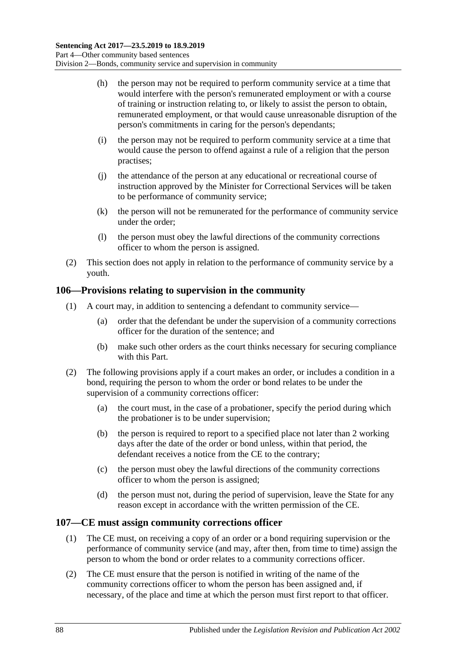- (h) the person may not be required to perform community service at a time that would interfere with the person's remunerated employment or with a course of training or instruction relating to, or likely to assist the person to obtain, remunerated employment, or that would cause unreasonable disruption of the person's commitments in caring for the person's dependants;
- (i) the person may not be required to perform community service at a time that would cause the person to offend against a rule of a religion that the person practises;
- (j) the attendance of the person at any educational or recreational course of instruction approved by the Minister for Correctional Services will be taken to be performance of community service;
- (k) the person will not be remunerated for the performance of community service under the order;
- (l) the person must obey the lawful directions of the community corrections officer to whom the person is assigned.
- (2) This section does not apply in relation to the performance of community service by a youth.

#### **106—Provisions relating to supervision in the community**

- (1) A court may, in addition to sentencing a defendant to community service—
	- (a) order that the defendant be under the supervision of a community corrections officer for the duration of the sentence; and
	- (b) make such other orders as the court thinks necessary for securing compliance with this Part.
- (2) The following provisions apply if a court makes an order, or includes a condition in a bond, requiring the person to whom the order or bond relates to be under the supervision of a community corrections officer:
	- (a) the court must, in the case of a probationer, specify the period during which the probationer is to be under supervision;
	- (b) the person is required to report to a specified place not later than 2 working days after the date of the order or bond unless, within that period, the defendant receives a notice from the CE to the contrary;
	- (c) the person must obey the lawful directions of the community corrections officer to whom the person is assigned;
	- (d) the person must not, during the period of supervision, leave the State for any reason except in accordance with the written permission of the CE.

#### **107—CE must assign community corrections officer**

- (1) The CE must, on receiving a copy of an order or a bond requiring supervision or the performance of community service (and may, after then, from time to time) assign the person to whom the bond or order relates to a community corrections officer.
- (2) The CE must ensure that the person is notified in writing of the name of the community corrections officer to whom the person has been assigned and, if necessary, of the place and time at which the person must first report to that officer.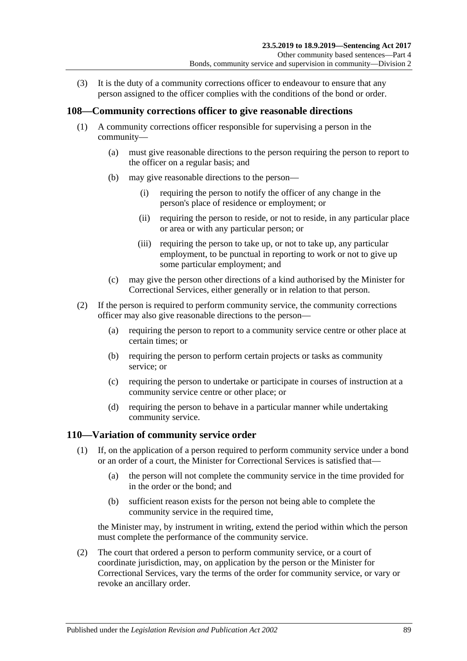(3) It is the duty of a community corrections officer to endeavour to ensure that any person assigned to the officer complies with the conditions of the bond or order.

#### **108—Community corrections officer to give reasonable directions**

- (1) A community corrections officer responsible for supervising a person in the community—
	- (a) must give reasonable directions to the person requiring the person to report to the officer on a regular basis; and
	- (b) may give reasonable directions to the person—
		- (i) requiring the person to notify the officer of any change in the person's place of residence or employment; or
		- (ii) requiring the person to reside, or not to reside, in any particular place or area or with any particular person; or
		- (iii) requiring the person to take up, or not to take up, any particular employment, to be punctual in reporting to work or not to give up some particular employment; and
	- (c) may give the person other directions of a kind authorised by the Minister for Correctional Services, either generally or in relation to that person.
- (2) If the person is required to perform community service, the community corrections officer may also give reasonable directions to the person—
	- (a) requiring the person to report to a community service centre or other place at certain times; or
	- (b) requiring the person to perform certain projects or tasks as community service; or
	- (c) requiring the person to undertake or participate in courses of instruction at a community service centre or other place; or
	- (d) requiring the person to behave in a particular manner while undertaking community service.

#### <span id="page-88-0"></span>**110—Variation of community service order**

- (1) If, on the application of a person required to perform community service under a bond or an order of a court, the Minister for Correctional Services is satisfied that—
	- (a) the person will not complete the community service in the time provided for in the order or the bond; and
	- (b) sufficient reason exists for the person not being able to complete the community service in the required time,

the Minister may, by instrument in writing, extend the period within which the person must complete the performance of the community service.

(2) The court that ordered a person to perform community service, or a court of coordinate jurisdiction, may, on application by the person or the Minister for Correctional Services, vary the terms of the order for community service, or vary or revoke an ancillary order.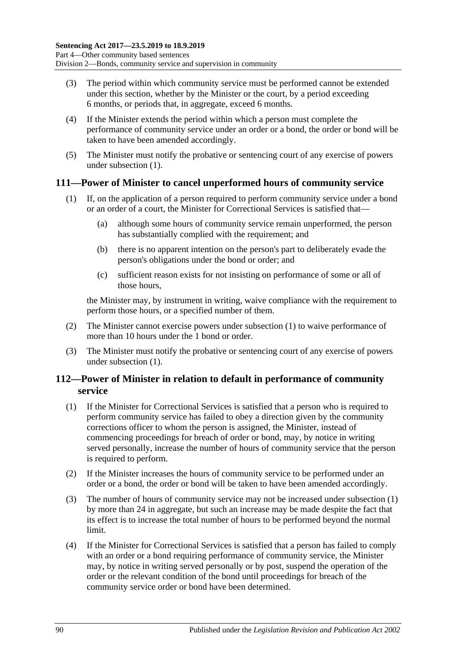- (3) The period within which community service must be performed cannot be extended under this section, whether by the Minister or the court, by a period exceeding 6 months, or periods that, in aggregate, exceed 6 months.
- (4) If the Minister extends the period within which a person must complete the performance of community service under an order or a bond, the order or bond will be taken to have been amended accordingly.
- (5) The Minister must notify the probative or sentencing court of any exercise of powers under [subsection](#page-88-0) (1).

#### <span id="page-89-0"></span>**111—Power of Minister to cancel unperformed hours of community service**

- (1) If, on the application of a person required to perform community service under a bond or an order of a court, the Minister for Correctional Services is satisfied that—
	- (a) although some hours of community service remain unperformed, the person has substantially complied with the requirement; and
	- (b) there is no apparent intention on the person's part to deliberately evade the person's obligations under the bond or order; and
	- (c) sufficient reason exists for not insisting on performance of some or all of those hours,

the Minister may, by instrument in writing, waive compliance with the requirement to perform those hours, or a specified number of them.

- (2) The Minister cannot exercise powers under [subsection](#page-89-0) (1) to waive performance of more than 10 hours under the 1 bond or order.
- (3) The Minister must notify the probative or sentencing court of any exercise of powers under [subsection](#page-89-0) (1).

#### **112—Power of Minister in relation to default in performance of community service**

- <span id="page-89-1"></span>(1) If the Minister for Correctional Services is satisfied that a person who is required to perform community service has failed to obey a direction given by the community corrections officer to whom the person is assigned, the Minister, instead of commencing proceedings for breach of order or bond, may, by notice in writing served personally, increase the number of hours of community service that the person is required to perform.
- (2) If the Minister increases the hours of community service to be performed under an order or a bond, the order or bond will be taken to have been amended accordingly.
- (3) The number of hours of community service may not be increased under [subsection](#page-89-1) (1) by more than 24 in aggregate, but such an increase may be made despite the fact that its effect is to increase the total number of hours to be performed beyond the normal limit.
- (4) If the Minister for Correctional Services is satisfied that a person has failed to comply with an order or a bond requiring performance of community service, the Minister may, by notice in writing served personally or by post, suspend the operation of the order or the relevant condition of the bond until proceedings for breach of the community service order or bond have been determined.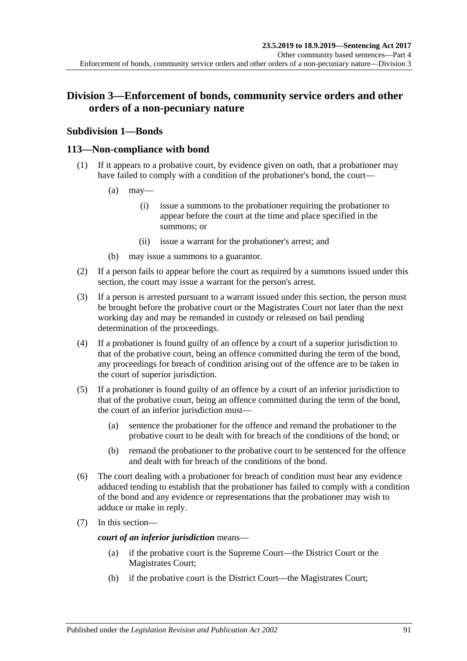### **Division 3—Enforcement of bonds, community service orders and other orders of a non-pecuniary nature**

### **Subdivision 1—Bonds**

#### **113—Non-compliance with bond**

- (1) If it appears to a probative court, by evidence given on oath, that a probationer may have failed to comply with a condition of the probationer's bond, the court—
	- $(a)$  may—
		- (i) issue a summons to the probationer requiring the probationer to appear before the court at the time and place specified in the summons; or
		- (ii) issue a warrant for the probationer's arrest; and
	- (b) may issue a summons to a guarantor.
- (2) If a person fails to appear before the court as required by a summons issued under this section, the court may issue a warrant for the person's arrest.
- (3) If a person is arrested pursuant to a warrant issued under this section, the person must be brought before the probative court or the Magistrates Court not later than the next working day and may be remanded in custody or released on bail pending determination of the proceedings.
- (4) If a probationer is found guilty of an offence by a court of a superior jurisdiction to that of the probative court, being an offence committed during the term of the bond, any proceedings for breach of condition arising out of the offence are to be taken in the court of superior jurisdiction.
- (5) If a probationer is found guilty of an offence by a court of an inferior jurisdiction to that of the probative court, being an offence committed during the term of the bond, the court of an inferior jurisdiction must—
	- (a) sentence the probationer for the offence and remand the probationer to the probative court to be dealt with for breach of the conditions of the bond; or
	- (b) remand the probationer to the probative court to be sentenced for the offence and dealt with for breach of the conditions of the bond.
- (6) The court dealing with a probationer for breach of condition must hear any evidence adduced tending to establish that the probationer has failed to comply with a condition of the bond and any evidence or representations that the probationer may wish to adduce or make in reply.
- (7) In this section—

*court of an inferior jurisdiction* means—

- (a) if the probative court is the Supreme Court—the District Court or the Magistrates Court;
- (b) if the probative court is the District Court—the Magistrates Court;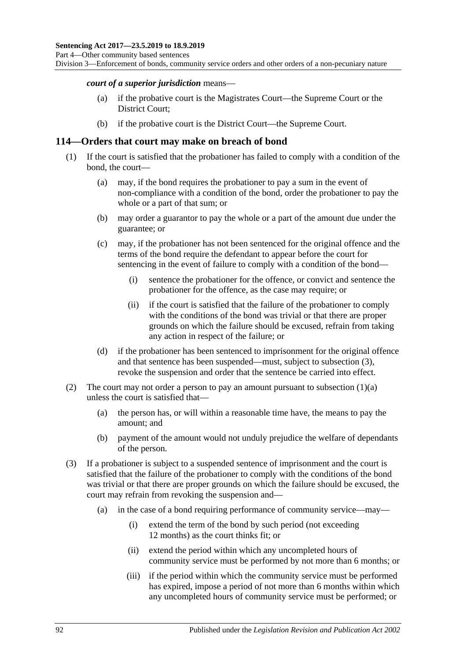Division 3—Enforcement of bonds, community service orders and other orders of a non-pecuniary nature

#### *court of a superior jurisdiction* means—

- (a) if the probative court is the Magistrates Court—the Supreme Court or the District Court;
- (b) if the probative court is the District Court—the Supreme Court.

#### **114—Orders that court may make on breach of bond**

- <span id="page-91-1"></span>(1) If the court is satisfied that the probationer has failed to comply with a condition of the bond, the court—
	- (a) may, if the bond requires the probationer to pay a sum in the event of non-compliance with a condition of the bond, order the probationer to pay the whole or a part of that sum; or
	- (b) may order a guarantor to pay the whole or a part of the amount due under the guarantee; or
	- (c) may, if the probationer has not been sentenced for the original offence and the terms of the bond require the defendant to appear before the court for sentencing in the event of failure to comply with a condition of the bond—
		- (i) sentence the probationer for the offence, or convict and sentence the probationer for the offence, as the case may require; or
		- (ii) if the court is satisfied that the failure of the probationer to comply with the conditions of the bond was trivial or that there are proper grounds on which the failure should be excused, refrain from taking any action in respect of the failure; or
	- (d) if the probationer has been sentenced to imprisonment for the original offence and that sentence has been suspended—must, subject to [subsection](#page-91-0) (3), revoke the suspension and order that the sentence be carried into effect.
- (2) The court may not order a person to pay an amount pursuant to [subsection](#page-91-1)  $(1)(a)$ unless the court is satisfied that—
	- (a) the person has, or will within a reasonable time have, the means to pay the amount; and
	- (b) payment of the amount would not unduly prejudice the welfare of dependants of the person.
- <span id="page-91-0"></span>(3) If a probationer is subject to a suspended sentence of imprisonment and the court is satisfied that the failure of the probationer to comply with the conditions of the bond was trivial or that there are proper grounds on which the failure should be excused, the court may refrain from revoking the suspension and—
	- (a) in the case of a bond requiring performance of community service—may—
		- (i) extend the term of the bond by such period (not exceeding 12 months) as the court thinks fit; or
		- (ii) extend the period within which any uncompleted hours of community service must be performed by not more than 6 months; or
		- (iii) if the period within which the community service must be performed has expired, impose a period of not more than 6 months within which any uncompleted hours of community service must be performed; or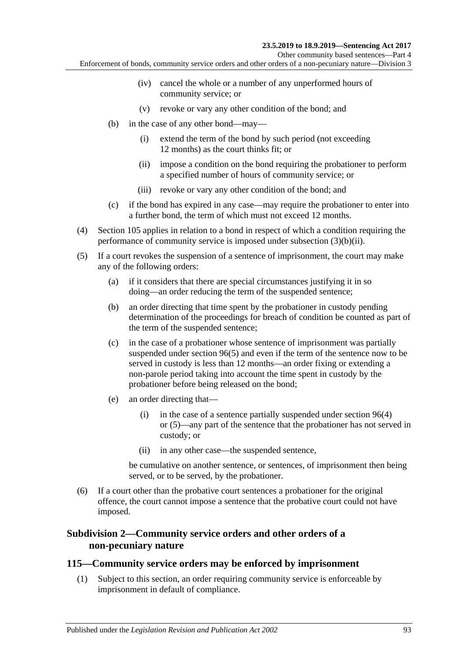Other community based sentences—Part 4

Enforcement of bonds, community service orders and other orders of a non-pecuniary nature—Division 3

- (iv) cancel the whole or a number of any unperformed hours of community service; or
- (v) revoke or vary any other condition of the bond; and
- <span id="page-92-0"></span>(b) in the case of any other bond—may—
	- (i) extend the term of the bond by such period (not exceeding 12 months) as the court thinks fit; or
	- (ii) impose a condition on the bond requiring the probationer to perform a specified number of hours of community service; or
	- (iii) revoke or vary any other condition of the bond; and
- (c) if the bond has expired in any case—may require the probationer to enter into a further bond, the term of which must not exceed 12 months.
- (4) [Section](#page-86-2) 105 applies in relation to a bond in respect of which a condition requiring the performance of community service is imposed under [subsection](#page-92-0) (3)(b)(ii).
- (5) If a court revokes the suspension of a sentence of imprisonment, the court may make any of the following orders:
	- (a) if it considers that there are special circumstances justifying it in so doing—an order reducing the term of the suspended sentence;
	- (b) an order directing that time spent by the probationer in custody pending determination of the proceedings for breach of condition be counted as part of the term of the suspended sentence;
	- (c) in the case of a probationer whose sentence of imprisonment was partially suspended under [section](#page-78-2) 96(5) and even if the term of the sentence now to be served in custody is less than 12 months—an order fixing or extending a non-parole period taking into account the time spent in custody by the probationer before being released on the bond;
	- (e) an order directing that—
		- (i) in the case of a sentence partially suspended under [section](#page-78-1) 96(4) or [\(5\)—](#page-78-2)any part of the sentence that the probationer has not served in custody; or
		- (ii) in any other case—the suspended sentence,

be cumulative on another sentence, or sentences, of imprisonment then being served, or to be served, by the probationer.

(6) If a court other than the probative court sentences a probationer for the original offence, the court cannot impose a sentence that the probative court could not have imposed.

#### **Subdivision 2—Community service orders and other orders of a non-pecuniary nature**

#### <span id="page-92-1"></span>**115—Community service orders may be enforced by imprisonment**

(1) Subject to this section, an order requiring community service is enforceable by imprisonment in default of compliance.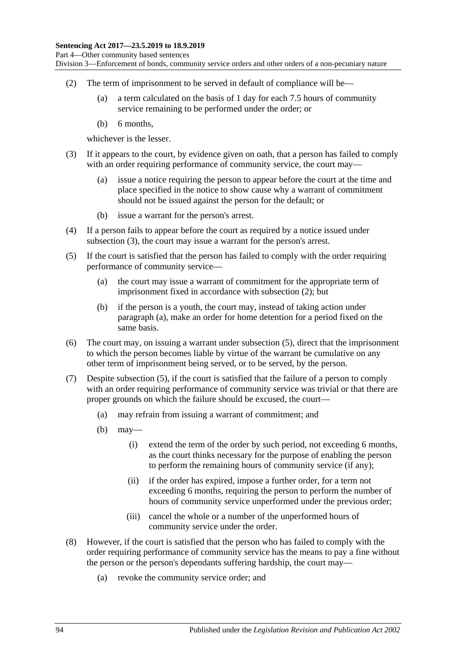Division 3—Enforcement of bonds, community service orders and other orders of a non-pecuniary nature

- <span id="page-93-1"></span>(2) The term of imprisonment to be served in default of compliance will be—
	- (a) a term calculated on the basis of 1 day for each 7.5 hours of community service remaining to be performed under the order; or
	- (b) 6 months,

whichever is the lesser.

- <span id="page-93-0"></span>(3) If it appears to the court, by evidence given on oath, that a person has failed to comply with an order requiring performance of community service, the court may—
	- (a) issue a notice requiring the person to appear before the court at the time and place specified in the notice to show cause why a warrant of commitment should not be issued against the person for the default; or
	- (b) issue a warrant for the person's arrest.
- (4) If a person fails to appear before the court as required by a notice issued under [subsection](#page-93-0) (3), the court may issue a warrant for the person's arrest.
- <span id="page-93-3"></span><span id="page-93-2"></span>(5) If the court is satisfied that the person has failed to comply with the order requiring performance of community service—
	- (a) the court may issue a warrant of commitment for the appropriate term of imprisonment fixed in accordance with [subsection](#page-93-1) (2); but
	- (b) if the person is a youth, the court may, instead of taking action under [paragraph](#page-93-2) (a), make an order for home detention for a period fixed on the same basis.
- (6) The court may, on issuing a warrant under [subsection](#page-93-3) (5), direct that the imprisonment to which the person becomes liable by virtue of the warrant be cumulative on any other term of imprisonment being served, or to be served, by the person.
- (7) Despite [subsection](#page-93-3) (5), if the court is satisfied that the failure of a person to comply with an order requiring performance of community service was trivial or that there are proper grounds on which the failure should be excused, the court—
	- (a) may refrain from issuing a warrant of commitment; and
	- (b) may—
		- (i) extend the term of the order by such period, not exceeding 6 months, as the court thinks necessary for the purpose of enabling the person to perform the remaining hours of community service (if any);
		- (ii) if the order has expired, impose a further order, for a term not exceeding 6 months, requiring the person to perform the number of hours of community service unperformed under the previous order;
		- (iii) cancel the whole or a number of the unperformed hours of community service under the order.
- <span id="page-93-4"></span>(8) However, if the court is satisfied that the person who has failed to comply with the order requiring performance of community service has the means to pay a fine without the person or the person's dependants suffering hardship, the court may—
	- (a) revoke the community service order; and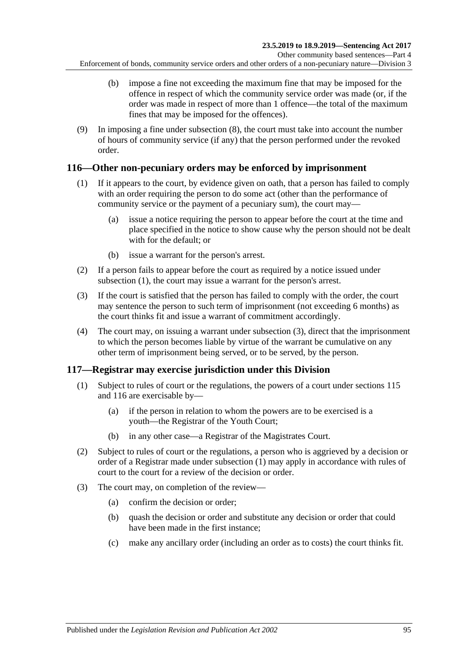- (b) impose a fine not exceeding the maximum fine that may be imposed for the offence in respect of which the community service order was made (or, if the order was made in respect of more than 1 offence—the total of the maximum fines that may be imposed for the offences).
- (9) In imposing a fine under [subsection](#page-93-4) (8), the court must take into account the number of hours of community service (if any) that the person performed under the revoked order.

#### <span id="page-94-2"></span><span id="page-94-0"></span>**116—Other non-pecuniary orders may be enforced by imprisonment**

- (1) If it appears to the court, by evidence given on oath, that a person has failed to comply with an order requiring the person to do some act (other than the performance of community service or the payment of a pecuniary sum), the court may—
	- (a) issue a notice requiring the person to appear before the court at the time and place specified in the notice to show cause why the person should not be dealt with for the default; or
	- (b) issue a warrant for the person's arrest.
- (2) If a person fails to appear before the court as required by a notice issued under [subsection](#page-94-0) (1), the court may issue a warrant for the person's arrest.
- <span id="page-94-1"></span>(3) If the court is satisfied that the person has failed to comply with the order, the court may sentence the person to such term of imprisonment (not exceeding 6 months) as the court thinks fit and issue a warrant of commitment accordingly.
- (4) The court may, on issuing a warrant under [subsection](#page-94-1) (3), direct that the imprisonment to which the person becomes liable by virtue of the warrant be cumulative on any other term of imprisonment being served, or to be served, by the person.

### <span id="page-94-3"></span>**117—Registrar may exercise jurisdiction under this Division**

- (1) Subject to rules of court or the regulations, the powers of a court under [sections](#page-92-1) 115 and [116](#page-94-2) are exercisable by—
	- (a) if the person in relation to whom the powers are to be exercised is a youth—the Registrar of the Youth Court;
	- (b) in any other case—a Registrar of the Magistrates Court.
- (2) Subject to rules of court or the regulations, a person who is aggrieved by a decision or order of a Registrar made under [subsection](#page-94-3) (1) may apply in accordance with rules of court to the court for a review of the decision or order.
- (3) The court may, on completion of the review—
	- (a) confirm the decision or order;
	- (b) quash the decision or order and substitute any decision or order that could have been made in the first instance;
	- (c) make any ancillary order (including an order as to costs) the court thinks fit.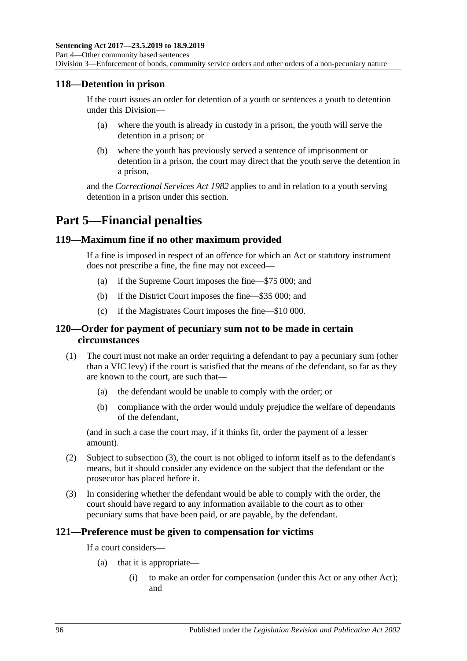#### **118—Detention in prison**

If the court issues an order for detention of a youth or sentences a youth to detention under this Division—

- (a) where the youth is already in custody in a prison, the youth will serve the detention in a prison; or
- (b) where the youth has previously served a sentence of imprisonment or detention in a prison, the court may direct that the youth serve the detention in a prison,

and the *[Correctional Services Act](http://www.legislation.sa.gov.au/index.aspx?action=legref&type=act&legtitle=Correctional%20Services%20Act%201982) 1982* applies to and in relation to a youth serving detention in a prison under this section.

# **Part 5—Financial penalties**

#### **119—Maximum fine if no other maximum provided**

If a fine is imposed in respect of an offence for which an Act or statutory instrument does not prescribe a fine, the fine may not exceed—

- (a) if the Supreme Court imposes the fine—\$75 000; and
- (b) if the District Court imposes the fine—\$35 000; and
- (c) if the Magistrates Court imposes the fine—\$10 000.

#### **120—Order for payment of pecuniary sum not to be made in certain circumstances**

- (1) The court must not make an order requiring a defendant to pay a pecuniary sum (other than a VIC levy) if the court is satisfied that the means of the defendant, so far as they are known to the court, are such that—
	- (a) the defendant would be unable to comply with the order; or
	- (b) compliance with the order would unduly prejudice the welfare of dependants of the defendant,

(and in such a case the court may, if it thinks fit, order the payment of a lesser amount).

- (2) Subject to [subsection](#page-95-0) (3), the court is not obliged to inform itself as to the defendant's means, but it should consider any evidence on the subject that the defendant or the prosecutor has placed before it.
- <span id="page-95-0"></span>(3) In considering whether the defendant would be able to comply with the order, the court should have regard to any information available to the court as to other pecuniary sums that have been paid, or are payable, by the defendant.

#### **121—Preference must be given to compensation for victims**

If a court considers—

- (a) that it is appropriate—
	- (i) to make an order for compensation (under this Act or any other Act); and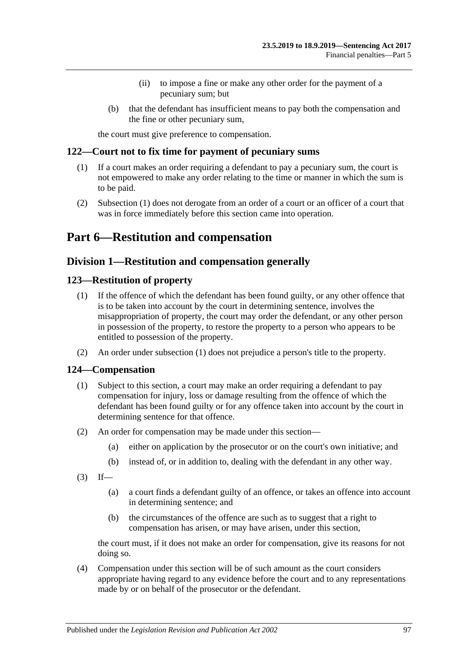- (ii) to impose a fine or make any other order for the payment of a pecuniary sum; but
- (b) that the defendant has insufficient means to pay both the compensation and the fine or other pecuniary sum,

the court must give preference to compensation.

#### <span id="page-96-0"></span>**122—Court not to fix time for payment of pecuniary sums**

- (1) If a court makes an order requiring a defendant to pay a pecuniary sum, the court is not empowered to make any order relating to the time or manner in which the sum is to be paid.
- (2) [Subsection](#page-96-0) (1) does not derogate from an order of a court or an officer of a court that was in force immediately before this section came into operation.

# **Part 6—Restitution and compensation**

### **Division 1—Restitution and compensation generally**

#### <span id="page-96-2"></span><span id="page-96-1"></span>**123—Restitution of property**

- (1) If the offence of which the defendant has been found guilty, or any other offence that is to be taken into account by the court in determining sentence, involves the misappropriation of property, the court may order the defendant, or any other person in possession of the property, to restore the property to a person who appears to be entitled to possession of the property.
- (2) An order under [subsection](#page-96-1) (1) does not prejudice a person's title to the property.

#### **124—Compensation**

- (1) Subject to this section, a court may make an order requiring a defendant to pay compensation for injury, loss or damage resulting from the offence of which the defendant has been found guilty or for any offence taken into account by the court in determining sentence for that offence.
- (2) An order for compensation may be made under this section—
	- (a) either on application by the prosecutor or on the court's own initiative; and
	- (b) instead of, or in addition to, dealing with the defendant in any other way.
- $(3)$  If—
	- (a) a court finds a defendant guilty of an offence, or takes an offence into account in determining sentence; and
	- (b) the circumstances of the offence are such as to suggest that a right to compensation has arisen, or may have arisen, under this section,

the court must, if it does not make an order for compensation, give its reasons for not doing so.

(4) Compensation under this section will be of such amount as the court considers appropriate having regard to any evidence before the court and to any representations made by or on behalf of the prosecutor or the defendant.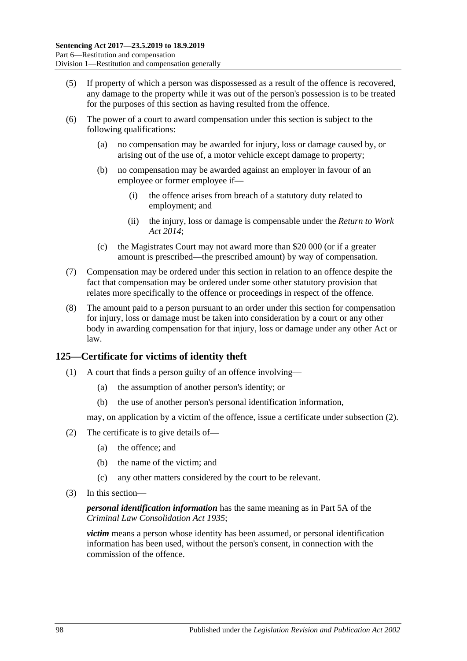- (5) If property of which a person was dispossessed as a result of the offence is recovered, any damage to the property while it was out of the person's possession is to be treated for the purposes of this section as having resulted from the offence.
- (6) The power of a court to award compensation under this section is subject to the following qualifications:
	- (a) no compensation may be awarded for injury, loss or damage caused by, or arising out of the use of, a motor vehicle except damage to property;
	- (b) no compensation may be awarded against an employer in favour of an employee or former employee if—
		- (i) the offence arises from breach of a statutory duty related to employment; and
		- (ii) the injury, loss or damage is compensable under the *[Return to Work](http://www.legislation.sa.gov.au/index.aspx?action=legref&type=act&legtitle=Return%20to%20Work%20Act%202014)  Act [2014](http://www.legislation.sa.gov.au/index.aspx?action=legref&type=act&legtitle=Return%20to%20Work%20Act%202014)*;
	- (c) the Magistrates Court may not award more than \$20 000 (or if a greater amount is prescribed—the prescribed amount) by way of compensation.
- (7) Compensation may be ordered under this section in relation to an offence despite the fact that compensation may be ordered under some other statutory provision that relates more specifically to the offence or proceedings in respect of the offence.
- (8) The amount paid to a person pursuant to an order under this section for compensation for injury, loss or damage must be taken into consideration by a court or any other body in awarding compensation for that injury, loss or damage under any other Act or law.

### **125—Certificate for victims of identity theft**

- (1) A court that finds a person guilty of an offence involving—
	- (a) the assumption of another person's identity; or
	- (b) the use of another person's personal identification information,

may, on application by a victim of the offence, issue a certificate under [subsection](#page-97-0) (2).

- <span id="page-97-0"></span>(2) The certificate is to give details of—
	- (a) the offence; and
	- (b) the name of the victim; and
	- (c) any other matters considered by the court to be relevant.
- (3) In this section—

*personal identification information* has the same meaning as in Part 5A of the *[Criminal Law Consolidation Act](http://www.legislation.sa.gov.au/index.aspx?action=legref&type=act&legtitle=Criminal%20Law%20Consolidation%20Act%201935) 1935*;

*victim* means a person whose identity has been assumed, or personal identification information has been used, without the person's consent, in connection with the commission of the offence.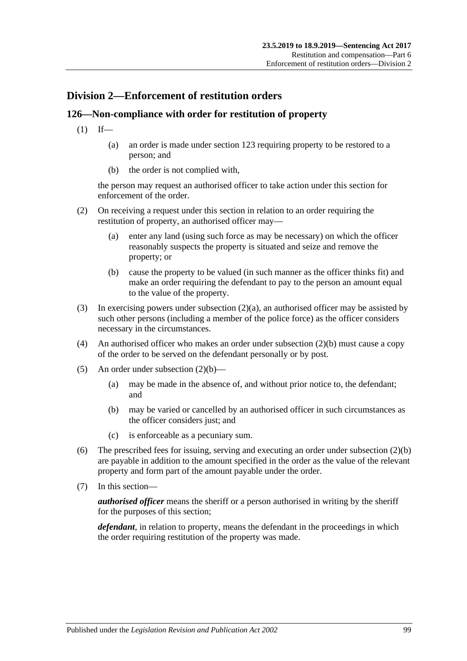### **Division 2—Enforcement of restitution orders**

### **126—Non-compliance with order for restitution of property**

- $(1)$  If—
	- (a) an order is made under [section](#page-96-2) 123 requiring property to be restored to a person; and
	- (b) the order is not complied with,

the person may request an authorised officer to take action under this section for enforcement of the order.

- <span id="page-98-0"></span>(2) On receiving a request under this section in relation to an order requiring the restitution of property, an authorised officer may—
	- (a) enter any land (using such force as may be necessary) on which the officer reasonably suspects the property is situated and seize and remove the property; or
	- (b) cause the property to be valued (in such manner as the officer thinks fit) and make an order requiring the defendant to pay to the person an amount equal to the value of the property.
- <span id="page-98-1"></span>(3) In exercising powers under [subsection](#page-98-0)  $(2)(a)$ , an authorised officer may be assisted by such other persons (including a member of the police force) as the officer considers necessary in the circumstances.
- (4) An authorised officer who makes an order under [subsection](#page-98-1) (2)(b) must cause a copy of the order to be served on the defendant personally or by post.
- (5) An order under [subsection](#page-98-1) (2)(b)—
	- (a) may be made in the absence of, and without prior notice to, the defendant; and
	- (b) may be varied or cancelled by an authorised officer in such circumstances as the officer considers just; and
	- (c) is enforceable as a pecuniary sum.
- (6) The prescribed fees for issuing, serving and executing an order under [subsection](#page-98-1) (2)(b) are payable in addition to the amount specified in the order as the value of the relevant property and form part of the amount payable under the order.
- (7) In this section—

*authorised officer* means the sheriff or a person authorised in writing by the sheriff for the purposes of this section;

*defendant*, in relation to property, means the defendant in the proceedings in which the order requiring restitution of the property was made.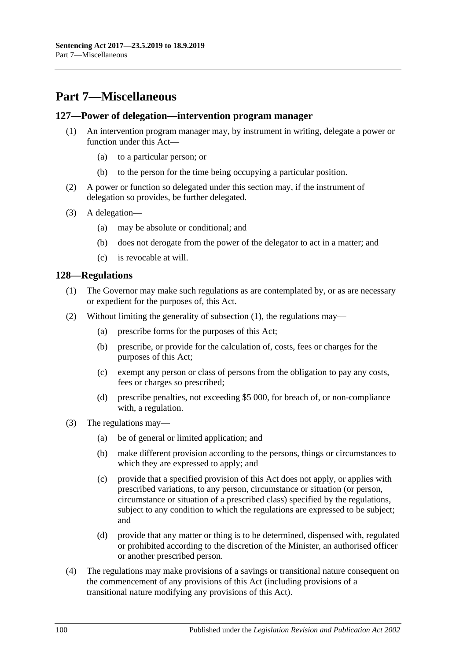# **Part 7—Miscellaneous**

#### **127—Power of delegation—intervention program manager**

- (1) An intervention program manager may, by instrument in writing, delegate a power or function under this Act—
	- (a) to a particular person; or
	- (b) to the person for the time being occupying a particular position.
- (2) A power or function so delegated under this section may, if the instrument of delegation so provides, be further delegated.
- (3) A delegation—
	- (a) may be absolute or conditional; and
	- (b) does not derogate from the power of the delegator to act in a matter; and
	- (c) is revocable at will.

#### <span id="page-99-0"></span>**128—Regulations**

- (1) The Governor may make such regulations as are contemplated by, or as are necessary or expedient for the purposes of, this Act.
- (2) Without limiting the generality of [subsection](#page-99-0) (1), the regulations may—
	- (a) prescribe forms for the purposes of this Act;
	- (b) prescribe, or provide for the calculation of, costs, fees or charges for the purposes of this Act;
	- (c) exempt any person or class of persons from the obligation to pay any costs, fees or charges so prescribed;
	- (d) prescribe penalties, not exceeding \$5 000, for breach of, or non-compliance with, a regulation.
- (3) The regulations may—
	- (a) be of general or limited application; and
	- (b) make different provision according to the persons, things or circumstances to which they are expressed to apply; and
	- (c) provide that a specified provision of this Act does not apply, or applies with prescribed variations, to any person, circumstance or situation (or person, circumstance or situation of a prescribed class) specified by the regulations, subject to any condition to which the regulations are expressed to be subject; and
	- (d) provide that any matter or thing is to be determined, dispensed with, regulated or prohibited according to the discretion of the Minister, an authorised officer or another prescribed person.
- (4) The regulations may make provisions of a savings or transitional nature consequent on the commencement of any provisions of this Act (including provisions of a transitional nature modifying any provisions of this Act).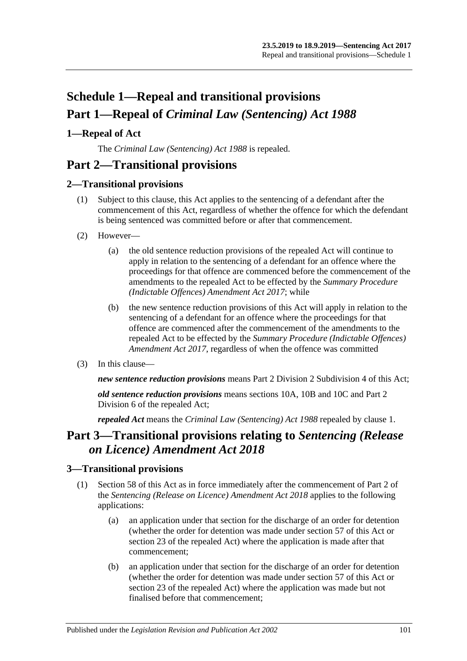# **Schedule 1—Repeal and transitional provisions Part 1—Repeal of** *Criminal Law (Sentencing) Act 1988*

### <span id="page-100-0"></span>**1—Repeal of Act**

The *[Criminal Law \(Sentencing\) Act](http://www.legislation.sa.gov.au/index.aspx?action=legref&type=act&legtitle=Criminal%20Law%20(Sentencing)%20Act%201988) 1988* is repealed.

# **Part 2—Transitional provisions**

#### **2—Transitional provisions**

- (1) Subject to this clause, this Act applies to the sentencing of a defendant after the commencement of this Act, regardless of whether the offence for which the defendant is being sentenced was committed before or after that commencement.
- (2) However—
	- (a) the old sentence reduction provisions of the repealed Act will continue to apply in relation to the sentencing of a defendant for an offence where the proceedings for that offence are commenced before the commencement of the amendments to the repealed Act to be effected by the *[Summary Procedure](http://www.legislation.sa.gov.au/index.aspx?action=legref&type=act&legtitle=Summary%20Procedure%20(Indictable%20Offences)%20Amendment%20Act%202017)  [\(Indictable Offences\) Amendment Act](http://www.legislation.sa.gov.au/index.aspx?action=legref&type=act&legtitle=Summary%20Procedure%20(Indictable%20Offences)%20Amendment%20Act%202017) 2017*; while
	- (b) the new sentence reduction provisions of this Act will apply in relation to the sentencing of a defendant for an offence where the proceedings for that offence are commenced after the commencement of the amendments to the repealed Act to be effected by the *[Summary Procedure \(Indictable Offences\)](http://www.legislation.sa.gov.au/index.aspx?action=legref&type=act&legtitle=Summary%20Procedure%20(Indictable%20Offences)%20Amendment%20Act%202017)  [Amendment Act](http://www.legislation.sa.gov.au/index.aspx?action=legref&type=act&legtitle=Summary%20Procedure%20(Indictable%20Offences)%20Amendment%20Act%202017) 2017*, regardless of when the offence was committed
- (3) In this clause—

*new sentence reduction provisions* means Part 2 Division [2 Subdivision](#page-24-0) 4 of this Act;

*old sentence reduction provisions* means sections 10A, 10B and 10C and Part 2 Division 6 of the repealed Act;

*repealed Act* means the *[Criminal Law \(Sentencing\) Act](http://www.legislation.sa.gov.au/index.aspx?action=legref&type=act&legtitle=Criminal%20Law%20(Sentencing)%20Act%201988) 1988* repealed by [clause](#page-100-0) 1.

# **Part 3—Transitional provisions relating to** *Sentencing (Release on Licence) Amendment Act 2018*

#### **3—Transitional provisions**

- (1) [Section 58](#page-47-0) of this Act as in force immediately after the commencement of Part 2 of the *[Sentencing \(Release on Licence\) Amendment Act](http://www.legislation.sa.gov.au/index.aspx?action=legref&type=act&legtitle=Sentencing%20(Release%20on%20Licence)%20Amendment%20Act%202018) 2018* applies to the following applications:
	- (a) an application under that section for the discharge of an order for detention (whether the order for detention was made under [section](#page-44-0) 57 of this Act or section 23 of the repealed Act) where the application is made after that commencement;
	- (b) an application under that section for the discharge of an order for detention (whether the order for detention was made under [section](#page-44-0) 57 of this Act or section 23 of the repealed Act) where the application was made but not finalised before that commencement;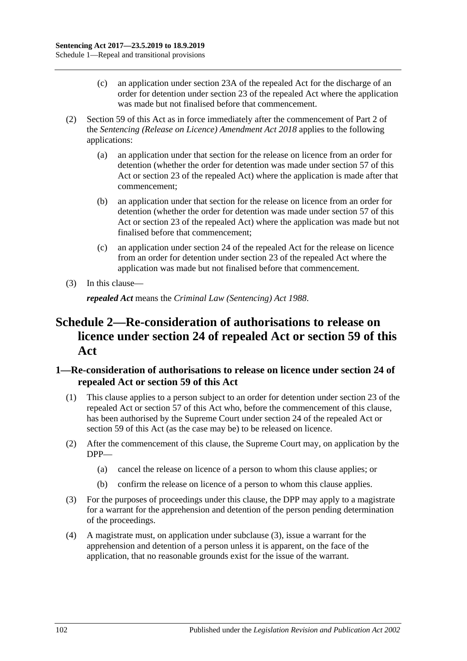- (c) an application under section 23A of the repealed Act for the discharge of an order for detention under section 23 of the repealed Act where the application was made but not finalised before that commencement.
- (2) [Section 59](#page-48-0) of this Act as in force immediately after the commencement of Part 2 of the *[Sentencing \(Release on Licence\) Amendment Act](http://www.legislation.sa.gov.au/index.aspx?action=legref&type=act&legtitle=Sentencing%20(Release%20on%20Licence)%20Amendment%20Act%202018) 2018* applies to the following applications:
	- (a) an application under that section for the release on licence from an order for detention (whether the order for detention was made under [section](#page-44-0) 57 of this Act or section 23 of the repealed Act) where the application is made after that commencement;
	- (b) an application under that section for the release on licence from an order for detention (whether the order for detention was made under [section](#page-44-0) 57 of this Act or section 23 of the repealed Act) where the application was made but not finalised before that commencement;
	- (c) an application under section 24 of the repealed Act for the release on licence from an order for detention under section 23 of the repealed Act where the application was made but not finalised before that commencement.
- (3) In this clause—

*repealed Act* means the *[Criminal Law \(Sentencing\) Act](http://www.legislation.sa.gov.au/index.aspx?action=legref&type=act&legtitle=Criminal%20Law%20(Sentencing)%20Act%201988) 1988*.

# **Schedule 2—Re-consideration of authorisations to release on licence under section 24 of repealed Act or [section](#page-48-0) 59 of this Act**

#### **1—Re-consideration of authorisations to release on licence under section 24 of repealed Act or [section](#page-48-0) 59 of this Act**

- (1) This clause applies to a person subject to an order for detention under section 23 of the repealed Act or [section](#page-44-0) 57 of this Act who, before the commencement of this clause, has been authorised by the Supreme Court under section 24 of the repealed Act or [section](#page-48-0) 59 of this Act (as the case may be) to be released on licence.
- (2) After the commencement of this clause, the Supreme Court may, on application by the DPP—
	- (a) cancel the release on licence of a person to whom this clause applies; or
	- (b) confirm the release on licence of a person to whom this clause applies.
- <span id="page-101-0"></span>(3) For the purposes of proceedings under this clause, the DPP may apply to a magistrate for a warrant for the apprehension and detention of the person pending determination of the proceedings.
- (4) A magistrate must, on application under [subclause](#page-101-0) (3), issue a warrant for the apprehension and detention of a person unless it is apparent, on the face of the application, that no reasonable grounds exist for the issue of the warrant.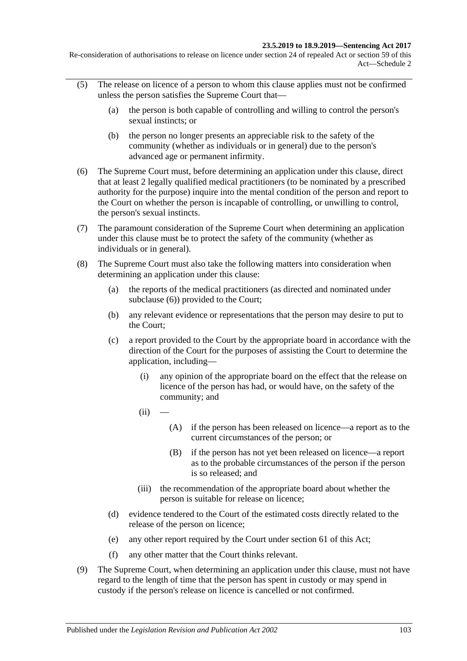Re-consideration of authorisations to release on licence under section 24 of repealed Act or section 59 of this Act—Schedule 2

- (5) The release on licence of a person to whom this clause applies must not be confirmed unless the person satisfies the Supreme Court that—
	- (a) the person is both capable of controlling and willing to control the person's sexual instincts; or
	- (b) the person no longer presents an appreciable risk to the safety of the community (whether as individuals or in general) due to the person's advanced age or permanent infirmity.
- <span id="page-102-0"></span>(6) The Supreme Court must, before determining an application under this clause, direct that at least 2 legally qualified medical practitioners (to be nominated by a prescribed authority for the purpose) inquire into the mental condition of the person and report to the Court on whether the person is incapable of controlling, or unwilling to control, the person's sexual instincts.
- (7) The paramount consideration of the Supreme Court when determining an application under this clause must be to protect the safety of the community (whether as individuals or in general).
- <span id="page-102-1"></span>(8) The Supreme Court must also take the following matters into consideration when determining an application under this clause:
	- (a) the reports of the medical practitioners (as directed and nominated under [subclause](#page-102-0) (6)) provided to the Court;
	- (b) any relevant evidence or representations that the person may desire to put to the Court;
	- (c) a report provided to the Court by the appropriate board in accordance with the direction of the Court for the purposes of assisting the Court to determine the application, including—
		- (i) any opinion of the appropriate board on the effect that the release on licence of the person has had, or would have, on the safety of the community; and
		- $(ii)$
- (A) if the person has been released on licence—a report as to the current circumstances of the person; or
- (B) if the person has not yet been released on licence—a report as to the probable circumstances of the person if the person is so released; and
- (iii) the recommendation of the appropriate board about whether the person is suitable for release on licence;
- (d) evidence tendered to the Court of the estimated costs directly related to the release of the person on licence;
- (e) any other report required by the Court under [section](#page-51-0) 61 of this Act;
- (f) any other matter that the Court thinks relevant.
- (9) The Supreme Court, when determining an application under this clause, must not have regard to the length of time that the person has spent in custody or may spend in custody if the person's release on licence is cancelled or not confirmed.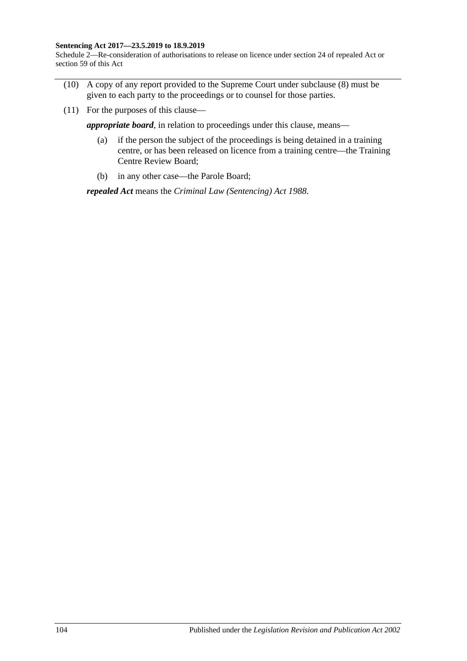#### **Sentencing Act 2017—23.5.2019 to 18.9.2019**

Schedule 2—Re-consideration of authorisations to release on licence under section 24 of repealed Act or section 59 of this Act

- (10) A copy of any report provided to the Supreme Court under [subclause](#page-102-1) (8) must be given to each party to the proceedings or to counsel for those parties.
- (11) For the purposes of this clause—

*appropriate board*, in relation to proceedings under this clause, means—

- (a) if the person the subject of the proceedings is being detained in a training centre, or has been released on licence from a training centre—the Training Centre Review Board;
- (b) in any other case—the Parole Board;

*repealed Act* means the *[Criminal Law \(Sentencing\) Act](http://www.legislation.sa.gov.au/index.aspx?action=legref&type=act&legtitle=Criminal%20Law%20(Sentencing)%20Act%201988) 1988*.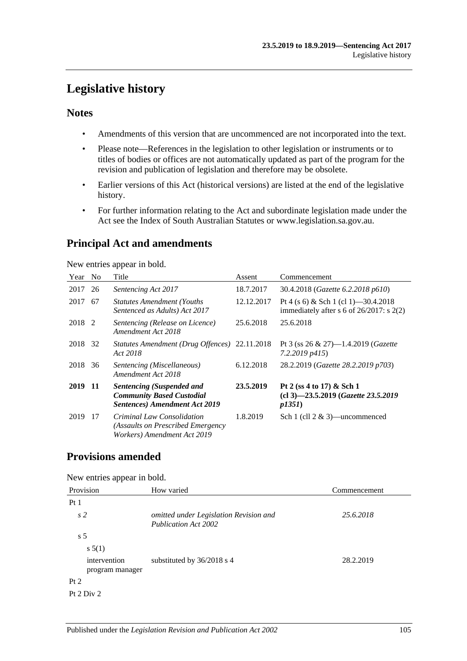# **Legislative history**

#### **Notes**

- Amendments of this version that are uncommenced are not incorporated into the text.
- Please note—References in the legislation to other legislation or instruments or to titles of bodies or offices are not automatically updated as part of the program for the revision and publication of legislation and therefore may be obsolete.
- Earlier versions of this Act (historical versions) are listed at the end of the legislative history.
- For further information relating to the Act and subordinate legislation made under the Act see the Index of South Australian Statutes or www.legislation.sa.gov.au.

# **Principal Act and amendments**

New entries appear in bold.

| Year   | N <sub>0</sub> | Title                                                                                                        | Assent     | Commencement                                                                          |
|--------|----------------|--------------------------------------------------------------------------------------------------------------|------------|---------------------------------------------------------------------------------------|
| 2017   | 26             | Sentencing Act 2017                                                                                          | 18.7.2017  | 30.4.2018 (Gazette 6.2.2018 p610)                                                     |
| 2017   | 67             | <b>Statutes Amendment (Youths)</b><br>Sentenced as Adults) Act 2017                                          | 12.12.2017 | Pt 4 (s 6) & Sch 1 (cl 1) -30.4.2018<br>immediately after s 6 of $26/2017$ : s $2(2)$ |
| 2018 2 |                | Sentencing (Release on Licence)<br>Amendment Act 2018                                                        | 25.6.2018  | 25.6.2018                                                                             |
| 2018   | 32             | Statutes Amendment (Drug Offences) 22.11.2018<br>Act 2018                                                    |            | Pt 3 (ss 26 & 27)-1.4.2019 (Gazette<br>$7.2.2019$ $p415$                              |
| 2018   | 36             | Sentencing (Miscellaneous)<br>Amendment Act 2018                                                             | 6.12.2018  | 28.2.2019 (Gazette 28.2.2019 p703)                                                    |
| 2019   | -11            | <b>Sentencing (Suspended and</b><br><b>Community Based Custodial</b><br><b>Sentences)</b> Amendment Act 2019 | 23.5.2019  | Pt 2 (ss 4 to 17) & Sch 1<br>(cl 3)-23.5.2019 (Gazette 23.5.2019<br>p1351             |
| 2019   | 17             | Criminal Law Consolidation<br>(Assaults on Prescribed Emergency<br>Workers) Amendment Act 2019               | 1.8.2019   | Sch 1 (cll $2 \& 3$ )—uncommenced                                                     |

### **Provisions amended**

New entries appear in bold.

| Provision                       | How varied                                                            | Commencement |
|---------------------------------|-----------------------------------------------------------------------|--------------|
| Pt <sub>1</sub>                 |                                                                       |              |
| s <sub>2</sub>                  | omitted under Legislation Revision and<br><b>Publication Act 2002</b> | 25.6.2018    |
| s <sub>5</sub>                  |                                                                       |              |
| s 5(1)                          |                                                                       |              |
| intervention<br>program manager | substituted by $36/2018$ s 4                                          | 28.2.2019    |
| Pt 2                            |                                                                       |              |
| Pt 2 Div 2                      |                                                                       |              |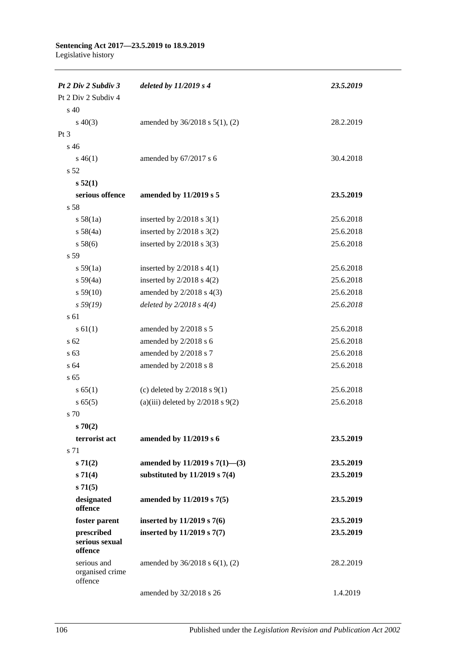| Pt 2 Div 2 Subdiv 3                       | deleted by $11/2019s4$                | 23.5.2019 |
|-------------------------------------------|---------------------------------------|-----------|
| Pt 2 Div 2 Subdiv 4                       |                                       |           |
| s 40                                      |                                       |           |
| $s\ 40(3)$                                | amended by $36/2018$ s $5(1)$ , (2)   | 28.2.2019 |
| $Pt\,3$                                   |                                       |           |
| s <sub>46</sub>                           |                                       |           |
| $s\,46(1)$                                | amended by 67/2017 s 6                | 30.4.2018 |
| s <sub>52</sub>                           |                                       |           |
| s 52(1)                                   |                                       |           |
| serious offence                           | amended by 11/2019 s 5                | 23.5.2019 |
| s 58                                      |                                       |           |
| s 58(1a)                                  | inserted by $2/2018$ s 3(1)           | 25.6.2018 |
| s 58(4a)                                  | inserted by $2/2018$ s $3(2)$         | 25.6.2018 |
| s 58(6)                                   | inserted by $2/2018$ s 3(3)           | 25.6.2018 |
| s 59                                      |                                       |           |
| s 59(1a)                                  | inserted by $2/2018$ s $4(1)$         | 25.6.2018 |
| $s\,59(4a)$                               | inserted by $2/2018$ s $4(2)$         | 25.6.2018 |
| s 59(10)                                  | amended by $2/2018$ s $4(3)$          | 25.6.2018 |
| s 59(19)                                  | deleted by $2/2018 s 4(4)$            | 25.6.2018 |
| s 61                                      |                                       |           |
| s 61(1)                                   | amended by 2/2018 s 5                 | 25.6.2018 |
| s 62                                      | amended by 2/2018 s 6                 | 25.6.2018 |
| s 63                                      | amended by 2/2018 s 7                 | 25.6.2018 |
| s 64                                      | amended by 2/2018 s 8                 | 25.6.2018 |
| s 65                                      |                                       |           |
| s 65(1)                                   | (c) deleted by $2/2018$ s $9(1)$      | 25.6.2018 |
| s 65(5)                                   | (a)(iii) deleted by $2/2018$ s $9(2)$ | 25.6.2018 |
| s 70                                      |                                       |           |
| $s \, 70(2)$                              |                                       |           |
| terrorist act                             | amended by 11/2019 s 6                | 23.5.2019 |
| s 71                                      |                                       |           |
| s 71(2)                                   | amended by 11/2019 s $7(1)$ —(3)      | 23.5.2019 |
| s 71(4)                                   | substituted by $11/2019$ s $7(4)$     | 23.5.2019 |
| s 71(5)                                   |                                       |           |
| designated<br>offence                     | amended by 11/2019 s 7(5)             | 23.5.2019 |
| foster parent                             | inserted by 11/2019 s 7(6)            | 23.5.2019 |
| prescribed<br>serious sexual<br>offence   | inserted by 11/2019 s 7(7)            | 23.5.2019 |
| serious and<br>organised crime<br>offence | amended by 36/2018 s 6(1), (2)        | 28.2.2019 |
|                                           | amended by 32/2018 s 26               | 1.4.2019  |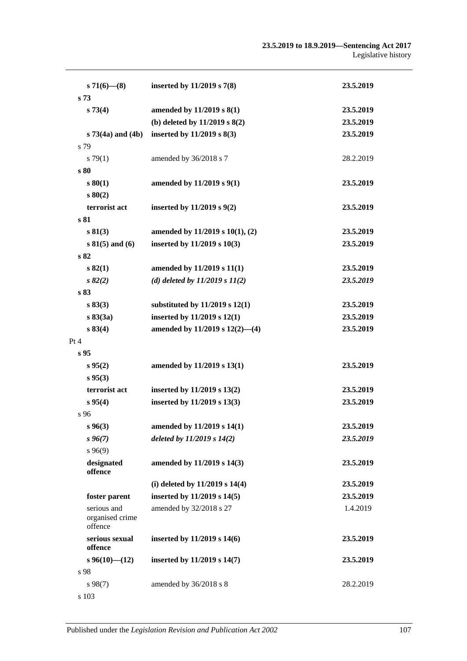#### **23.5.2019 to 18.9.2019—Sentencing Act 2017** Legislative history

| $s71(6)$ – (8)                            | inserted by 11/2019 s 7(8)          | 23.5.2019 |
|-------------------------------------------|-------------------------------------|-----------|
| s <sub>73</sub>                           |                                     |           |
| s 73(4)                                   | amended by 11/2019 s 8(1)           | 23.5.2019 |
|                                           | (b) deleted by $11/2019$ s $8(2)$   | 23.5.2019 |
| $s 73(4a)$ and $(4b)$                     | inserted by $11/2019$ s $8(3)$      | 23.5.2019 |
| s 79                                      |                                     |           |
| s79(1)                                    | amended by 36/2018 s 7              | 28.2.2019 |
| s 80                                      |                                     |           |
| s 80(1)                                   | amended by 11/2019 s 9(1)           | 23.5.2019 |
| s 80(2)                                   |                                     |           |
| terrorist act                             | inserted by $11/2019$ s $9(2)$      | 23.5.2019 |
| s 81                                      |                                     |           |
| s 81(3)                                   | amended by 11/2019 s 10(1), (2)     | 23.5.2019 |
| $s 81(5)$ and (6)                         | inserted by 11/2019 s 10(3)         | 23.5.2019 |
| s 82                                      |                                     |           |
| s 82(1)                                   | amended by 11/2019 s 11(1)          | 23.5.2019 |
| $s\,82(2)$                                | (d) deleted by $11/2019 s 11(2)$    | 23.5.2019 |
| s 83                                      |                                     |           |
| s 83(3)                                   | substituted by $11/2019$ s $12(1)$  | 23.5.2019 |
| s 83(3a)                                  | inserted by 11/2019 s 12(1)         | 23.5.2019 |
| s 83(4)                                   | amended by $11/2019$ s $12(2)$ —(4) | 23.5.2019 |
| Pt 4                                      |                                     |           |
| s <sub>95</sub>                           |                                     |           |
| s 95(2)                                   | amended by 11/2019 s 13(1)          | 23.5.2019 |
| s 95(3)                                   |                                     |           |
| terrorist act                             | inserted by 11/2019 s 13(2)         | 23.5.2019 |
| s 95(4)                                   | inserted by 11/2019 s 13(3)         | 23.5.2019 |
| s 96                                      |                                     |           |
| $s\,96(3)$                                | amended by 11/2019 s 14(1)          | 23.5.2019 |
| $s\,96(7)$                                | deleted by $11/2019$ s $14(2)$      | 23.5.2019 |
| $s\,96(9)$                                |                                     |           |
| designated<br>offence                     | amended by 11/2019 s 14(3)          | 23.5.2019 |
|                                           | (i) deleted by $11/2019$ s $14(4)$  | 23.5.2019 |
| foster parent                             | inserted by 11/2019 s 14(5)         | 23.5.2019 |
| serious and<br>organised crime<br>offence | amended by 32/2018 s 27             | 1.4.2019  |
| serious sexual<br>offence                 | inserted by 11/2019 s 14(6)         | 23.5.2019 |
| $s\,96(10)$ (12)                          | inserted by 11/2019 s 14(7)         | 23.5.2019 |
| s 98                                      |                                     |           |
| $s\,98(7)$                                | amended by 36/2018 s 8              | 28.2.2019 |
| s 103                                     |                                     |           |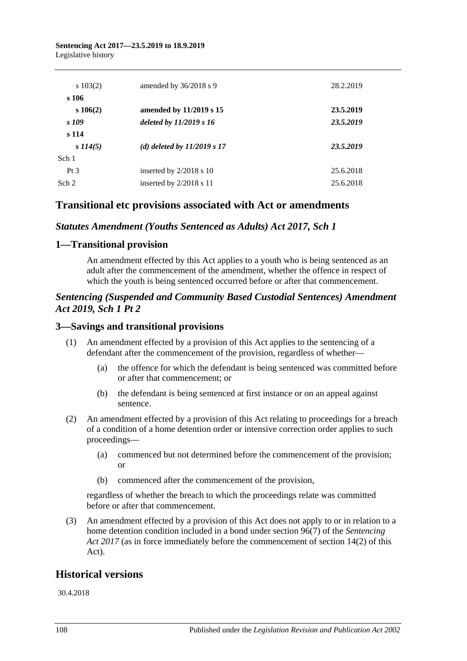#### **Sentencing Act 2017—23.5.2019 to 18.9.2019** Legislative history

| $s\ 103(2)$     | amended by $36/2018$ s 9      | 28.2.2019 |
|-----------------|-------------------------------|-----------|
| s 106           |                               |           |
| $s\,106(2)$     | amended by 11/2019 s 15       | 23.5.2019 |
| s 109           | deleted by $11/2019 s 16$     | 23.5.2019 |
| s 114           |                               |           |
| $s\,114(5)$     | (d) deleted by $11/2019 s 17$ | 23.5.2019 |
| Sch 1           |                               |           |
| Pt <sub>3</sub> | inserted by $2/2018$ s 10     | 25.6.2018 |
| Sch 2           | inserted by $2/2018$ s 11     | 25.6.2018 |

### **Transitional etc provisions associated with Act or amendments**

#### *Statutes Amendment (Youths Sentenced as Adults) Act 2017, Sch 1*

#### **1—Transitional provision**

An amendment effected by this Act applies to a youth who is being sentenced as an adult after the commencement of the amendment, whether the offence in respect of which the youth is being sentenced occurred before or after that commencement.

#### *Sentencing (Suspended and Community Based Custodial Sentences) Amendment Act 2019, Sch 1 Pt 2*

#### **3—Savings and transitional provisions**

- (1) An amendment effected by a provision of this Act applies to the sentencing of a defendant after the commencement of the provision, regardless of whether—
	- (a) the offence for which the defendant is being sentenced was committed before or after that commencement; or
	- (b) the defendant is being sentenced at first instance or on an appeal against sentence.
- (2) An amendment effected by a provision of this Act relating to proceedings for a breach of a condition of a home detention order or intensive correction order applies to such proceedings—
	- (a) commenced but not determined before the commencement of the provision; or
	- (b) commenced after the commencement of the provision,

regardless of whether the breach to which the proceedings relate was committed before or after that commencement.

(3) An amendment effected by a provision of this Act does not apply to or in relation to a home detention condition included in a bond under section 96(7) of the *[Sentencing](http://www.legislation.sa.gov.au/index.aspx?action=legref&type=act&legtitle=Sentencing%20Act%202017)  Act [2017](http://www.legislation.sa.gov.au/index.aspx?action=legref&type=act&legtitle=Sentencing%20Act%202017)* (as in force immediately before the commencement of section 14(2) of this Act).

### **Historical versions**

30.4.2018